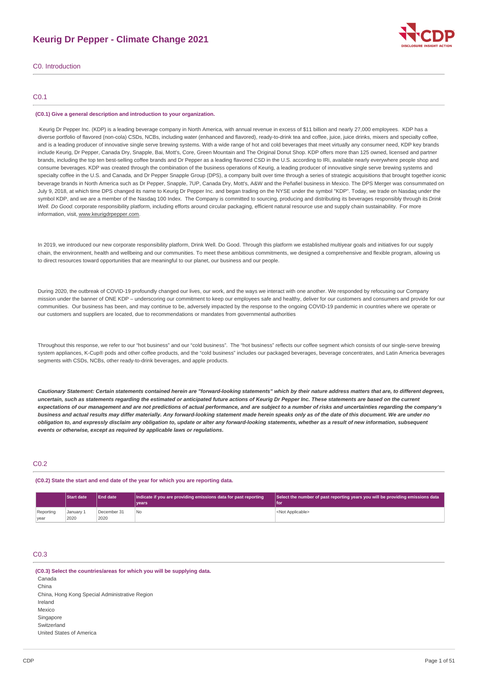# **Keurig Dr Pepper - Climate Change 2021**



C0. Introduction

# C0.1

#### **(C0.1) Give a general description and introduction to your organization.**

Keurig Dr Pepper Inc. (KDP) is a leading beverage company in North America, with annual revenue in excess of \$11 billion and nearly 27,000 employees. KDP has a diverse portfolio of flavored (non-cola) CSDs, NCBs, including water (enhanced and flavored), ready-to-drink tea and coffee, juice, juice drinks, mixers and specialty coffee, and is a leading producer of innovative single serve brewing systems. With a wide range of hot and cold beverages that meet virtually any consumer need, KDP key brands include Keurig, Dr Pepper, Canada Dry, Snapple, Bai, Mott's, Core, Green Mountain and The Original Donut Shop. KDP offers more than 125 owned, licensed and partner brands, including the top ten best-selling coffee brands and Dr Pepper as a leading flavored CSD in the U.S. according to IRi, available nearly everywhere people shop and consume beverages. KDP was created through the combination of the business operations of Keurig, a leading producer of innovative single serve brewing systems and specialty coffee in the U.S. and Canada, and Dr Pepper Snapple Group (DPS), a company built over time through a series of strategic acquisitions that brought together iconic beverage brands in North America such as Dr Pepper, Snapple, 7UP, Canada Dry, Mott's, A&W and the Peñafiel business in Mexico. The DPS Merger was consummated on July 9, 2018, at which time DPS changed its name to Keurig Dr Pepper Inc. and began trading on the NYSE under the symbol "KDP". Today, we trade on Nasdaq under the symbol KDP, and we are a member of the Nasdaq 100 Index. The Company is committed to sourcing, producing and distributing its beverages responsibly through its *Drink Well. Do Good.* corporate responsibility platform, including efforts around circular packaging, efficient natural resource use and supply chain sustainability. For more information, visit, www.keurigdrpepper.com.

In 2019, we introduced our new corporate responsibility platform, Drink Well. Do Good. Through this platform we established multiyear goals and initiatives for our supply chain, the environment, health and wellbeing and our communities. To meet these ambitious commitments, we designed a comprehensive and flexible program, allowing us to direct resources toward opportunities that are meaningful to our planet, our business and our people.

During 2020, the outbreak of COVID-19 profoundly changed our lives, our work, and the ways we interact with one another. We responded by refocusing our Company mission under the banner of ONE KDP – underscoring our commitment to keep our employees safe and healthy, deliver for our customers and consumers and provide for our communities. Our business has been, and may continue to be, adversely impacted by the response to the ongoing COVID-19 pandemic in countries where we operate or our customers and suppliers are located, due to recommendations or mandates from governmental authorities

Throughout this response, we refer to our "hot business" and our "cold business". The "hot business" reflects our coffee segment which consists of our single-serve brewing system appliances, K-Cup® pods and other coffee products, and the "cold business" includes our packaged beverages, beverage concentrates, and Latin America beverages segments with CSDs, NCBs, other ready-to-drink beverages, and apple products.

Cautionary Statement: Certain statements contained herein are "forward-looking statements" which by their nature address matters that are, to different degrees, uncertain, such as statements regarding the estimated or anticipated future actions of Keurig Dr Pepper Inc. These statements are based on the current expectations of our management and are not predictions of actual performance, and are subject to a number of risks and uncertainties regarding the company's business and actual results may differ materially. Any forward-looking statement made herein speaks only as of the date of this document. We are under no obligation to, and expressly disclaim any obligation to, update or alter any forward-looking statements, whether as a result of new information, subsequent *events or otherwise, except as required by applicable laws or regulations.*

# C<sub>02</sub>

**(C0.2) State the start and end date of the year for which you are reporting data.**

|           | <b>Start date</b> | <b>End date</b> | Indicate if you are providing emissions data for past reporting | Select the number of past reporting years you will be providing emissions data |
|-----------|-------------------|-----------------|-----------------------------------------------------------------|--------------------------------------------------------------------------------|
|           |                   |                 | vears                                                           | l for                                                                          |
| Reporting | Januarv 1         | December 31     | <b>No</b>                                                       | <not applicable=""></not>                                                      |
| year      | 2020              | 2020            |                                                                 |                                                                                |

# C0.3

**(C0.3) Select the countries/areas for which you will be supplying data.** Canada China China, Hong Kong Special Administrative Region Ireland Mexico Singapore Switzerland United States of America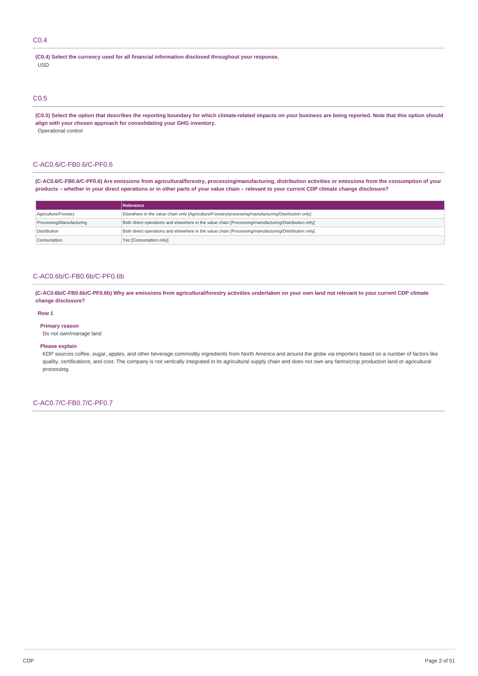# C0.4

**(C0.4) Select the currency used for all financial information disclosed throughout your response.** USD

# C0.5

(C0.5) Select the option that describes the reporting boundary for which climate-related impacts on your business are being reported. Note that this option should **align with your chosen approach for consolidating your GHG inventory.** Operational control

# C-AC0.6/C-FB0.6/C-PF0.6

(C-AC0.6/C-FB0.6/C-PF0.6) Are emissions from agricultural/forestry, processing/manufacturing, distribution activities or emissions from the consumption of your products - whether in your direct operations or in other parts of your value chain - relevant to your current CDP climate change disclosure?

|                          | Relevance                                                                                            |
|--------------------------|------------------------------------------------------------------------------------------------------|
| Agriculture/Forestry     | Elsewhere in the value chain only [Agriculture/Forestry/processing/manufacturing/Distribution only]  |
| Processing/Manufacturing | Both direct operations and elsewhere in the value chain [Processing/manufacturing/Distribution only] |
| Distribution             | Both direct operations and elsewhere in the value chain [Processing/manufacturing/Distribution only] |
| Consumption              | Yes [Consumption only]                                                                               |

# C-AC0.6b/C-FB0.6b/C-PF0.6b

(C-AC0.6b/C-FB0.6b/C-PF0.6b) Why are emissions from agricultural/forestry activities undertaken on your own land not relevant to your current CDP climate **change disclosure?**

# **Row 1**

**Primary reason** Do not own/manage land

#### **Please explain**

KDP sources coffee, sugar, apples, and other beverage commodity ingredients from North America and around the globe via importers based on a number of factors like quality, certifications, and cost. The company is not vertically integrated in its agricultural supply chain and does not own any farms/crop production land or agricultural processing.

C-AC0.7/C-FB0.7/C-PF0.7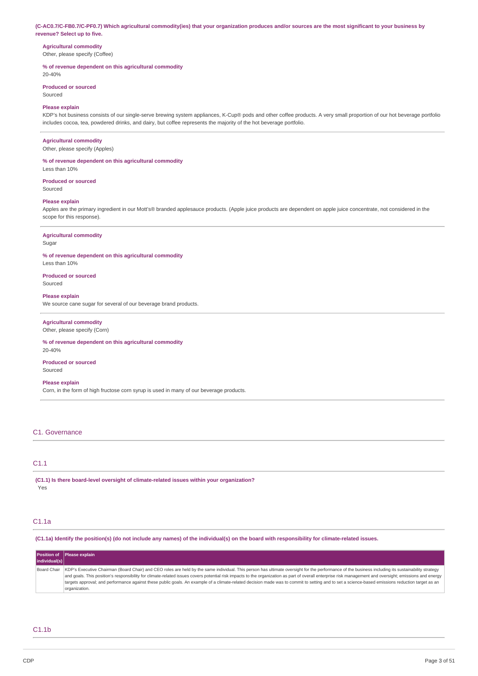#### (C-AC0.7/C-FB0.7/C-PF0.7) Which agricultural commodity(ies) that your organization produces and/or sources are the most significant to your business by **revenue? Select up to five.**

# **Agricultural commodity**

Other, please specify (Coffee)

# **% of revenue dependent on this agricultural commodity**

20-40%

#### **Produced or sourced** Sourced

# **Please explain**

KDP's hot business consists of our single-serve brewing system appliances, K-Cup® pods and other coffee products. A very small proportion of our hot beverage portfolio includes cocoa, tea, powdered drinks, and dairy, but coffee represents the majority of the hot beverage portfolio.

### **Agricultural commodity**

Other, please specify (Apples)

# **% of revenue dependent on this agricultural commodity**

Less than 10%

#### **Produced or sourced** Sourced

### **Please explain**

Apples are the primary ingredient in our Mott's® branded applesauce products. (Apple juice products are dependent on apple juice concentrate, not considered in the scope for this response).

### **Agricultural commodity**

Sugar

## **% of revenue dependent on this agricultural commodity** Less than 10%

**Produced or sourced**

Sourced

#### **Please explain**

We source cane sugar for several of our beverage brand products.

# **Agricultural commodity**

Other, please specify (Corn)

#### **% of revenue dependent on this agricultural commodity** 20-40%

# **Produced or sourced**

Sourced

# **Please explain**

Corn, in the form of high fructose corn syrup is used in many of our beverage products.

# C1. Governance

# C1.1

**(C1.1) Is there board-level oversight of climate-related issues within your organization?** Yes

# C1.1a

(C1.1a) Identify the position(s) (do not include any names) of the individual(s) on the board with responsibility for climate-related issues.

|               | Position of Please explain                                                                                                                                                                                                                                                                                                                                                                                                                                                                                                                                                                                                          |
|---------------|-------------------------------------------------------------------------------------------------------------------------------------------------------------------------------------------------------------------------------------------------------------------------------------------------------------------------------------------------------------------------------------------------------------------------------------------------------------------------------------------------------------------------------------------------------------------------------------------------------------------------------------|
| individual(s) |                                                                                                                                                                                                                                                                                                                                                                                                                                                                                                                                                                                                                                     |
| Board Chair   | KDP's Executive Chairman (Board Chair) and CEO roles are held by the same individual. This person has ultimate oversight for the performance of the business including its sustainability strategy<br>and goals. This position's responsibility for climate-related issues covers potential risk impacts to the organization as part of overall enterprise risk management and oversight; emissions and energy<br>targets approval; and performance against these public goals. An example of a climate-related decision made was to commit to setting and to set a science-based emissions reduction target as an<br>organization. |

# $C1.1<sub>b</sub>$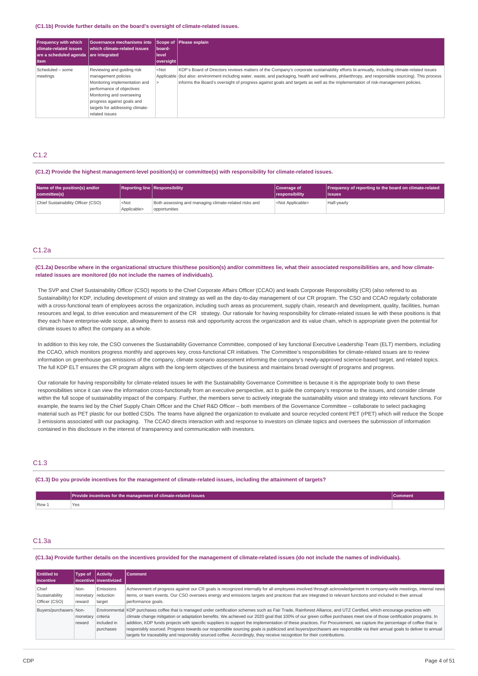#### **(C1.1b) Provide further details on the board's oversight of climate-related issues.**

| <b>Frequency with which</b><br><b>climate-related issues</b><br>are a scheduled agenda lare integrated<br>l item | Governance mechanisms into<br>which climate-related issues                                                                                                                                                                      | board-<br>level<br>oversight                                                                                                                                                                                                                                                                                                                                                                                                                                    | Scope of Please explain                                                                                                                                                                                                                                                                                                                                                                                                           |
|------------------------------------------------------------------------------------------------------------------|---------------------------------------------------------------------------------------------------------------------------------------------------------------------------------------------------------------------------------|-----------------------------------------------------------------------------------------------------------------------------------------------------------------------------------------------------------------------------------------------------------------------------------------------------------------------------------------------------------------------------------------------------------------------------------------------------------------|-----------------------------------------------------------------------------------------------------------------------------------------------------------------------------------------------------------------------------------------------------------------------------------------------------------------------------------------------------------------------------------------------------------------------------------|
| Scheduled - some<br>meetings                                                                                     | Reviewing and guiding risk<br>management policies<br>Monitoring implementation and<br>performance of objectives<br>Monitoring and overseeing<br>progress against goals and<br>targets for addressing climate-<br>related issues | <not< td=""><td>KDP's Board of Directors reviews matters of the Company's corporate sustainability efforts bi-annually, including climate-related issues<br/>Applicable (but also: environment including water, waste, and packaging, health and wellness, philanthropy, and responsible sourcing). This process<br/>informs the Board's oversight of progress against goals and targets as well as the implementation of risk-management policies.</td></not<> | KDP's Board of Directors reviews matters of the Company's corporate sustainability efforts bi-annually, including climate-related issues<br>Applicable (but also: environment including water, waste, and packaging, health and wellness, philanthropy, and responsible sourcing). This process<br>informs the Board's oversight of progress against goals and targets as well as the implementation of risk-management policies. |

# C<sub>12</sub>

**(C1.2) Provide the highest management-level position(s) or committee(s) with responsibility for climate-related issues.**

| Name of the position(s) and/or<br>committee(s) |                                 | Reporting line Responsibility                                          | Coverage of<br><i><u><b>Iresponsibility</b></u></i> | <b>Frequency of reporting to the board on climate-related</b><br>lissues |
|------------------------------------------------|---------------------------------|------------------------------------------------------------------------|-----------------------------------------------------|--------------------------------------------------------------------------|
| Chief Sustainability Officer (CSO)             | <not<br>Applicable&gt;</not<br> | Both assessing and managing climate-related risks and<br>opportunities | <not applicable=""></not>                           | Half-yearly                                                              |

# C1.2a

(C1.2a) Describe where in the organizational structure this/these position(s) and/or committees lie, what their associated responsibilities are, and how climate**related issues are monitored (do not include the names of individuals).**

The SVP and Chief Sustainability Officer (CSO) reports to the Chief Corporate Affairs Officer (CCAO) and leads Corporate Responsibility (CR) (also referred to as Sustainability) for KDP, including development of vision and strategy as well as the day-to-day management of our CR program. The CSO and CCAO regularly collaborate with a cross-functional team of employees across the organization, including such areas as procurement, supply chain, research and development, quality, facilities, human resources and legal, to drive execution and measurement of the CR strategy. Our rationale for having responsibility for climate-related issues lie with these positions is that they each have enterprise-wide scope, allowing them to assess risk and opportunity across the organization and its value chain, which is appropriate given the potential for climate issues to affect the company as a whole.

In addition to this key role, the CSO convenes the Sustainability Governance Committee, composed of key functional Executive Leadership Team (ELT) members, including the CCAO, which monitors progress monthly and approves key, cross-functional CR initiatives. The Committee's responsibilities for climate-related issues are to review information on greenhouse gas emissions of the company, climate scenario assessment informing the company's newly-approved science-based target, and related topics. The full KDP ELT ensures the CR program aligns with the long-term objectives of the business and maintains broad oversight of programs and progress.

Our rationale for having responsibility for climate-related issues lie with the Sustainability Governance Committee is because it is the appropriate body to own these responsibilities since it can view the information cross-functionally from an executive perspective, act to guide the company's response to the issues, and consider climate within the full scope of sustainability impact of the company. Further, the members serve to actively integrate the sustainability vision and strategy into relevant functions. For example, the teams led by the Chief Supply Chain Officer and the Chief R&D Officer – both members of the Governance Committee – collaborate to select packaging material such as PET plastic for our bottled CSDs. The teams have aligned the organization to evaluate and source recycled content PET (rPET) which will reduce the Scope 3 emissions associated with our packaging. The CCAO directs interaction with and response to investors on climate topics and oversees the submission of information contained in this disclosure in the interest of transparency and communication with investors.

# C1.3

(C1.3) Do you provide incentives for the management of climate-related issues, including the attainment of targets?

|                                                         | Provide incentives for the management of climate-related issues |  |
|---------------------------------------------------------|-----------------------------------------------------------------|--|
| Row <sub>1</sub><br>the contract of the contract of the |                                                                 |  |

# C1.3a

(C1.3a) Provide further details on the incentives provided for the management of climate-related issues (do not include the names of individuals)

| <b>Entitled to</b><br>l incentive        | <b>Type of</b>             | <b>Activity</b><br>incentive linventivized | <b>Comment</b>                                                                                                                                                                                                                                                                                                                                                                                                                                                                                                                                                                                                                                                                                                                                                                                                          |
|------------------------------------------|----------------------------|--------------------------------------------|-------------------------------------------------------------------------------------------------------------------------------------------------------------------------------------------------------------------------------------------------------------------------------------------------------------------------------------------------------------------------------------------------------------------------------------------------------------------------------------------------------------------------------------------------------------------------------------------------------------------------------------------------------------------------------------------------------------------------------------------------------------------------------------------------------------------------|
| Chief<br>Sustainability<br>Officer (CSO) | Non-<br>monetary<br>reward | Emissions<br>reduction<br>target           | Achievement of progress against our CR goals is recognized internally for all employees involved through acknowledgement in company-wide meetings, internal news<br>items, or team events. Our CSO oversees energy and emissions targets and practices that are integrated to relevant functions and included in their annual<br>performance goals.                                                                                                                                                                                                                                                                                                                                                                                                                                                                     |
| Buyers/purchasers Non-                   | monetary<br>reward         | criteria<br>included in<br>purchases       | Environmental KDP purchases coffee that is managed under certification schemes such as Fair Trade, Rainforest Alliance, and UTZ Certified, which encourage practices with<br>climate change mitigation or adaptation benefits. We achieved our 2020 goal that 100% of our green coffee purchases meet one of those certification programs. In<br>addition, KDP funds projects with specific suppliers to support the implementation of these practices. For Procurement, we capture the percentage of coffee that is<br>responsibly sourced. Progress towards our responsible sourcing goals is publicized and buyers/purchasers are responsible via their annual goals to deliver to annual<br>targets for traceability and responsibly sourced coffee. Accordingly, they receive recognition for their contributions. |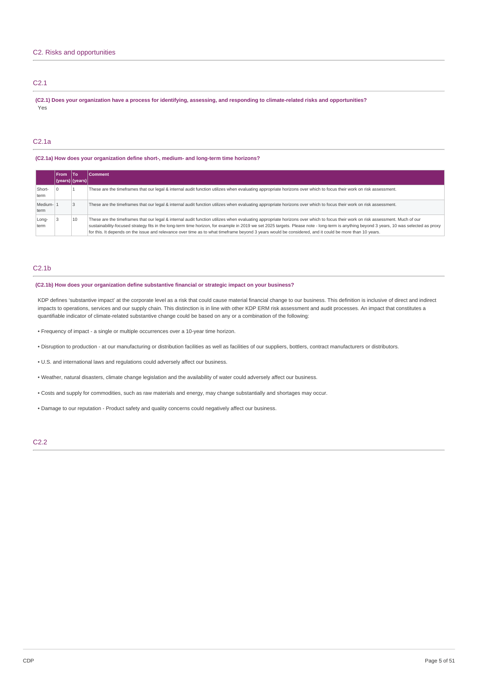# C2. Risks and opportunities

# C2.1

(C2.1) Does your organization have a process for identifying, assessing, and responding to climate-related risks and opportunities? Yes

# C2.1a

## **(C2.1a) How does your organization define short-, medium- and long-term time horizons?**

|                   | <b>From</b>     | lTo | Comment                                                                                                                                                                                                                                                                                                                                                                                                                                                                                                                               |
|-------------------|-----------------|-----|---------------------------------------------------------------------------------------------------------------------------------------------------------------------------------------------------------------------------------------------------------------------------------------------------------------------------------------------------------------------------------------------------------------------------------------------------------------------------------------------------------------------------------------|
|                   | (years) (years) |     |                                                                                                                                                                                                                                                                                                                                                                                                                                                                                                                                       |
| Short-<br>term    |                 |     | These are the timeframes that our legal & internal audit function utilizes when evaluating appropriate horizons over which to focus their work on risk assessment.                                                                                                                                                                                                                                                                                                                                                                    |
| Medium-11<br>term |                 |     | These are the timeframes that our legal & internal audit function utilizes when evaluating appropriate horizons over which to focus their work on risk assessment.                                                                                                                                                                                                                                                                                                                                                                    |
| Long-<br>term     |                 | 10  | These are the timeframes that our legal & internal audit function utilizes when evaluating appropriate horizons over which to focus their work on risk assessment. Much of our<br>sustainability-focused strategy fits in the long-term time horizon, for example in 2019 we set 2025 targets. Please note - long-term is anything beyond 3 years, 10 was selected as proxy<br>for this. It depends on the issue and relevance over time as to what timeframe beyond 3 years would be considered, and it could be more than 10 years. |

# C2.1b

# **(C2.1b) How does your organization define substantive financial or strategic impact on your business?**

KDP defines 'substantive impact' at the corporate level as a risk that could cause material financial change to our business. This definition is inclusive of direct and indirect impacts to operations, services and our supply chain. This distinction is in line with other KDP ERM risk assessment and audit processes. An impact that constitutes a quantifiable indicator of climate-related substantive change could be based on any or a combination of the following:

- Frequency of impact a single or multiple occurrences over a 10-year time horizon.
- Disruption to production at our manufacturing or distribution facilities as well as facilities of our suppliers, bottlers, contract manufacturers or distributors.
- U.S. and international laws and regulations could adversely affect our business.
- Weather, natural disasters, climate change legislation and the availability of water could adversely affect our business.
- Costs and supply for commodities, such as raw materials and energy, may change substantially and shortages may occur.
- Damage to our reputation Product safety and quality concerns could negatively affect our business.

# C2.2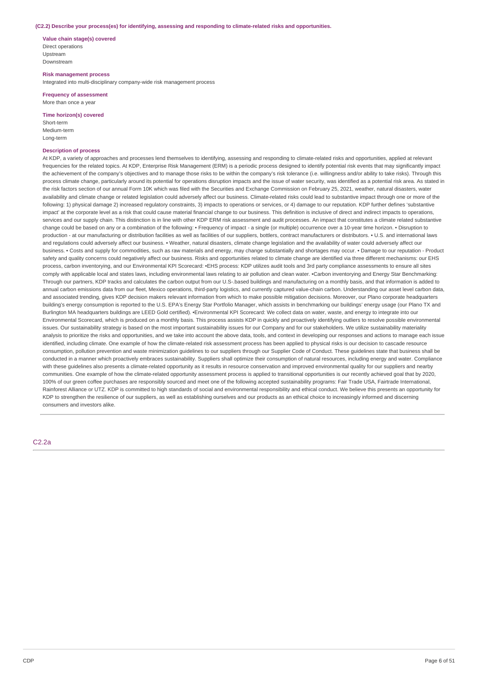#### **(C2.2) Describe your process(es) for identifying, assessing and responding to climate-related risks and opportunities.**

**Value chain stage(s) covered** Direct operations Upstream Downstream

**Risk management process** Integrated into multi-disciplinary company-wide risk management process

**Frequency of assessment** More than once a year

**Time horizon(s) covered**

Short-term Medium-term Long-term

## **Description of process**

At KDP, a variety of approaches and processes lend themselves to identifying, assessing and responding to climate-related risks and opportunities, applied at relevant frequencies for the related topics. At KDP, Enterprise Risk Management (ERM) is a periodic process designed to identify potential risk events that may significantly impact the achievement of the company's objectives and to manage those risks to be within the company's risk tolerance (i.e. willingness and/or ability to take risks). Through this process climate change, particularly around its potential for operations disruption impacts and the issue of water security, was identified as a potential risk area. As stated in the risk factors section of our annual Form 10K which was filed with the Securities and Exchange Commission on February 25, 2021, weather, natural disasters, water availability and climate change or related legislation could adversely affect our business. Climate-related risks could lead to substantive impact through one or more of the following: 1) physical damage 2) increased regulatory constraints, 3) impacts to operations or services, or 4) damage to our reputation. KDP further defines 'substantive impact' at the corporate level as a risk that could cause material financial change to our business. This definition is inclusive of direct and indirect impacts to operations, services and our supply chain. This distinction is in line with other KDP ERM risk assessment and audit processes. An impact that constitutes a climate related substantive change could be based on any or a combination of the following: • Frequency of impact - a single (or multiple) occurrence over a 10-year time horizon. • Disruption to production - at our manufacturing or distribution facilities as well as facilities of our suppliers, bottlers, contract manufacturers or distributors. • U.S. and international laws and regulations could adversely affect our business. • Weather, natural disasters, climate change legislation and the availability of water could adversely affect our business. • Costs and supply for commodities, such as raw materials and energy, may change substantially and shortages may occur. • Damage to our reputation - Product safety and quality concerns could negatively affect our business. Risks and opportunities related to climate change are identified via three different mechanisms: our EHS process, carbon inventorying, and our Environmental KPI Scorecard: •EHS process: KDP utilizes audit tools and 3rd party compliance assessments to ensure all sites comply with applicable local and states laws, including environmental laws relating to air pollution and clean water. •Carbon inventorying and Energy Star Benchmarking: Through our partners, KDP tracks and calculates the carbon output from our U.S-.based buildings and manufacturing on a monthly basis, and that information is added to annual carbon emissions data from our fleet. Mexico operations, third-party logistics, and currently captured value-chain carbon. Understanding our asset level carbon data, and associated trending, gives KDP decision makers relevant information from which to make possible mitigation decisions. Moreover, our Plano corporate headquarters building's energy consumption is reported to the U.S. EPA's Energy Star Portfolio Manager, which assists in benchmarking our buildings' energy usage (our Plano TX and Burlington MA headquarters buildings are LEED Gold certified). •Environmental KPI Scorecard: We collect data on water, waste, and energy to integrate into our Environmental Scorecard, which is produced on a monthly basis. This process assists KDP in quickly and proactively identifying outliers to resolve possible environmental issues. Our sustainability strategy is based on the most important sustainability issues for our Company and for our stakeholders. We utilize sustainability materiality analysis to prioritize the risks and opportunities, and we take into account the above data, tools, and context in developing our responses and actions to manage each issue identified, including climate. One example of how the climate-related risk assessment process has been applied to physical risks is our decision to cascade resource consumption, pollution prevention and waste minimization guidelines to our suppliers through our Supplier Code of Conduct. These guidelines state that business shall be conducted in a manner which proactively embraces sustainability. Suppliers shall optimize their consumption of natural resources, including energy and water. Compliance with these guidelines also presents a climate-related opportunity as it results in resource conservation and improved environmental quality for our suppliers and nearby communities. One example of how the climate-related opportunity assessment process is applied to transitional opportunities is our recently achieved goal that by 2020, 100% of our green coffee purchases are responsibly sourced and meet one of the following accepted sustainability programs: Fair Trade USA, Fairtrade International, Rainforest Alliance or UTZ. KDP is committed to high standards of social and environmental responsibility and ethical conduct. We believe this presents an opportunity for KDP to strengthen the resilience of our suppliers, as well as establishing ourselves and our products as an ethical choice to increasingly informed and discerning consumers and investors alike.

C2.2a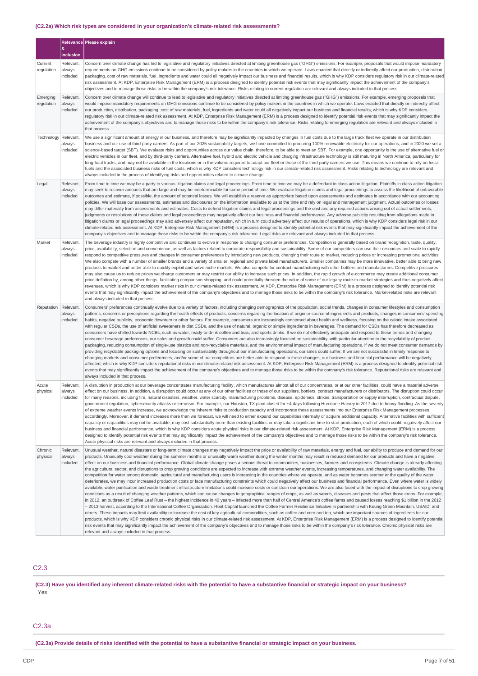# **(C2.2a) Which risk types are considered in your organization's climate-related risk assessments?**

|                        | &                               | Relevance Please explain                                                                                                                                                                                                                                                                                                                                                                                                                                                                                                                                                                                                                                                                                                                                                                                                                                                                                                                                                                                                                                                                                                                                                                                                                                                                                                                                                                                                                                                                                                                                                                                                                                                                                                                                                                                                                                                                                                                                                                                                                                                                                                                                                                                                                                                                                                                                                                                                                                                                                                                                                         |
|------------------------|---------------------------------|----------------------------------------------------------------------------------------------------------------------------------------------------------------------------------------------------------------------------------------------------------------------------------------------------------------------------------------------------------------------------------------------------------------------------------------------------------------------------------------------------------------------------------------------------------------------------------------------------------------------------------------------------------------------------------------------------------------------------------------------------------------------------------------------------------------------------------------------------------------------------------------------------------------------------------------------------------------------------------------------------------------------------------------------------------------------------------------------------------------------------------------------------------------------------------------------------------------------------------------------------------------------------------------------------------------------------------------------------------------------------------------------------------------------------------------------------------------------------------------------------------------------------------------------------------------------------------------------------------------------------------------------------------------------------------------------------------------------------------------------------------------------------------------------------------------------------------------------------------------------------------------------------------------------------------------------------------------------------------------------------------------------------------------------------------------------------------------------------------------------------------------------------------------------------------------------------------------------------------------------------------------------------------------------------------------------------------------------------------------------------------------------------------------------------------------------------------------------------------------------------------------------------------------------------------------------------------|
|                        | inclusion                       |                                                                                                                                                                                                                                                                                                                                                                                                                                                                                                                                                                                                                                                                                                                                                                                                                                                                                                                                                                                                                                                                                                                                                                                                                                                                                                                                                                                                                                                                                                                                                                                                                                                                                                                                                                                                                                                                                                                                                                                                                                                                                                                                                                                                                                                                                                                                                                                                                                                                                                                                                                                  |
| Current<br>regulation  | Relevant,<br>always<br>included | Concern over climate change has led to legislative and regulatory initiatives directed at limiting greenhouse gas ("GHG") emissions. For example, proposals that would impose mandatory<br>requirements on GHG emissions continue to be considered by policy makers in the countries in which we operate. Laws enacted that directly or indirectly affect our production, distribution,<br>packaging, cost of raw materials, fuel, ingredients and water could all negatively impact our business and financial results, which is why KDP considers regulatory risk in our climate-related<br>risk assessment. At KDP, Enterprise Risk Management (ERM) is a process designed to identify potential risk events that may significantly impact the achievement of the company's<br>objectives and to manage those risks to be within the company's risk tolerance. Risks relating to current regulation are relevant and always included in that process.                                                                                                                                                                                                                                                                                                                                                                                                                                                                                                                                                                                                                                                                                                                                                                                                                                                                                                                                                                                                                                                                                                                                                                                                                                                                                                                                                                                                                                                                                                                                                                                                                         |
| Emerging<br>regulation | Relevant,<br>always<br>included | Concern over climate change will continue to lead to legislative and regulatory initiatives directed at limiting greenhouse gas ("GHG") emissions. For example, emerging proposals that<br>would impose mandatory requirements on GHG emissions continue to be considered by policy makers in the countries in which we operate. Laws enacted that directly or indirectly affect<br>our production, distribution, packaging, cost of raw materials, fuel, ingredients and water could all negatively impact our business and financial results, which is why KDP considers<br>regulatory risk in our climate-related risk assessment. At KDP, Enterprise Risk Management (ERM) is a process designed to identify potential risk events that may significantly impact the<br>achievement of the company's objectives and to manage those risks to be within the company's risk tolerance. Risks relating to emerging regulation are relevant and always included in<br>that process.                                                                                                                                                                                                                                                                                                                                                                                                                                                                                                                                                                                                                                                                                                                                                                                                                                                                                                                                                                                                                                                                                                                                                                                                                                                                                                                                                                                                                                                                                                                                                                                              |
| Technology             | Relevant,<br>always<br>included | We use a significant amount of energy in our business, and therefore may be significantly impacted by changes in fuel costs due to the large truck fleet we operate in our distribution<br>business and our use of third-party carriers. As part of our 2025 sustainability targets, we have committed to procuring 100% renewable electricity for our operations, and in 2020 we set a<br>science-based target (SBT). We evaluate risks and opportunities across our value chain, therefore, to be able to meet an SBT. For example, one opportunity is the use of alternative fuel or<br>electric vehicles in our fleet, and by third-party carriers. Alternative fuel, hybrid and electric vehicle and charging infrastructure technology is still maturing in North America, particularly for<br>long-haul trucks, and may not be available in the locations or in the volume required to adapt our fleet or those of the third-party carriers we use. This means we continue to rely on fossil<br>fuels and the associated business risks of fuel costs, which is why KDP considers technology risk in our climate-related risk assessment. Risks relating to technology are relevant and<br>always included in the process of identifying risks and opportunities related to climate change.                                                                                                                                                                                                                                                                                                                                                                                                                                                                                                                                                                                                                                                                                                                                                                                                                                                                                                                                                                                                                                                                                                                                                                                                                                                                               |
| Legal                  | Relevant,<br>always<br>included | From time to time we may be a party to various litigation claims and legal proceedings. From time to time we may be a defendant in class action litigation. Plaintiffs in class action litigation<br>may seek to recover amounts that are large and may be indeterminable for some period of time. We evaluate litigation claims and legal proceedings to assess the likelihood of unfavorable<br>outcomes and estimate, if possible, the amount of potential losses. We will establish a reserve as appropriate based upon assessments and estimates in accordance with our accounting<br>policies. We will base our assessments, estimates and disclosures on the information available to us at the time and rely on legal and management judgment. Actual outcomes or losses<br>may differ materially from assessments and estimates. Costs to defend litigation claims and legal proceedings and the cost and any required actions arising out of actual settlements,<br>judgments or resolutions of these claims and legal proceedings may negatively affect our business and financial performance. Any adverse publicity resulting from allegations made in<br>litigation claims or legal proceedings may also adversely affect our reputation, which in turn could adversely affect our results of operations, which is why KDP considers legal risk in our<br>climate-related risk assessment. At KDP, Enterprise Risk Management (ERM) is a process designed to identify potential risk events that may significantly impact the achievement of the<br>company's objectives and to manage those risks to be within the company's risk tolerance. Legal risks are relevant and always included in that process.                                                                                                                                                                                                                                                                                                                                                                                                                                                                                                                                                                                                                                                                                                                                                                                                                                                        |
| Market                 | Relevant,<br>always<br>included | The beverage industry is highly competitive and continues to evolve in response to changing consumer preferences. Competition is generally based on brand recognition, taste, quality,<br>price, availability, selection and convenience, as well as factors related to corporate responsibility and sustainability. Some of our competitors can use their resources and scale to rapidly<br>respond to competitive pressures and changes in consumer preferences by introducing new products, changing their route to market, reducing prices or increasing promotional activities.<br>We also compete with a number of smaller brands and a variety of smaller, regional and private label manufacturers. Smaller companies may be more innovative, better able to bring new<br>products to market and better able to quickly exploit and serve niche markets. We also compete for contract manufacturing with other bottlers and manufacturers. Competitive pressures<br>may also cause us to reduce prices we charge customers or may restrict our ability to increase such prices. In addition, the rapid growth of e-commerce may create additional consumer<br>price deflation by, among other things, facilitating comparison shopping, and could potentially threaten the value of some of our legacy route-to-market strategies and thus negatively affect<br>revenues. which is why KDP considers market risks in our climate-related risk assessment. At KDP, Enterprise Risk Management (ERM) is a process designed to identify potential risk<br>events that may significantly impact the achievement of the company's objectives and to manage those risks to be within the company's risk tolerance. Market-related risks are relevant<br>and always included in that process.                                                                                                                                                                                                                                                                                                                                                                                                                                                                                                                                                                                                                                                                                                                                                                                   |
| Reputation             | Relevant,<br>always<br>included | Consumers' preferences continually evolve due to a variety of factors, including changing demographics of the population, social trends, changes in consumer lifestyles and consumption<br>patterns, concerns or perceptions regarding the health effects of products, concerns regarding the location of origin or source of ingredients and products, changes in consumers' spending<br>habits, negative publicity, economic downturn or other factors. For example, consumers are increasingly concerned about health and wellness, focusing on the caloric intake associated<br>with regular CSDs, the use of artificial sweeteners in diet CSDs, and the use of natural, organic or simple ingredients in beverages. The demand for CSDs has therefore decreased as<br>consumers have shifted towards NCBs, such as water, ready-to-drink coffee and teas, and sports drinks. If we do not effectively anticipate and respond to these trends and changing<br>consumer beverage preferences, our sales and growth could suffer. Consumers are also increasingly focused on sustainability, with particular attention to the recyclability of product<br>packaging, reducing consumption of single-use plastics and non-recyclable materials, and the environmental impact of manufacturing operations. If we do not meet consumer demands by<br>providing recyclable packaging options and focusing on sustainability throughout our manufacturing operations, our sales could suffer. If we are not successful in timely response to<br>changing markets and consumer preferences, and/or some of our competitors are better able to respond to these changes, our business and financial performance will be negatively<br>affected, which is why KDP considers reputational risks in our climate-related risk assessment. At KDP, Enterprise Risk Management (ERM) is a process designed to identify potential risk<br>events that may significantly impact the achievement of the company's objectives and to manage those risks to be within the company's risk tolerance. Reputational risks are relevant and<br>always included in that process.                                                                                                                                                                                                                                                                                                                                                                                                                     |
| Acute<br>physical      | Relevant,<br>always<br>included | A disruption in production at our beverage concentrates manufacturing facility, which manufactures almost all of our concentrates, or at our other facilities, could have a material adverse<br>effect on our business. In addition, a disruption could occur at any of our other facilities or those of our suppliers, bottlers, contract manufacturers or distributors. The disruption could occur<br>for many reasons, including fire, natural disasters, weather, water scarcity, manufacturing problems, disease, epidemics, strikes, transportation or supply interruption, contractual dispute,<br>government regulation, cybersecurity attacks or terrorism. For example, our Houston, TX plant closed for ~4 days following Hurricane Harvey in 2017 due to heavy flooding. As the severity<br>of extreme weather events increase, we acknowledge the inherent risks to production capacity and incorporate those assessments into our Enterprise Risk Management processes<br>accordingly. Moreover, if demand increases more than we forecast, we will need to either expand our capabilities internally or acquire additional capacity. Alternative facilities with sufficient<br>capacity or capabilities may not be available, may cost substantially more than existing facilities or may take a significant time to start production, each of which could negatively affect our<br>business and financial performance, which is why KDP considers acute physical risks in our climate-related risk assessment. At KDP, Enterprise Risk Management (ERM) is a process<br>designed to identify potential risk events that may significantly impact the achievement of the company's objectives and to manage those risks to be within the company's risk tolerance.<br>Acute physical risks are relevant and always included in that process.                                                                                                                                                                                                                                                                                                                                                                                                                                                                                                                                                                                                                                                                                                                      |
| Chronic<br>physical    | Relevant.<br>always<br>included | Unusual weather, natural disasters or long-term climate changes may negatively impact the price or availability of raw materials, energy and fuel, our ability to produce and demand for our<br>products. Unusually cool weather during the summer months or unusually warm weather during the winter months may result in reduced demand for our products and have a negative<br>effect on our business and financial performance. Global climate change poses a serious threat to communities, businesses, farmers and ecosystems. Climate change is already affecting<br>the agricultural sector, and disruptions to crop growing conditions are expected to increase with extreme weather events, increasing temperatures, and changing water availability. The<br>competition for water among domestic, agricultural and manufacturing users is increasing in the countries where we operate, and as water becomes scarcer or the quality of the water<br>deteriorates, we may incur increased production costs or face manufacturing constraints which could negatively affect our business and financial performance. Even where water is widely<br>available, water purification and waste treatment infrastructure limitations could increase costs or constrain our operations. We are also faced with the impact of disruptions to crop growing<br>conditions as a result of changing weather patterns, which can cause changes in geographical ranges of crops, as well as weeds, diseases and pests that affect those crops. For example,<br>in 2012, an outbreak of Coffee Leaf Rust - the highest incidence in 40 years - infected more than half of Central America's coffee farms and caused losses reaching \$1 billion in the 2012<br>- 2013 harvest, according to the International Coffee Organization. Root Capital launched the Coffee Farmer Resilience Initiative in partnership with Keurig Green Mountain, USAID, and<br>others. These impacts may limit availability or increase the cost of key agricultural commodities, such as coffee and corn and tea, which are important sources of ingredients for our<br>products, which is why KDP considers chronic physical risks in our climate-related risk assessment. At KDP, Enterprise Risk Management (ERM) is a process designed to identify potential<br>risk events that may significantly impact the achievement of the company's objectives and to manage those risks to be within the company's risk tolerance. Chronic physical risks are<br>relevant and always included in that process. |

# C2.3

# (C2.3) Have you identified any inherent climate-related risks with the potential to have a substantive financial or strategic impact on your business? Yes

# C2.3a

(C2.3a) Provide details of risks identified with the potential to have a substantive financial or strategic impact on your business.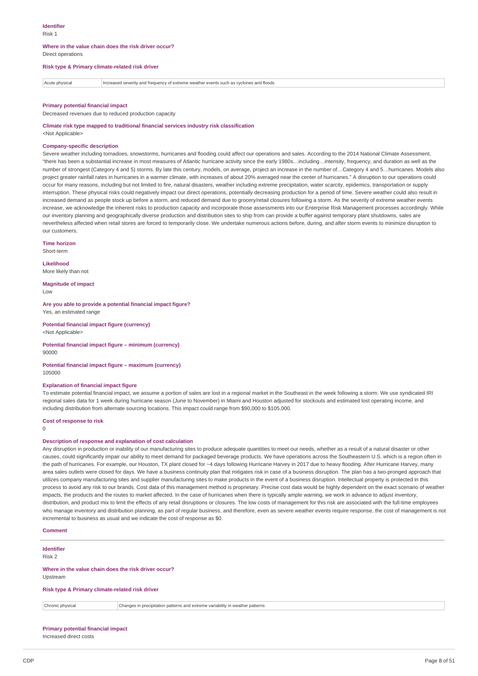#### **Where in the value chain does the risk driver occur?** Direct operations

## **Risk type & Primary climate-related risk driver**

Acute physical Increased severity and frequency of extreme weather events such as cyclones and floods

#### **Primary potential financial impact**

Decreased revenues due to reduced production capacity

## **Climate risk type mapped to traditional financial services industry risk classification**

<Not Applicable>

## **Company-specific description**

Severe weather including tornadoes, snowstorms, hurricanes and flooding could affect our operations and sales. According to the 2014 National Climate Assessment, "there has been a substantial increase in most measures of Atlantic hurricane activity since the early 1980s…including…intensity, frequency, and duration as well as the number of strongest (Category 4 and 5) storms. By late this century, models, on average, project an increase in the number of…Category 4 and 5…hurricanes. Models also project greater rainfall rates in hurricanes in a warmer climate, with increases of about 20% averaged near the center of hurricanes." A disruption to our operations could occur for many reasons, including but not limited to fire, natural disasters, weather including extreme precipitation, water scarcity, epidemics, transportation or supply interruption. These physical risks could negatively impact our direct operations, potentially decreasing production for a period of time. Severe weather could also result in increased demand as people stock up before a storm, and reduced demand due to grocery/retail closures following a storm. As the severity of extreme weather events increase, we acknowledge the inherent risks to production capacity and incorporate those assessments into our Enterprise Risk Management processes accordingly. While our inventory planning and geographically diverse production and distribution sites to ship from can provide a buffer against temporary plant shutdowns, sales are nevertheless affected when retail stores are forced to temporarily close. We undertake numerous actions before, during, and after storm events to minimize disruption to our customers.

**Time horizon** Short-term

**Likelihood**

More likely than not

**Magnitude of impact**  $\overline{L}$   $\Omega$ 

**Are you able to provide a potential financial impact figure?** Yes, an estimated range

**Potential financial impact figure (currency)** <Not Applicable>

**Potential financial impact figure – minimum (currency)** 90000

**Potential financial impact figure – maximum (currency)** 105000

#### **Explanation of financial impact figure**

To estimate potential financial impact, we assume a portion of sales are lost in a regional market in the Southeast in the week following a storm. We use syndicated IRI regional sales data for 1 week during hurricane season (June to November) in Miami and Houston adjusted for stockouts and estimated lost operating income, and including distribution from alternate sourcing locations. This impact could range from \$90,000 to \$105,000.

#### **Cost of response to risk**

 $\Omega$ 

## **Description of response and explanation of cost calculation**

Any disruption in production or inability of our manufacturing sites to produce adequate quantities to meet our needs, whether as a result of a natural disaster or other causes, could significantly impair our ability to meet demand for packaged beverage products. We have operations across the Southeastern U.S. which is a region often in the path of hurricanes. For example, our Houston, TX plant closed for ~4 days following Hurricane Harvey in 2017 due to heavy flooding. After Hurricane Harvey, many area sales outlets were closed for days. We have a business continuity plan that mitigates risk in case of a business disruption. The plan has a two-pronged approach that utilizes company manufacturing sites and supplier manufacturing sites to make products in the event of a business disruption. Intellectual property is protected in this process to avoid any risk to our brands. Cost data of this management method is proprietary. Precise cost data would be highly dependent on the exact scenario of weather impacts, the products and the routes to market affected. In the case of hurricanes when there is typically ample warning, we work in advance to adjust inventory, distribution, and product mix to limit the effects of any retail disruptions or closures. The low costs of management for this risk are associated with the full-time employees who manage inventory and distribution planning, as part of regular business, and therefore, even as severe weather events require response, the cost of management is not incremental to business as usual and we indicate the cost of response as \$0.

**Comment**

# **Identifier** Risk 2 **Where in the value chain does the risk driver occur?** Upstream

**Risk type & Primary climate-related risk driver**

Chronic physical Changes in precipitation patterns and extreme variability in weather patterns

## **Primary potential financial impact**

Increased direct costs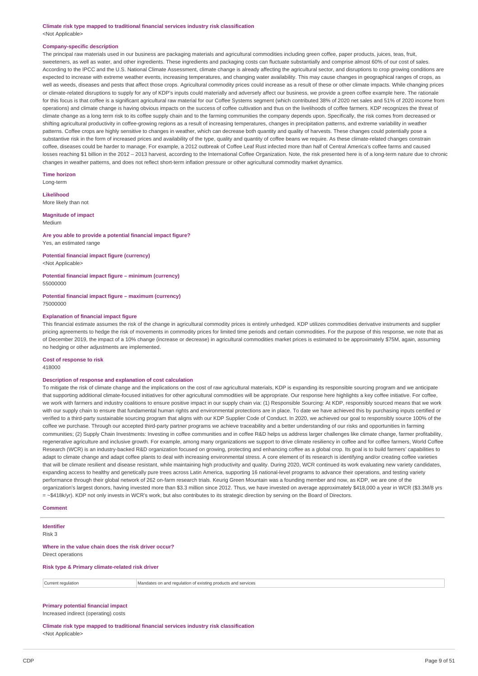**Climate risk type mapped to traditional financial services industry risk classification** <Not Applicable>

#### **Company-specific description**

The principal raw materials used in our business are packaging materials and agricultural commodities including green coffee, paper products, juices, teas, fruit, sweeteners, as well as water, and other ingredients. These ingredients and packaging costs can fluctuate substantially and comprise almost 60% of our cost of sales. According to the IPCC and the U.S. National Climate Assessment, climate change is already affecting the agricultural sector, and disruptions to crop growing conditions are expected to increase with extreme weather events, increasing temperatures, and changing water availability. This may cause changes in geographical ranges of crops, as well as weeds, diseases and pests that affect those crops. Agricultural commodity prices could increase as a result of these or other climate impacts. While changing prices or climate-related disruptions to supply for any of KDP's inputs could materially and adversely affect our business, we provide a green coffee example here. The rationale for this focus is that coffee is a significant agricultural raw material for our Coffee Systems segment (which contributed 38% of 2020 net sales and 51% of 2020 income from operations) and climate change is having obvious impacts on the success of coffee cultivation and thus on the livelihoods of coffee farmers. KDP recognizes the threat of climate change as a long term risk to its coffee supply chain and to the farming communities the company depends upon. Specifically, the risk comes from decreased or shifting agricultural productivity in coffee-growing regions as a result of increasing temperatures, changes in precipitation patterns, and extreme variability in weather patterns. Coffee crops are highly sensitive to changes in weather, which can decrease both quantity and quality of harvests. These changes could potentially pose a substantive risk in the form of increased prices and availability of the type, quality and quantity of coffee beans we require. As these climate-related changes constrain coffee, diseases could be harder to manage. For example, a 2012 outbreak of Coffee Leaf Rust infected more than half of Central America's coffee farms and caused losses reaching \$1 billion in the 2012 – 2013 harvest, according to the International Coffee Organization. Note, the risk presented here is of a long-term nature due to chronic changes in weather patterns, and does not reflect short-term inflation pressure or other agricultural commodity market dynamics.

**Time horizon**

Long-term

**Likelihood** More likely than not

# **Magnitude of impact**

Medium

#### **Are you able to provide a potential financial impact figure?** Yes, an estimated range

**Potential financial impact figure (currency)** <Not Applicable>

#### **Potential financial impact figure – minimum (currency)** 55000000

**Potential financial impact figure – maximum (currency)**

75000000

## **Explanation of financial impact figure**

This financial estimate assumes the risk of the change in agricultural commodity prices is entirely unhedged. KDP utilizes commodities derivative instruments and supplier pricing agreements to hedge the risk of movements in commodity prices for limited time periods and certain commodities. For the purpose of this response, we note that as of December 2019, the impact of a 10% change (increase or decrease) in agricultural commodities market prices is estimated to be approximately \$75M, again, assuming no hedging or other adjustments are implemented.

#### **Cost of response to risk**

418000

#### **Description of response and explanation of cost calculation**

To mitigate the risk of climate change and the implications on the cost of raw agricultural materials, KDP is expanding its responsible sourcing program and we anticipate that supporting additional climate-focused initiatives for other agricultural commodities will be appropriate. Our response here highlights a key coffee initiative. For coffee, we work with farmers and industry coalitions to ensure positive impact in our supply chain via: (1) Responsible Sourcing: At KDP, responsibly sourced means that we work with our supply chain to ensure that fundamental human rights and environmental protections are in place. To date we have achieved this by purchasing inputs certified or verified to a third-party sustainable sourcing program that aligns with our KDP Supplier Code of Conduct. In 2020, we achieved our goal to responsibly source 100% of the coffee we purchase. Through our accepted third-party partner programs we achieve traceability and a better understanding of our risks and opportunities in farming communities; (2) Supply Chain Investments: Investing in coffee communities and in coffee R&D helps us address larger challenges like climate change, farmer profitability, regenerative agriculture and inclusive growth. For example, among many organizations we support to drive climate resiliency in coffee and for coffee farmers, World Coffee Research (WCR) is an industry-backed R&D organization focused on growing, protecting and enhancing coffee as a global crop. Its goal is to build farmers' capabilities to adapt to climate change and adapt coffee plants to deal with increasing environmental stress. A core element of its research is identifying and/or creating coffee varieties that will be climate resilient and disease resistant, while maintaining high productivity and quality. During 2020, WCR continued its work evaluating new variety candidates, expanding access to healthy and genetically pure trees across Latin America, supporting 16 national-level programs to advance their operations, and testing variety performance through their global network of 262 on-farm research trials. Keurig Green Mountain was a founding member and now, as KDP, we are one of the organization's largest donors, having invested more than \$3.3 million since 2012. Thus, we have invested on average approximately \$418,000 a year in WCR (\$3.3M/8 yrs = ~\$418k/yr). KDP not only invests in WCR's work, but also contributes to its strategic direction by serving on the Board of Directors.

#### **Comment**

# **Identifier** Risk 3 **Where in the value chain does the risk driver occur?** Direct operations **Risk type & Primary climate-related risk driver** Current regulation Mandates on and regulation of existing products and services

# **Primary potential financial impact**

Increased indirect (operating) costs

**Climate risk type mapped to traditional financial services industry risk classification** <Not Applicable>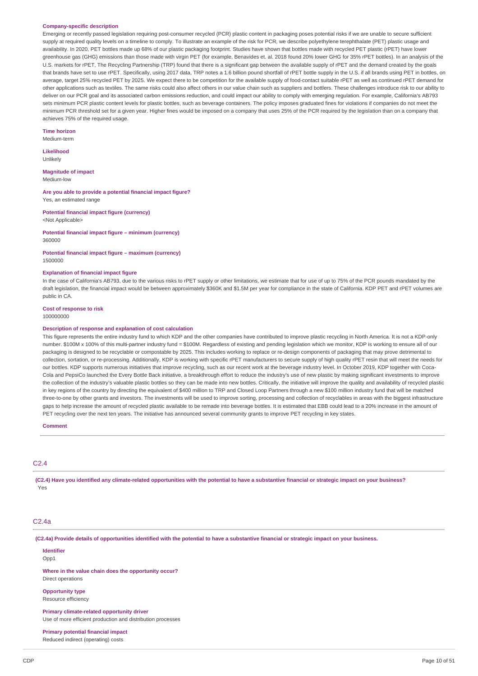#### **Company-specific description**

Emerging or recently passed legislation requiring post-consumer recycled (PCR) plastic content in packaging poses potential risks if we are unable to secure sufficient supply at required quality levels on a timeline to comply. To illustrate an example of the risk for PCR, we describe polyethylene terephthalate (PET) plastic usage and availability. In 2020, PET bottles made up 68% of our plastic packaging footprint. Studies have shown that bottles made with recycled PET plastic (rPET) have lower greenhouse gas (GHG) emissions than those made with virgin PET (for example, Benavides et. al. 2018 found 20% lower GHG for 35% rPET bottles). In an analysis of the U.S. markets for rPET, The Recycling Partnership (TRP) found that there is a significant gap between the available supply of rPET and the demand created by the goals that brands have set to use rPET. Specifically, using 2017 data, TRP notes a 1.6 billion pound shortfall of rPET bottle supply in the U.S. if all brands using PET in bottles, on average, target 25% recycled PET by 2025. We expect there to be competition for the available supply of food-contact suitable rPET as well as continued rPET demand for other applications such as textiles. The same risks could also affect others in our value chain such as suppliers and bottlers. These challenges introduce risk to our ability to deliver on our PCR goal and its associated carbon emissions reduction, and could impact our ability to comply with emerging regulation. For example, California's AB793 sets minimum PCR plastic content levels for plastic bottles, such as beverage containers. The policy imposes graduated fines for violations if companies do not meet the minimum PCR threshold set for a given year. Higher fines would be imposed on a company that uses 25% of the PCR required by the legislation than on a company that achieves 75% of the required usage.

#### **Time horizon** Medium-term

**Likelihood** Unlikely

**Magnitude of impact** Medium-low

**Are you able to provide a potential financial impact figure?** Yes, an estimated range

**Potential financial impact figure (currency)** <Not Applicable>

**Potential financial impact figure – minimum (currency)** 360000

**Potential financial impact figure – maximum (currency)** 1500000

## **Explanation of financial impact figure**

In the case of California's AB793, due to the various risks to rPET supply or other limitations, we estimate that for use of up to 75% of the PCR pounds mandated by the draft legislation, the financial impact would be between approximately \$360K and \$1.5M per year for compliance in the state of California. KDP PET and rPET volumes are public in CA.

**Cost of response to risk** 100000000

## **Description of response and explanation of cost calculation**

This figure represents the entire industry fund to which KDP and the other companies have contributed to improve plastic recycling in North America. It is not a KDP-only number. \$100M x 100% of this multi-partner industry fund = \$100M. Regardless of existing and pending legislation which we monitor, KDP is working to ensure all of our packaging is designed to be recyclable or compostable by 2025. This includes working to replace or re-design components of packaging that may prove detrimental to collection, sortation, or re-processing. Additionally, KDP is working with specific rPET manufacturers to secure supply of high quality rPET resin that will meet the needs for our bottles. KDP supports numerous initiatives that improve recycling, such as our recent work at the beverage industry level. In October 2019, KDP together with Coca-Cola and PepsiCo launched the Every Bottle Back initiative, a breakthrough effort to reduce the industry's use of new plastic by making significant investments to improve the collection of the industry's valuable plastic bottles so they can be made into new bottles. Critically, the initiative will improve the quality and availability of recycled plastic in key regions of the country by directing the equivalent of \$400 million to TRP and Closed Loop Partners through a new \$100 million industry fund that will be matched three-to-one by other grants and investors. The investments will be used to improve sorting, processing and collection of recyclables in areas with the biggest infrastructure gaps to help increase the amount of recycled plastic available to be remade into beverage bottles. It is estimated that EBB could lead to a 20% increase in the amount of PET recycling over the next ten years. The initiative has announced several community grants to improve PET recycling in key states.

**Comment**

# C2.4

(C2.4) Have you identified any climate-related opportunities with the potential to have a substantive financial or strategic impact on your business? Yes

# C<sub>2</sub> Aa

(C2.4a) Provide details of opportunities identified with the potential to have a substantive financial or strategic impact on your business.

**Identifier** Opp1

**Where in the value chain does the opportunity occur?** Direct operations

**Opportunity type** Resource efficiency

**Primary climate-related opportunity driver** Use of more efficient production and distribution processes

**Primary potential financial impact** Reduced indirect (operating) costs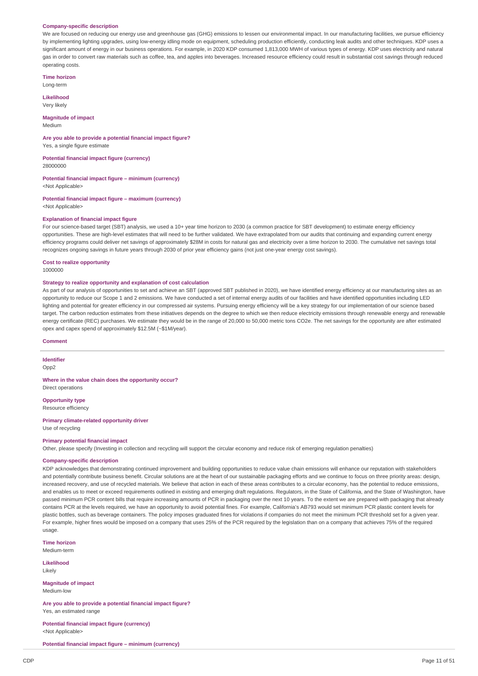#### **Company-specific description**

We are focused on reducing our energy use and greenhouse gas (GHG) emissions to lessen our environmental impact. In our manufacturing facilities, we pursue efficiency by implementing lighting upgrades, using low-energy idling mode on equipment, scheduling production efficiently, conducting leak audits and other techniques. KDP uses a significant amount of energy in our business operations. For example, in 2020 KDP consumed 1,813,000 MWH of various types of energy. KDP uses electricity and natural gas in order to convert raw materials such as coffee, tea, and apples into beverages. Increased resource efficiency could result in substantial cost savings through reduced operating costs.

**Time horizon**

Long-term

**Likelihood** Very likely

**Magnitude of impact** Medium

# **Are you able to provide a potential financial impact figure?** Yes, a single figure estimate

**Potential financial impact figure (currency)** 28000000

# **Potential financial impact figure – minimum (currency)**

<Not Applicable>

#### **Potential financial impact figure – maximum (currency)** <Not Applicable>

#### **Explanation of financial impact figure**

For our science-based target (SBT) analysis, we used a 10+ year time horizon to 2030 (a common practice for SBT development) to estimate energy efficiency opportunities. These are high-level estimates that will need to be further validated. We have extrapolated from our audits that continuing and expanding current energy efficiency programs could deliver net savings of approximately \$28M in costs for natural gas and electricity over a time horizon to 2030. The cumulative net savings total recognizes ongoing savings in future years through 2030 of prior year efficiency gains (not just one-year energy cost savings).

#### **Cost to realize opportunity**

1000000

#### **Strategy to realize opportunity and explanation of cost calculation**

As part of our analysis of opportunities to set and achieve an SBT (approved SBT published in 2020), we have identified energy efficiency at our manufacturing sites as an opportunity to reduce our Scope 1 and 2 emissions. We have conducted a set of internal energy audits of our facilities and have identified opportunities including LED lighting and potential for greater efficiency in our compressed air systems. Pursuing energy efficiency will be a key strategy for our implementation of our science based target. The carbon reduction estimates from these initiatives depends on the degree to which we then reduce electricity emissions through renewable energy and renewable energy certificate (REC) purchases. We estimate they would be in the range of 20,000 to 50,000 metric tons CO2e. The net savings for the opportunity are after estimated opex and capex spend of approximately \$12.5M (~\$1M/year).

#### **Comment**

#### **Identifier**

Opp2

### **Where in the value chain does the opportunity occur?**

Direct operations

**Opportunity type** Resource efficiency

**Primary climate-related opportunity driver** Use of recycling

#### **Primary potential financial impact**

Other, please specify (Investing in collection and recycling will support the circular economy and reduce risk of emerging regulation penalties)

# **Company-specific description**

KDP acknowledges that demonstrating continued improvement and building opportunities to reduce value chain emissions will enhance our reputation with stakeholders and potentially contribute business benefit. Circular solutions are at the heart of our sustainable packaging efforts and we continue to focus on three priority areas: design, increased recovery, and use of recycled materials. We believe that action in each of these areas contributes to a circular economy, has the potential to reduce emissions, and enables us to meet or exceed requirements outlined in existing and emerging draft regulators. Regulators, in the State of California, and the State of Washington, have passed minimum PCR content bills that require increasing amounts of PCR in packaging over the next 10 years. To the extent we are prepared with packaging that already contains PCR at the levels required, we have an opportunity to avoid potential fines. For example, California's AB793 would set minimum PCR plastic content levels for plastic bottles, such as beverage containers. The policy imposes graduated fines for violations if companies do not meet the minimum PCR threshold set for a given year. For example, higher fines would be imposed on a company that uses 25% of the PCR required by the legislation than on a company that achieves 75% of the required usage

**Time horizon**

Medium-term

**Likelihood** Likely

**Magnitude of impact** Medium-low

**Are you able to provide a potential financial impact figure?** Yes, an estimated range

**Potential financial impact figure (currency)** <Not Applicable>

**Potential financial impact figure – minimum (currency)**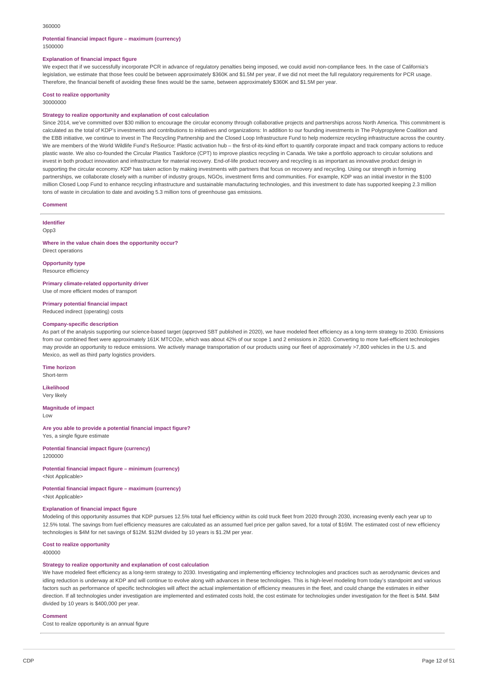#### 360000

#### **Potential financial impact figure – maximum (currency)** 1500000

# **Explanation of financial impact figure**

We expect that if we successfully incorporate PCR in advance of regulatory penalties being imposed, we could avoid non-compliance fees. In the case of California's legislation, we estimate that those fees could be between approximately \$360K and \$1.5M per year, if we did not meet the full regulatory requirements for PCR usage. Therefore, the financial benefit of avoiding these fines would be the same, between approximately \$360K and \$1.5M per year.

# **Cost to realize opportunity**

30000000

## **Strategy to realize opportunity and explanation of cost calculation**

Since 2014, we've committed over \$30 million to encourage the circular economy through collaborative projects and partnerships across North America. This commitment is calculated as the total of KDP's investments and contributions to initiatives and organizations: In addition to our founding investments in The Polypropylene Coalition and the EBB initiative, we continue to invest in The Recycling Partnership and the Closed Loop Infrastructure Fund to help modernize recycling infrastructure across the country. We are members of the World Wildlife Fund's ReSource: Plastic activation hub – the first-of-its-kind effort to quantify corporate impact and track company actions to reduce plastic waste. We also co-founded the Circular Plastics Taskforce (CPT) to improve plastics recycling in Canada. We take a portfolio approach to circular solutions and invest in both product innovation and infrastructure for material recovery. End-of-life product recovery and recycling is as important as innovative product design in supporting the circular economy. KDP has taken action by making investments with partners that focus on recovery and recycling. Using our strength in forming partnerships, we collaborate closely with a number of industry groups, NGOs, investment firms and communities. For example, KDP was an initial investor in the \$100 million Closed Loop Fund to enhance recycling infrastructure and sustainable manufacturing technologies, and this investment to date has supported keeping 2.3 million tons of waste in circulation to date and avoiding 5.3 million tons of greenhouse gas emissions.

#### **Comment**

**Identifier**

Opp3

#### **Where in the value chain does the opportunity occur?** Direct operations

**Opportunity type** Resource efficiency

**Primary climate-related opportunity driver** Use of more efficient modes of transport

**Primary potential financial impact**

Reduced indirect (operating) costs

#### **Company-specific description**

As part of the analysis supporting our science-based target (approved SBT published in 2020), we have modeled fleet efficiency as a long-term strategy to 2030. Emissions from our combined fleet were approximately 161K MTCO2e, which was about 42% of our scope 1 and 2 emissions in 2020. Converting to more fuel-efficient technologies may provide an opportunity to reduce emissions. We actively manage transportation of our products using our fleet of approximately >7,800 vehicles in the U.S. and Mexico, as well as third party logistics providers.

**Time horizon** Short-term

**Likelihood**

Very likely

**Magnitude of impact** Low

**Are you able to provide a potential financial impact figure?** Yes, a single figure estimate

**Potential financial impact figure (currency)** 1200000

**Potential financial impact figure – minimum (currency)** <Not Applicable>

# **Potential financial impact figure – maximum (currency)**

<Not Applicable>

# **Explanation of financial impact figure**

Modeling of this opportunity assumes that KDP pursues 12.5% total fuel efficiency within its cold truck fleet from 2020 through 2030, increasing evenly each year up to 12.5% total. The savings from fuel efficiency measures are calculated as an assumed fuel price per gallon saved, for a total of \$16M. The estimated cost of new efficiency technologies is \$4M for net savings of \$12M. \$12M divided by 10 years is \$1.2M per year.

# **Cost to realize opportunity**

400000

## **Strategy to realize opportunity and explanation of cost calculation**

We have modeled fleet efficiency as a long-term strategy to 2030. Investigating and implementing efficiency technologies and practices such as aerodynamic devices and idling reduction is underway at KDP and will continue to evolve along with advances in these technologies. This is high-level modeling from today's standpoint and various factors such as performance of specific technologies will affect the actual implementation of efficiency measures in the fleet, and could change the estimates in either direction. If all technologies under investigation are implemented and estimated costs hold, the cost estimate for technologies under investigation for the fleet is \$4M. \$4M divided by 10 years is \$400,000 per year.

#### **Comment**

Cost to realize opportunity is an annual figure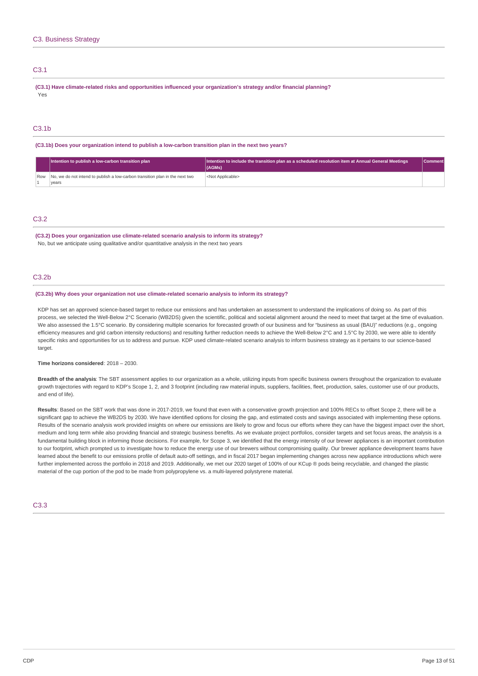# C3.1

**(C3.1) Have climate-related risks and opportunities influenced your organization's strategy and/or financial planning?** Yes

# C3.1b

**(C3.1b) Does your organization intend to publish a low-carbon transition plan in the next two years?**

| Intention to publish a low-carbon transition plan                                           | $\parallel$ Intention to include the transition plan as a scheduled resolution item at Annual General Meetings<br>(AGMs) | Comment |
|---------------------------------------------------------------------------------------------|--------------------------------------------------------------------------------------------------------------------------|---------|
| Row   No, we do not intend to publish a low-carbon transition plan in the next two<br>vears | <not applicable=""></not>                                                                                                |         |

# C3.2

**(C3.2) Does your organization use climate-related scenario analysis to inform its strategy?**

No, but we anticipate using qualitative and/or quantitative analysis in the next two years

# C3.2b

#### **(C3.2b) Why does your organization not use climate-related scenario analysis to inform its strategy?**

KDP has set an approved science-based target to reduce our emissions and has undertaken an assessment to understand the implications of doing so. As part of this process, we selected the Well-Below 2°C Scenario (WB2DS) given the scientific, political and societal alignment around the need to meet that target at the time of evaluation. We also assessed the 1.5°C scenario. By considering multiple scenarios for forecasted growth of our business and for "business as usual (BAU)" reductions (e.g., ongoing efficiency measures and grid carbon intensity reductions) and resulting further reduction needs to achieve the Well-Below 2°C and 1.5°C by 2030, we were able to identify specific risks and opportunities for us to address and pursue. KDP used climate-related scenario analysis to inform business strategy as it pertains to our science-based target.

# **Time horizons considered**: 2018 – 2030.

**Breadth of the analysis**: The SBT assessment applies to our organization as a whole, utilizing inputs from specific business owners throughout the organization to evaluate growth trajectories with regard to KDP's Scope 1, 2, and 3 footprint (including raw material inputs, suppliers, facilities, fleet, production, sales, customer use of our products, and end of life).

**Results**: Based on the SBT work that was done in 2017-2019, we found that even with a conservative growth projection and 100% RECs to offset Scope 2, there will be a significant gap to achieve the WB2DS by 2030. We have identified options for closing the gap, and estimated costs and savings associated with implementing these options. Results of the scenario analysis work provided insights on where our emissions are likely to grow and focus our efforts where they can have the biggest impact over the short, medium and long term while also providing financial and strategic business benefits. As we evaluate project portfolios, consider targets and set focus areas, the analysis is a fundamental building block in informing those decisions. For example, for Scope 3, we identified that the energy intensity of our brewer appliances is an important contribution to our footprint, which prompted us to investigate how to reduce the energy use of our brewers without compromising quality. Our brewer appliance development teams have learned about the benefit to our emissions profile of default auto-off settings, and in fiscal 2017 began implementing changes across new appliance introductions which were further implemented across the portfolio in 2018 and 2019. Additionally, we met our 2020 target of 100% of our KCup ® pods being recyclable, and changed the plastic material of the cup portion of the pod to be made from polypropylene vs. a multi-layered polystyrene material.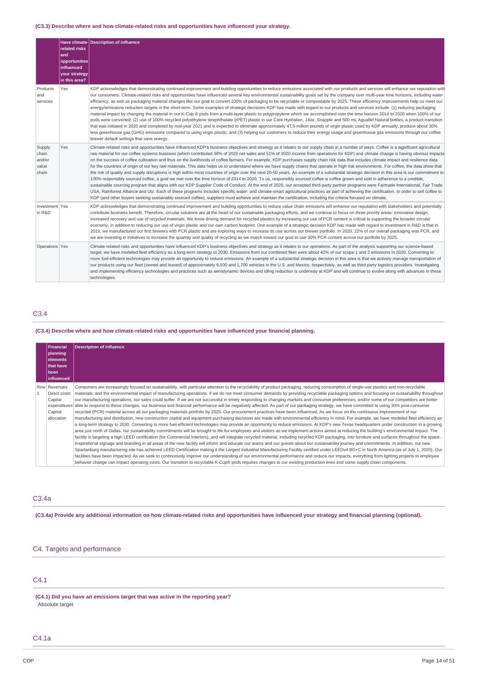# **(C3.3) Describe where and how climate-related risks and opportunities have influenced your strategy.**

|                                             | related risks<br>and<br>opportunities<br>influenced<br>your strategy<br>in this area? | Have climate- Description of influence                                                                                                                                                                                                                                                                                                                                                                                                                                                                                                                                                                                                                                                                                                                                                                                                                                                                                                                                                                                                                                                                                                                                                                                                                                                                                                                                                                                                                                                                                                                                                                                                                                                                               |
|---------------------------------------------|---------------------------------------------------------------------------------------|----------------------------------------------------------------------------------------------------------------------------------------------------------------------------------------------------------------------------------------------------------------------------------------------------------------------------------------------------------------------------------------------------------------------------------------------------------------------------------------------------------------------------------------------------------------------------------------------------------------------------------------------------------------------------------------------------------------------------------------------------------------------------------------------------------------------------------------------------------------------------------------------------------------------------------------------------------------------------------------------------------------------------------------------------------------------------------------------------------------------------------------------------------------------------------------------------------------------------------------------------------------------------------------------------------------------------------------------------------------------------------------------------------------------------------------------------------------------------------------------------------------------------------------------------------------------------------------------------------------------------------------------------------------------------------------------------------------------|
| Products<br>and<br>services                 | Yes                                                                                   | KDP acknowledges that demonstrating continued improvement and building opportunities to reduce emissions associated with our products and services will enhance our reputation with<br>our consumers. Climate-related risks and opportunities have influenced several key environmental sustainability goals set by the company over multi-year time horizons, including water<br>efficiency, as well as packaging material changes like our goal to convert 100% of packaging to be recyclable or compostable by 2025. These efficiency improvements help us meet our<br>energy/emissions reduction targets in the short-term. Some examples of strategic decisions KDP has made with regard to our products and services include: (1) reducing packaging<br>material impact by changing the material in our K-Cup ® pods from a multi-layer plastic to polypropylene which we accomplished over the time horizon 2014 to 2020 when 100% of our<br>pods were converted; (2) use of 100% recycled polyethylene terephthalate (rPET) plastic in our Core Hydration, 16oz. Snapple and 500 mL Aquafiel Natural bottles, a product transition<br>that was initiated in 2020 and completed by mid-year 2021 and is expected to eliminate approximately 47.5 million pounds of virgin plastic used by KDP annually, produce about 30%<br>less greenhouse gas (GHG) emissions compared to using virgin plastic; and (3) helping our customers to reduce their energy usage and greenhouse gas emissions through our coffee<br>brewer default settings that save energy.                                                                                                                                                    |
| Supply<br>chain<br>and/or<br>value<br>chain | Yes                                                                                   | Climate-related risks and opportunities have influenced KDP's business objectives and strategy as it relates to our supply chain in a number of ways. Coffee is a significant agricultural<br>raw material for our coffee systems business (which contributed 38% of 2020 net sales and 51% of 2020 income from operations for KDP) and climate change is having obvious impacts<br>on the success of coffee cultivation and thus on the livelihoods of coffee farmers. For example, KDP purchases supply chain risk data that includes climate impact and resilience data<br>for the countries of origin of our key raw materials. This data helps us to understand where we have supply chains that operate in high risk environments. For coffee, the data show that<br>the risk of quality and supply disruptions is high within most countries of origin over the next 20-50 years. An example of a substantial strategic decision in this area is our commitment to<br>100% responsibly sourced coffee, a goal we met over the time horizon of 2014 to 2020. To us, responsibly sourced coffee is coffee qrown and sold in adherence to a credible,<br>sustainable sourcing program that aligns with our KDP Supplier Code of Conduct. At the end of 2020, our accepted third-party partner programs were Fairtrade International, Fair Trade<br>USA, Rainforest Alliance and Utz. Each of these programs includes specific water- and climate-smart agricultural practices as part of achieving the certification. In order to sell coffee to<br>KDP (and other buyers seeking sustainably sourced coffee), suppliers must achieve and maintain the certification, including the criteria focused on climate. |
| Investment Yes<br>in R&D                    |                                                                                       | KDP acknowledges that demonstrating continued improvement and building opportunities to reduce value chain emissions will enhance our reputation with stakeholders and potentially<br>contribute business benefit. Therefore, circular solutions are at the heart of our sustainable packaging efforts, and we continue to focus on three priority areas: innovative design,<br>increased recovery and use of recycled materials. We know driving demand for recycled plastics by increasing our use of PCR content is critical to supporting the broader circular<br>economy, in addition to reducing our use of virgin plastic and our own carbon footprint. One example of a strategic decision KDP has made with regard to investment in R&D is that in<br>2019, we manufactured our first brewers with PCR plastic and are exploring ways to increase its use across our brewer portfolio. In 2020, 22% of our overall packaging was PCR, and<br>we are investing in initiatives to increase the quantity and quality of recycling as we march toward our goal to use 30% PCR content across our portfolio by 2025.                                                                                                                                                                                                                                                                                                                                                                                                                                                                                                                                                                                             |
| Operations Yes                              |                                                                                       | Climate-related risks and opportunities have influenced KDP's business objectives and strategy as it relates to our operations. As part of the analysis supporting our science-based<br>target, we have modeled fleet efficiency as a long-term strategy to 2030. Emissions from our combined fleet were about 42% of our scope 1 and 2 emissions in 2020. Converting to<br>more fuel-efficient technologies may provide an opportunity to reduce emissions. An example of a substantial strategic decision in this area is that we actively manage transportation of<br>our products using our fleet (owned and leased) of approximately 6,100 and 1,700 vehicles in the U.S. and Mexico, respectively, as well as third party logistics providers. Investigating<br>and implementing efficiency technologies and practices such as aerodynamic devices and idling reduction is underway at KDP and will continue to evolve along with advances in these<br>technologies.                                                                                                                                                                                                                                                                                                                                                                                                                                                                                                                                                                                                                                                                                                                                           |

# C3.4

# **(C3.4) Describe where and how climate-related risks and opportunities have influenced your financial planning.**

| <b>Financial</b>                                                                 | <b>Description of influence</b>                                                                                                                                                                                                                                                                                                                                                                                                                                                                                                                                                                                                                                                                                                                                                                                                                                                                                                                                                                                                                                                                                                                                                                                                                                                                                                                                                                                                                                                                                                                                                                                                                                                                                                                                                                                                                                                                                                                                                                                                                                                                                                                                                                                                                                                                                                                                                                                                                                                                                                                          |
|----------------------------------------------------------------------------------|----------------------------------------------------------------------------------------------------------------------------------------------------------------------------------------------------------------------------------------------------------------------------------------------------------------------------------------------------------------------------------------------------------------------------------------------------------------------------------------------------------------------------------------------------------------------------------------------------------------------------------------------------------------------------------------------------------------------------------------------------------------------------------------------------------------------------------------------------------------------------------------------------------------------------------------------------------------------------------------------------------------------------------------------------------------------------------------------------------------------------------------------------------------------------------------------------------------------------------------------------------------------------------------------------------------------------------------------------------------------------------------------------------------------------------------------------------------------------------------------------------------------------------------------------------------------------------------------------------------------------------------------------------------------------------------------------------------------------------------------------------------------------------------------------------------------------------------------------------------------------------------------------------------------------------------------------------------------------------------------------------------------------------------------------------------------------------------------------------------------------------------------------------------------------------------------------------------------------------------------------------------------------------------------------------------------------------------------------------------------------------------------------------------------------------------------------------------------------------------------------------------------------------------------------------|
| planning<br>lelements<br>that have<br> been<br><b>linfluenced</b>                |                                                                                                                                                                                                                                                                                                                                                                                                                                                                                                                                                                                                                                                                                                                                                                                                                                                                                                                                                                                                                                                                                                                                                                                                                                                                                                                                                                                                                                                                                                                                                                                                                                                                                                                                                                                                                                                                                                                                                                                                                                                                                                                                                                                                                                                                                                                                                                                                                                                                                                                                                          |
| Row Revenues<br>Direct costs<br>Capital<br>expenditures<br>Capital<br>allocation | Consumers are increasingly focused on sustainability, with particular attention to the recyclability of product packaging, reducing consumption of single-use plastics and non-recyclable<br>materials, and the environmental impact of manufacturing operations. If we do not meet consumer demands by providing recyclable packaging options and focusing on sustainability throughout<br>our manufacturing operations, our sales could suffer. If we are not successful in timely responding to changing markets and consumer preferences, and/or some of our competitors are better<br>able to respond to these changes, our business and financial performance will be negatively affected. As part of our packaging strategy, we have committed to using 30% post-consumer<br>recycled (PCR) material across all our packaging materials portfolio by 2025. Our procurement practices have been influenced. As we focus on the continuous improvement of our<br>manufacturing and distribution, new construction capital and equipment purchasing decisions are made with environmental efficiency in mind. For example, we have modeled fleet efficiency as<br>a long-term strategy to 2030. Converting to more fuel-efficient technologies may provide an opportunity to reduce emissions. At KDP's new Texas headquarters under construction in a growing<br>area just north of Dallas, our sustainability commitments will be brought to life for employees and visitors as we implement actions aimed at reducing the building's environmental impact. The<br>facility is targeting a high LEED certification (for Commercial Interiors), and will integrate recycled material, including recycled KDP packaging, into furniture and surfaces throughout the space.<br>Inspirational signage and branding in all areas of the new facility will inform and educate our teams and our quests about our sustainability journey and commitments. In addition, our new<br>Spartanburg manufacturing site has achieved LEED Certification making it the Largest Industrial Manufacturing Facility certified under LEEDv4 BD+C in North America (as of July 1, 2020). Our<br>facilities have been impacted. As we seek to continuously improve our understanding of our environmental performance and reduce our impacts, everything from lighting projects to employee<br>behavior change can impact operating costs. Our transition to recyclable K-Cup® pods requires changes to our existing production lines and some supply chain components. |

# C3.4a

(C3.4a) Provide any additional information on how climate-related risks and opportunities have influenced your strategy and financial planning (optional).

# C4. Targets and performance

# C4.1

**(C4.1) Did you have an emissions target that was active in the reporting year?** Absolute target

# C4.1a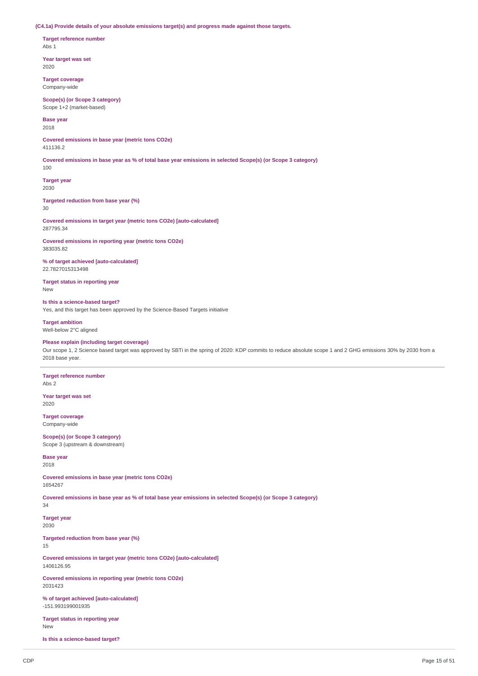**(C4.1a) Provide details of your absolute emissions target(s) and progress made against those targets.**

**Target reference number** Abs 1

**Year target was set** 2020

**Target coverage** Company-wide

**Scope(s) (or Scope 3 category)** Scope 1+2 (market-based)

**Base year**

2018

**Covered emissions in base year (metric tons CO2e)** 411136.2

Covered emissions in base year as % of total base year emissions in selected Scope(s) (or Scope 3 category)

**Target year** 2030

**Targeted reduction from base year (%)**

30

100

**Covered emissions in target year (metric tons CO2e) [auto-calculated]** 287795.34

**Covered emissions in reporting year (metric tons CO2e)** 383035.82

**% of target achieved [auto-calculated]** 22.7827015313498

**Target status in reporting year** New

**Is this a science-based target?** Yes, and this target has been approved by the Science-Based Targets initiative

**Target ambition** Well-below 2°C aligned

**Please explain (including target coverage)**

Our scope 1, 2 Science based target was approved by SBTi in the spring of 2020: KDP commits to reduce absolute scope 1 and 2 GHG emissions 30% by 2030 from a 2018 base year.

**Target reference number** Abs 2

**Year target was set** 2020

**Target coverage** Company-wide

**Scope(s) (or Scope 3 category)** Scope 3 (upstream & downstream)

**Base year** 2018

**Covered emissions in base year (metric tons CO2e)** 1654267

Covered emissions in base year as % of total base year emissions in selected Scope(s) (or Scope 3 category) 34

**Target year** 2030

**Targeted reduction from base year (%)**

15

**Covered emissions in target year (metric tons CO2e) [auto-calculated]** 1406126.95

**Covered emissions in reporting year (metric tons CO2e)** 2031423

**% of target achieved [auto-calculated]** -151.993199001935

**Target status in reporting year** New

**Is this a science-based target?**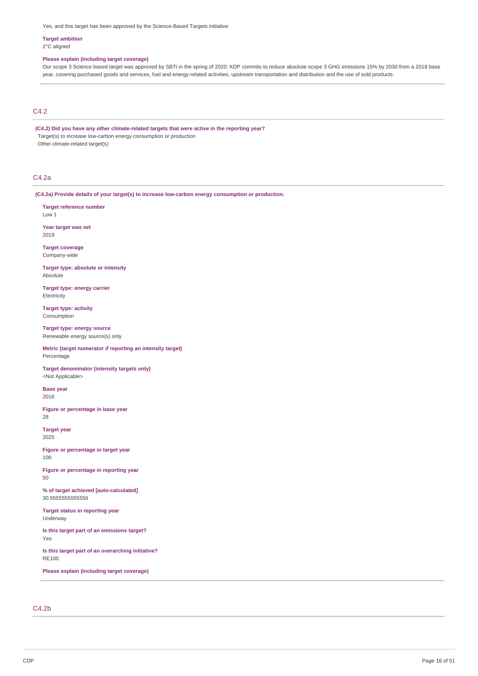Yes, and this target has been approved by the Science-Based Targets initiative

#### **Target ambition** 2°C aligned

# **Please explain (including target coverage)**

Our scope 3 Science based target was approved by SBTi in the spring of 2020: KDP commits to reduce absolute scope 3 GHG emissions 15% by 2030 from a 2018 base year, covering purchased goods and services, fuel and energy-related activities, upstream transportation and distribution and the use of sold products.

# C4.2

**(C4.2) Did you have any other climate-related targets that were active in the reporting year?** Target(s) to increase low-carbon energy consumption or production Other climate-related target(s)

#### C4.2a

**(C4.2a) Provide details of your target(s) to increase low-carbon energy consumption or production.**

**Target reference number** Low 1

**Year target was set** 2019

**Target coverage** Company-wide

**Target type: absolute or intensity** Absolute

**Target type: energy carrier Electricity** 

**Target type: activity** Consumption

**Target type: energy source** Renewable energy source(s) only

**Metric (target numerator if reporting an intensity target)** Percentage

**Target denominator (intensity targets only)** <Not Applicable>

**Base year** 2018

**Figure or percentage in base year** 28

**Target year** 2025

**Figure or percentage in target year** 100

**Figure or percentage in reporting year** 50

**% of target achieved [auto-calculated]** 30.5555555555556

**Target status in reporting year** Underway

**Is this target part of an emissions target?** Yes

**Is this target part of an overarching initiative?** RE100

**Please explain (including target coverage)**

# C4.2b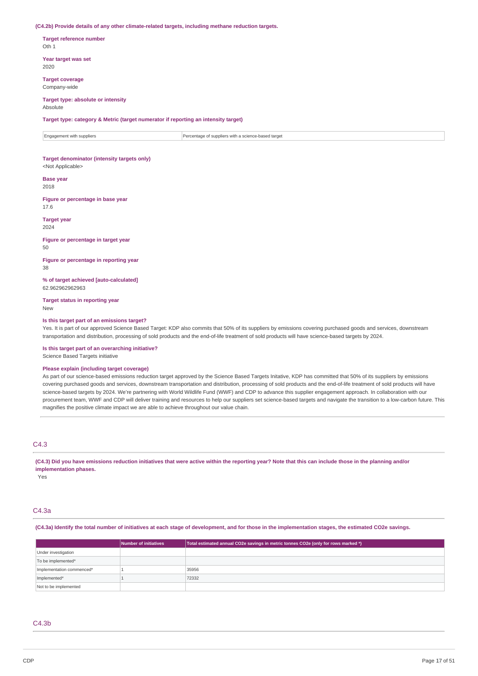#### **(C4.2b) Provide details of any other climate-related targets, including methane reduction targets.**

**Target reference number** Oth 1

**Year target was set** 2020

**Target coverage** Company-wide

# **Target type: absolute or intensity**

Absolute

**Target type: category & Metric (target numerator if reporting an intensity target)**

Engagement with suppliers **Percentage of suppliers with a science-based target** 

# **Target denominator (intensity targets only)**

<Not Applicable>

**Base year** 2018

**Figure or percentage in base year** 17.6

#### **Target year**

2024

**Figure or percentage in target year** 50

**Figure or percentage in reporting year** 38

**% of target achieved [auto-calculated]** 62.962962962963

**Target status in reporting year** New

#### **Is this target part of an emissions target?**

Yes. It is part of our approved Science Based Target: KDP also commits that 50% of its suppliers by emissions covering purchased goods and services, downstream transportation and distribution, processing of sold products and the end-of-life treatment of sold products will have science-based targets by 2024.

**Is this target part of an overarching initiative?**

Science Based Targets initiative

### **Please explain (including target coverage)**

As part of our science-based emissions reduction target approved by the Science Based Targets Initative, KDP has committed that 50% of its suppliers by emissions covering purchased goods and services, downstream transportation and distribution, processing of sold products and the end-of-life treatment of sold products will have science-based targets by 2024. We're partnering with World Wildlife Fund (WWF) and CDP to advance this supplier engagement approach. In collaboration with our procurement team, WWF and CDP will deliver training and resources to help our suppliers set science-based targets and navigate the transition to a low-carbon future. This magnifies the positive climate impact we are able to achieve throughout our value chain.

# C4.3

(C4.3) Did you have emissions reduction initiatives that were active within the reporting year? Note that this can include those in the planning and/or **implementation phases.**

Yes

# C4.3a

#### (C4.3a) Identify the total number of initiatives at each stage of development, and for those in the implementation stages, the estimated CO2e savings.

|                           | <b>Number of initiatives</b> | Total estimated annual CO2e savings in metric tonnes CO2e (only for rows marked *) |
|---------------------------|------------------------------|------------------------------------------------------------------------------------|
| Under investigation       |                              |                                                                                    |
| To be implemented*        |                              |                                                                                    |
| Implementation commenced* |                              | 35956                                                                              |
| Implemented*              |                              | 72332                                                                              |
| Not to be implemented     |                              |                                                                                    |

## $C4.3<sub>b</sub>$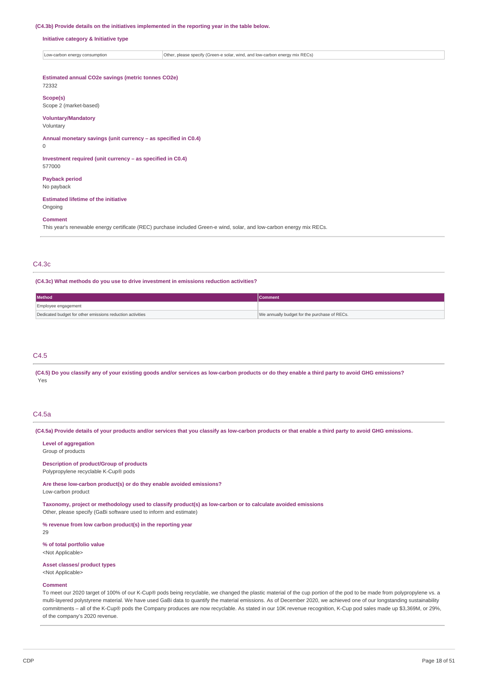#### **(C4.3b) Provide details on the initiatives implemented in the reporting year in the table below.**

#### **Initiative category & Initiative type**

 $\big|$  Low-carbon energy consumption  $\big|$  Other, please specify (Green-e solar, wind, and low-carbon energy mix RECs)

# **Estimated annual CO2e savings (metric tonnes CO2e)**

# 72332

**Scope(s)** Scope 2 (market-based)

## **Voluntary/Mandatory**

# Voluntary

**Annual monetary savings (unit currency – as specified in C0.4)**

0

#### **Investment required (unit currency – as specified in C0.4)** 577000

**Payback period**

No payback

# **Estimated lifetime of the initiative**

Ongoing

# **Comment**

This year's renewable energy certificate (REC) purchase included Green-e wind, solar, and low-carbon energy mix RECs.

# C4.3c

#### **(C4.3c) What methods do you use to drive investment in emissions reduction activities?**

| <b>Method</b>                                             | <b>Comment</b>                               |  |
|-----------------------------------------------------------|----------------------------------------------|--|
| Employee engagement                                       |                                              |  |
| Dedicated budget for other emissions reduction activities | We annually budget for the purchase of RECs. |  |

# C4.5

(C4.5) Do you classify any of your existing goods and/or services as low-carbon products or do they enable a third party to avoid GHG emissions? Yes

#### C4.5a

(C4.5a) Provide details of your products and/or services that you classify as low-carbon products or that enable a third party to avoid GHG emissions.

# **Level of aggregation**

Group of products

#### **Description of product/Group of products** Polypropylene recyclable K-Cup® pods

**Are these low-carbon product(s) or do they enable avoided emissions?** Low-carbon product

**Taxonomy, project or methodology used to classify product(s) as low-carbon or to calculate avoided emissions** Other, please specify (GaBi software used to inform and estimate)

**% revenue from low carbon product(s) in the reporting year**

29

#### **% of total portfolio value** <Not Applicable>

#### **Asset classes/ product types**

<Not Applicable>

#### **Comment**

To meet our 2020 target of 100% of our K-Cup® pods being recyclable, we changed the plastic material of the cup portion of the pod to be made from polypropylene vs. a multi-layered polystyrene material. We have used GaBi data to quantify the material emissions. As of December 2020, we achieved one of our longstanding sustainability commitments – all of the K-Cup® pods the Company produces are now recyclable. As stated in our 10K revenue recognition, K-Cup pod sales made up \$3,369M, or 29%, of the company's 2020 revenue.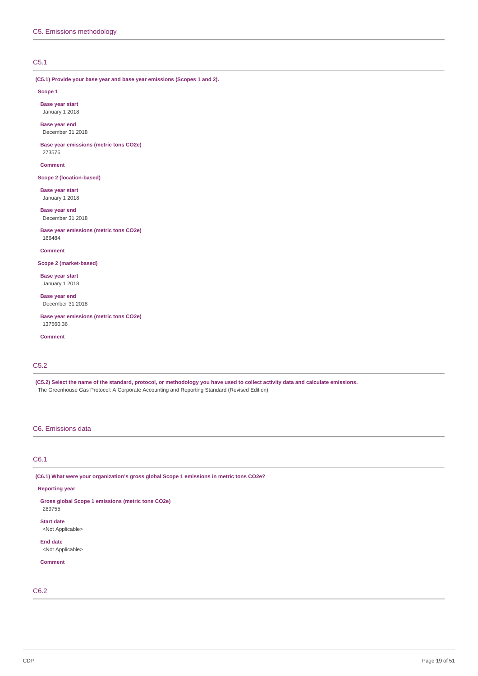# C5.1

# **(C5.1) Provide your base year and base year emissions (Scopes 1 and 2).**

**Scope 1**

**Base year start** January 1 2018

**Base year end** December 31 2018

**Base year emissions (metric tons CO2e)** 273576

**Comment**

**Scope 2 (location-based)**

**Base year start** January 1 2018

**Base year end** December 31 2018

**Base year emissions (metric tons CO2e)** 166484

**Comment**

**Scope 2 (market-based)**

**Base year start** January 1 2018

**Base year end** December 31 2018

**Base year emissions (metric tons CO2e)** 137560.36

**Comment**

# C5.2

(C5.2) Select the name of the standard, protocol, or methodology you have used to collect activity data and calculate emissions. The Greenhouse Gas Protocol: A Corporate Accounting and Reporting Standard (Revised Edition)

# C6. Emissions data

# C6.1

**(C6.1) What were your organization's gross global Scope 1 emissions in metric tons CO2e?**

**Reporting year**

**Gross global Scope 1 emissions (metric tons CO2e)** 289755 **Start date**

<Not Applicable>

**End date** <Not Applicable>

**Comment**

C6.2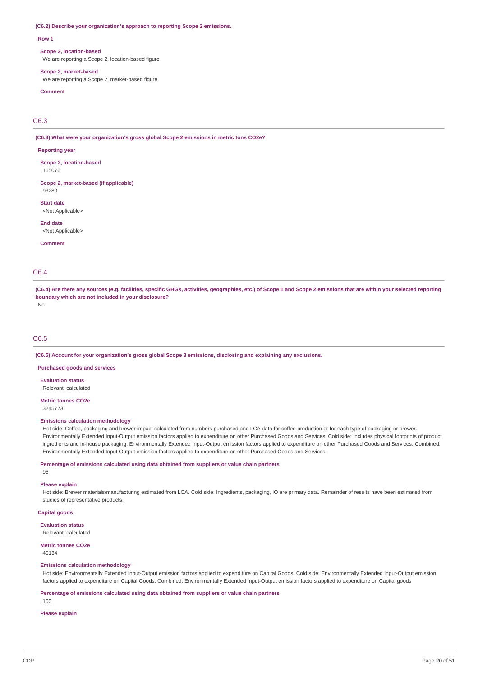#### **(C6.2) Describe your organization's approach to reporting Scope 2 emissions.**

#### **Row 1**

#### **Scope 2, location-based**

We are reporting a Scope 2, location-based figure

#### **Scope 2, market-based**

We are reporting a Scope 2, market-based figure

# **Comment**

C6.3

**(C6.3) What were your organization's gross global Scope 2 emissions in metric tons CO2e?**

#### **Reporting year**

**Scope 2, location-based** 165076

**Scope 2, market-based (if applicable)** 93280

**Start date**

<Not Annlicahle>

**End date** <Not Applicable>

**Comment**

# C6.4

(C6.4) Are there any sources (e.g. facilities, specific GHGs, activities, geographies, etc.) of Scope 1 and Scope 2 emissions that are within your selected reporting **boundary which are not included in your disclosure?** No

# C6.5

**(C6.5) Account for your organization's gross global Scope 3 emissions, disclosing and explaining any exclusions.**

**Purchased goods and services**

**Evaluation status**

Relevant, calculated

**Metric tonnes CO2e**

3245773

#### **Emissions calculation methodology**

Hot side: Coffee, packaging and brewer impact calculated from numbers purchased and LCA data for coffee production or for each type of packaging or brewer. Environmentally Extended Input-Output emission factors applied to expenditure on other Purchased Goods and Services. Cold side: Includes physical footprints of product ingredients and in-house packaging. Environmentally Extended Input-Output emission factors applied to expenditure on other Purchased Goods and Services. Combined: Environmentally Extended Input-Output emission factors applied to expenditure on other Purchased Goods and Services.

**Percentage of emissions calculated using data obtained from suppliers or value chain partners**

96

## **Please explain**

Hot side: Brewer materials/manufacturing estimated from LCA. Cold side: Ingredients, packaging, IO are primary data. Remainder of results have been estimated from studies of representative products.

## **Capital goods**

**Evaluation status** Relevant, calculated

#### **Metric tonnes CO2e**

45134

## **Emissions calculation methodology**

Hot side: Environmentally Extended Input-Output emission factors applied to expenditure on Capital Goods. Cold side: Environmentally Extended Input-Output emission factors applied to expenditure on Capital Goods. Combined: Environmentally Extended Input-Output emission factors applied to expenditure on Capital goods

**Percentage of emissions calculated using data obtained from suppliers or value chain partners**

100

**Please explain**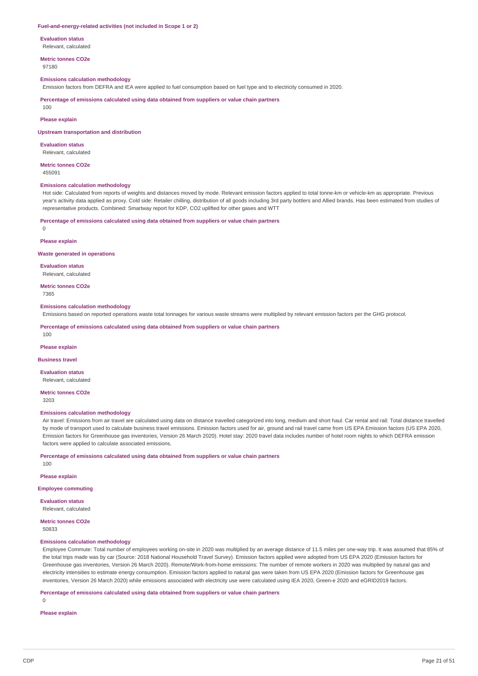#### **Fuel-and-energy-related activities (not included in Scope 1 or 2)**

**Evaluation status**

Relevant, calculated

**Metric tonnes CO2e** 97180

#### **Emissions calculation methodology**

Emission factors from DEFRA and IEA were applied to fuel consumption based on fuel type and to electricity consumed in 2020.

**Percentage of emissions calculated using data obtained from suppliers or value chain partners**

 $100$ 

# **Please explain**

**Upstream transportation and distribution**

**Evaluation status** Relevant, calculated

**Metric tonnes CO2e**

455091

## **Emissions calculation methodology**

Hot side: Calculated from reports of weights and distances moved by mode. Relevant emission factors applied to total tonne-km or vehicle-km as appropriate. Previous year's activity data applied as proxy. Cold side: Retailer chilling, distribution of all goods including 3rd party bottlers and Allied brands. Has been estimated from studies of representative products. Combined: Smartway report for KDP, CO2 uplifted for other gases and WTT

#### **Percentage of emissions calculated using data obtained from suppliers or value chain partners**

 $\Omega$ 

#### **Please explain**

#### **Waste generated in operations**

**Evaluation status** Relevant, calculated

**Metric tonnes CO2e** 7365

#### **Emissions calculation methodology**

Emissions based on reported operations waste total tonnages for various waste streams were multiplied by relevant emission factors per the GHG protocol.

**Percentage of emissions calculated using data obtained from suppliers or value chain partners**

100

## **Please explain**

## **Business travel**

**Evaluation status** Relevant, calculated

**Metric tonnes CO2e**

3203

## **Emissions calculation methodology**

Air travel: Emissions from air travel are calculated using data on distance travelled categorized into long, medium and short haul. Car rental and rail: Total distance travelled by mode of transport used to calculate business travel emissions. Emission factors used for air, ground and rail travel came from US EPA Emission factors (US EPA 2020, Emission factors for Greenhouse gas inventories, Version 26 March 2020). Hotel stay: 2020 travel data includes number of hotel room nights to which DEFRA emission factors were applied to calculate associated emissions.

**Percentage of emissions calculated using data obtained from suppliers or value chain partners**

**Please explain**

100

#### **Employee commuting**

**Evaluation status** Relevant, calculated

# **Metric tonnes CO2e**

50833

# **Emissions calculation methodology**

Employee Commute: Total number of employees working on-site in 2020 was multiplied by an average distance of 11.5 miles per one-way trip. It was assumed that 85% of the total trips made was by car (Source: 2018 National Household Travel Survey). Emission factors applied were adopted from US EPA 2020 (Emission factors for Greenhouse gas inventories, Version 26 March 2020). Remote/Work-from-home emissions: The number of remote workers in 2020 was multiplied by natural gas and electricity intensities to estimate energy consumption. Emission factors applied to natural gas were taken from US EPA 2020 (Emission factors for Greenhouse gas inventories, Version 26 March 2020) while emissions associated with electricity use were calculated using IEA 2020, Green-e 2020 and eGRID2019 factors.

**Percentage of emissions calculated using data obtained from suppliers or value chain partners**

 $\Omega$ 

# **Please explain**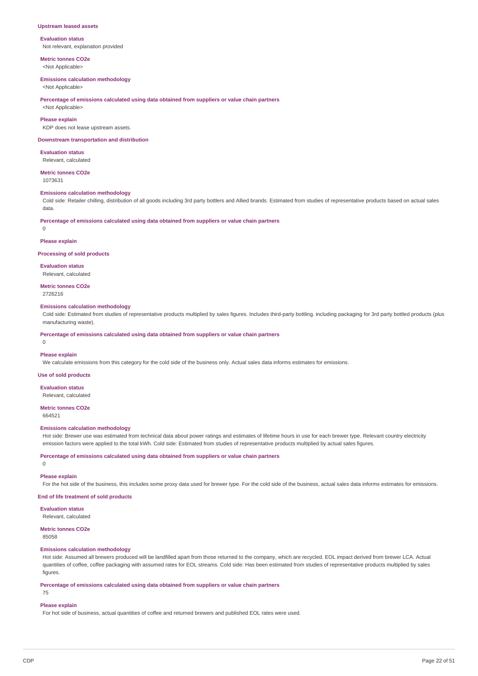#### **Upstream leased assets**

#### **Evaluation status**

Not relevant, explanation provided

**Metric tonnes CO2e** <Not Applicable>

**Emissions calculation methodology** <Not Applicable>

#### **Percentage of emissions calculated using data obtained from suppliers or value chain partners**

<Not Applicable>

## **Please explain**

KDP does not lease upstream assets.

## **Downstream transportation and distribution**

**Evaluation status** Relevant, calculated

#### **Metric tonnes CO2e** 1073631

# **Emissions calculation methodology**

Cold side: Retailer chilling, distribution of all goods including 3rd party bottlers and Allied brands. Estimated from studies of representative products based on actual sales data.

**Percentage of emissions calculated using data obtained from suppliers or value chain partners**

 $\Omega$ 

# **Please explain**

#### **Processing of sold products**

**Evaluation status** Relevant, calculated

**Metric tonnes CO2e** 2726216

#### **Emissions calculation methodology**

Cold side: Estimated from studies of representative products multiplied by sales figures. Includes third-party bottling. including packaging for 3rd party bottled products (plus manufacturing waste).

**Percentage of emissions calculated using data obtained from suppliers or value chain partners**

 $\Omega$ 

#### **Please explain**

We calculate emissions from this category for the cold side of the business only. Actual sales data informs estimates for emissions.

**Use of sold products**

#### **Evaluation status** Relevant, calculated

# **Metric tonnes CO2e**

664521

# **Emissions calculation methodology**

Hot side: Brewer use was estimated from technical data about power ratings and estimates of lifetime hours in use for each brewer type. Relevant country electricity emission factors were applied to the total kWh. Cold side: Estimated from studies of representative products multiplied by actual sales figures.

**Percentage of emissions calculated using data obtained from suppliers or value chain partners**

# 0

**Please explain**

For the hot side of the business, this includes some proxy data used for brewer type. For the cold side of the business, actual sales data informs estimates for emissions.

# **End of life treatment of sold products**

**Evaluation status**

# Relevant, calculated

# **Metric tonnes CO2e**

85058

# **Emissions calculation methodology**

Hot side: Assumed all brewers produced will be landfilled apart from those returned to the company, which are recycled. EOL impact derived from brewer LCA. Actual quantities of coffee, coffee packaging with assumed rates for EOL streams. Cold side: Has been estimated from studies of representative products multiplied by sales figures.

**Percentage of emissions calculated using data obtained from suppliers or value chain partners**

# 75

#### **Please explain**

For hot side of business, actual quantities of coffee and returned brewers and published EOL rates were used.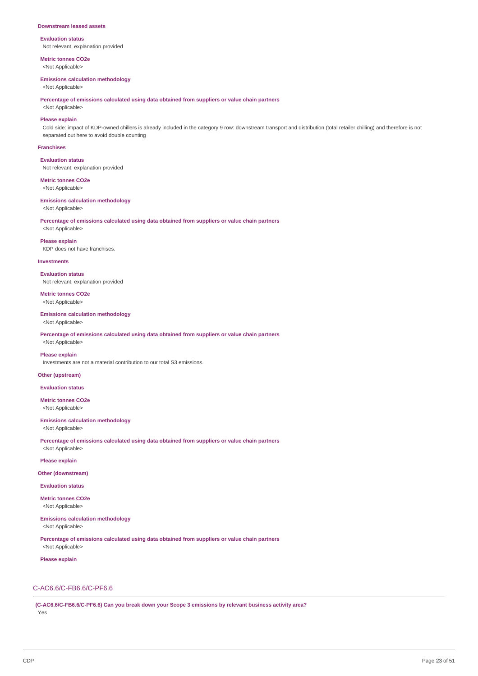#### **Downstream leased assets**

**Evaluation status** Not relevant, explanation provided

**Metric tonnes CO2e**

<Not Applicable>

# **Emissions calculation methodology**

<Not Applicable>

**Percentage of emissions calculated using data obtained from suppliers or value chain partners**

<Not Applicable>

**Please explain**

Cold side: impact of KDP-owned chillers is already included in the category 9 row: downstream transport and distribution (total retailer chilling) and therefore is not separated out here to avoid double counting

#### **Franchises**

**Evaluation status** Not relevant, explanation provided

**Metric tonnes CO2e**

<Not Applicable>

**Emissions calculation methodology** <Not Applicable>

**Percentage of emissions calculated using data obtained from suppliers or value chain partners** <Not Applicable>

**Please explain** KDP does not have franchises.

# **Investments**

**Evaluation status** Not relevant, explanation provided

**Metric tonnes CO2e** <Not Applicable>

**Emissions calculation methodology** <Not Applicable>

**Percentage of emissions calculated using data obtained from suppliers or value chain partners** <Not Applicable>

#### **Please explain**

Investments are not a material contribution to our total S3 emissions.

# **Other (upstream)**

**Evaluation status**

**Metric tonnes CO2e** <Not Applicable>

**Emissions calculation methodology**

<Not Applicable>

**Percentage of emissions calculated using data obtained from suppliers or value chain partners** <Not Applicable>

**Please explain**

#### **Other (downstream)**

**Evaluation status**

**Metric tonnes CO2e** <Not Applicable>

**Emissions calculation methodology** <Not Applicable>

**Percentage of emissions calculated using data obtained from suppliers or value chain partners** <Not Applicable>

**Please explain**

# C-AC6.6/C-FB6.6/C-PF6.6

**(C-AC6.6/C-FB6.6/C-PF6.6) Can you break down your Scope 3 emissions by relevant business activity area?** Yes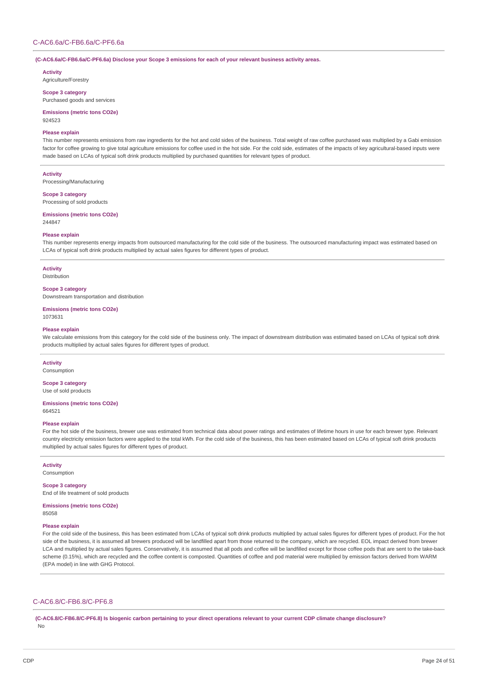# C-AC6.6a/C-FB6.6a/C-PF6.6a

**(C-AC6.6a/C-FB6.6a/C-PF6.6a) Disclose your Scope 3 emissions for each of your relevant business activity areas.**

#### **Activity**

Agriculture/Forestry

**Scope 3 category** Purchased goods and services

**Emissions (metric tons CO2e)** 924523

# **Please explain**

This number represents emissions from raw ingredients for the hot and cold sides of the business. Total weight of raw coffee purchased was multiplied by a Gabi emission factor for coffee growing to give total agriculture emissions for coffee used in the hot side. For the cold side, estimates of the impacts of key agricultural-based inputs were made based on LCAs of typical soft drink products multiplied by purchased quantities for relevant types of product.

**Activity**

Processing/Manufacturing

# **Scope 3 category**

Processing of sold products

**Emissions (metric tons CO2e)** 244847

### **Please explain**

This number represents energy impacts from outsourced manufacturing for the cold side of the business. The outsourced manufacturing impact was estimated based on LCAs of typical soft drink products multiplied by actual sales figures for different types of product.

# **Activity**

Distribution

# **Scope 3 category**

Downstream transportation and distribution

#### **Emissions (metric tons CO2e)** 1073631

# **Please explain**

We calculate emissions from this category for the cold side of the business only. The impact of downstream distribution was estimated based on LCAs of typical soft drink products multiplied by actual sales figures for different types of product.

## **Activity**

Consumption

# **Scope 3 category** Use of sold products

#### **Emissions (metric tons CO2e)** 664521

## **Please explain**

For the hot side of the business, brewer use was estimated from technical data about power ratings and estimates of lifetime hours in use for each brewer type. Relevant country electricity emission factors were applied to the total kWh. For the cold side of the business, this has been estimated based on LCAs of typical soft drink products multiplied by actual sales figures for different types of product.

### **Activity**

Consumption

**Scope 3 category** End of life treatment of sold products

#### **Emissions (metric tons CO2e)** 85058

#### **Please explain**

For the cold side of the business, this has been estimated from LCAs of typical soft drink products multiplied by actual sales figures for different types of product. For the hot side of the business, it is assumed all brewers produced will be landfilled apart from those returned to the company, which are recycled. EOL impact derived from brewer LCA and multiplied by actual sales figures. Conservatively, it is assumed that all pods and coffee will be landfilled except for those coffee pods that are sent to the take-back scheme (0.15%), which are recycled and the coffee content is composted. Quantities of coffee and pod material were multiplied by emission factors derived from WARM (EPA model) in line with GHG Protocol.

# C-AC6.8/C-FB6.8/C-PF6.8

(C-AC6.8/C-FB6.8/C-PF6.8) Is biogenic carbon pertaining to your direct operations relevant to your current CDP climate change disclosure? No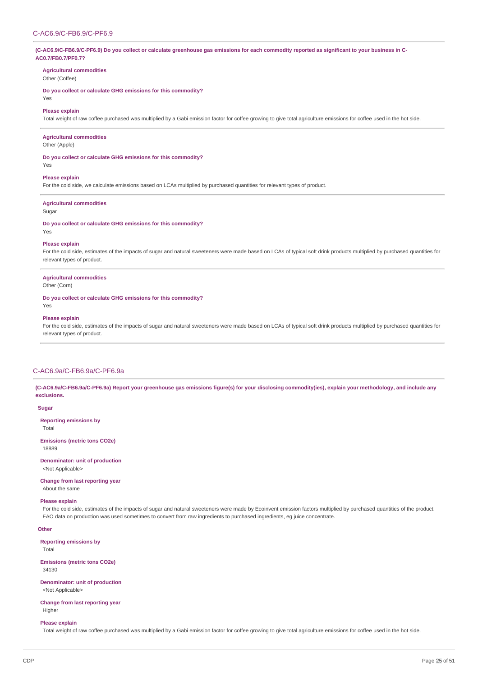# (C-AC6.9/C-FB6.9/C-PF6.9) Do you collect or calculate greenhouse gas emissions for each commodity reported as significant to your business in C-**AC0.7/FB0.7/PF0.7?**

# **Agricultural commodities**

Other (Coffee)

**Do you collect or calculate GHG emissions for this commodity?**

# Yes

# **Please explain**

Total weight of raw coffee purchased was multiplied by a Gabi emission factor for coffee growing to give total agriculture emissions for coffee used in the hot side.

# **Agricultural commodities**

Other (Apple)

**Do you collect or calculate GHG emissions for this commodity?**

## **Please explain**

For the cold side, we calculate emissions based on LCAs multiplied by purchased quantities for relevant types of product.

#### **Agricultural commodities**

Sugar

Yes

**Do you collect or calculate GHG emissions for this commodity?**

# Yes

# **Please explain**

For the cold side, estimates of the impacts of sugar and natural sweeteners were made based on LCAs of typical soft drink products multiplied by purchased quantities for relevant types of product.

## **Agricultural commodities**

#### Other (Corn)

**Do you collect or calculate GHG emissions for this commodity?**

Yes

#### **Please explain**

For the cold side, estimates of the impacts of sugar and natural sweeteners were made based on LCAs of typical soft drink products multiplied by purchased quantities for relevant types of product.

#### C-AC6.9a/C-FB6.9a/C-PF6.9a

(C-AC6.9a/C-FB6.9a/C-PF6.9a) Report your greenhouse gas emissions figure(s) for your disclosing commodity(ies), explain your methodology, and include any **exclusions.**

# **Sugar**

**Reporting emissions by**

Total

**Emissions (metric tons CO2e)** 18889

#### **Denominator: unit of production** <Not Applicable>

# **Change from last reporting year** About the same

### **Please explain**

For the cold side, estimates of the impacts of sugar and natural sweeteners were made by Ecoinvent emission factors multiplied by purchased quantities of the product. FAO data on production was used sometimes to convert from raw ingredients to purchased ingredients, eg juice concentrate.

#### **Other**

**Reporting emissions by**

Total

## **Emissions (metric tons CO2e)**

34130

**Denominator: unit of production** <Not Applicable>

## **Change from last reporting year** Higher

### **Please explain**

Total weight of raw coffee purchased was multiplied by a Gabi emission factor for coffee growing to give total agriculture emissions for coffee used in the hot side.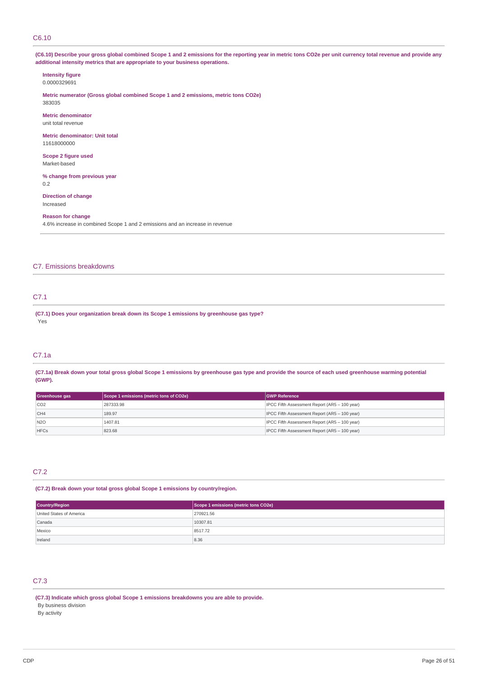## C6.10

(C6.10) Describe your gross global combined Scope 1 and 2 emissions for the reporting year in metric tons CO2e per unit currency total revenue and provide any **additional intensity metrics that are appropriate to your business operations.**

# **Intensity figure**

0.0000329691

**Metric numerator (Gross global combined Scope 1 and 2 emissions, metric tons CO2e)** 383035

**Metric denominator** unit total revenue

**Metric denominator: Unit total** 11618000000

**Scope 2 figure used** Market-based

**% change from previous year** 0.2

**Direction of change** Increased

# **Reason for change**

4.6% increase in combined Scope 1 and 2 emissions and an increase in revenue

# C7. Emissions breakdowns

# C7.1

**(C7.1) Does your organization break down its Scope 1 emissions by greenhouse gas type?** Yes

# C7.1a

(C7.1a) Break down your total gross global Scope 1 emissions by greenhouse gas type and provide the source of each used greenhouse warming potential **(GWP).**

| Greenhouse gas  | Scope 1 emissions (metric tons of CO2e) | <b>GWP Reference</b>                          |
|-----------------|-----------------------------------------|-----------------------------------------------|
| CO <sub>2</sub> | 287333.98                               | IPCC Fifth Assessment Report (AR5 - 100 year) |
| CH4             | 189.97                                  | IPCC Fifth Assessment Report (AR5 - 100 year) |
| N2O             | 1407.81                                 | IPCC Fifth Assessment Report (AR5 - 100 year) |
| <b>HFCs</b>     | 823.68                                  | IPCC Fifth Assessment Report (AR5 - 100 year) |

# C7.2

**(C7.2) Break down your total gross global Scope 1 emissions by country/region.**

| <b>Country/Region</b>    | Scope 1 emissions (metric tons CO2e) |  |
|--------------------------|--------------------------------------|--|
| United States of America | 270921.56                            |  |
| Canada                   | 10307.81                             |  |
| Mexico                   | 8517.72                              |  |
| Ireland                  | 8.36                                 |  |

# C7.3

**(C7.3) Indicate which gross global Scope 1 emissions breakdowns you are able to provide.**

# By business division

By activity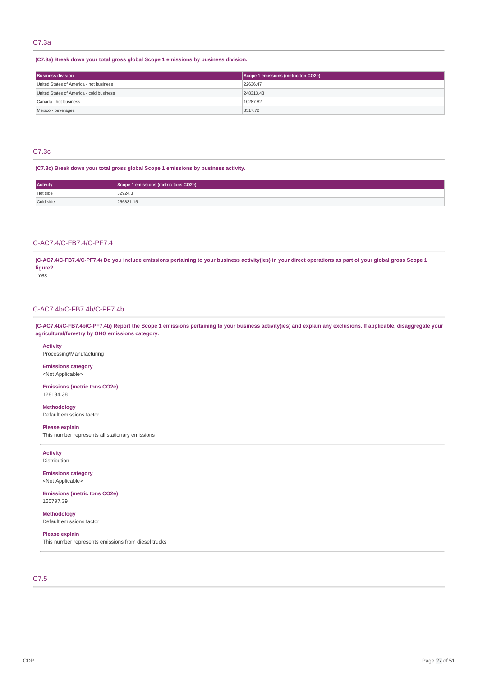# C7.3a

# **(C7.3a) Break down your total gross global Scope 1 emissions by business division.**

| <b>Business division</b>                 | Scope 1 emissions (metric ton CO2e) |
|------------------------------------------|-------------------------------------|
| United States of America - hot business  | 22636.47                            |
| United States of America - cold business | 248313.43                           |
| Canada - hot business                    | 10287.82                            |
| Mexico - beverages                       | 8517.72                             |

# C7.3c

#### **(C7.3c) Break down your total gross global Scope 1 emissions by business activity.**

| <b>Activity</b> | Scope 1 emissions (metric tons CO2e) |
|-----------------|--------------------------------------|
| Hot side        | 32924.3                              |
| Cold side       | 256831.15                            |

# C-AC7.4/C-FB7.4/C-PF7.4

(C-AC7.4/C-FB7.4/C-PF7.4) Do you include emissions pertaining to your business activity(ies) in your direct operations as part of your global gross Scope 1 **figure?**

Yes

# C-AC7.4b/C-FB7.4b/C-PF7.4b

(C-AC7.4b/C-FB7.4b/C-PF7.4b) Report the Scope 1 emissions pertaining to your business activity(ies) and explain any exclusions. If applicable, disaggregate your **agricultural/forestry by GHG emissions category.**

**Activity** Processing/Manufacturing

**Emissions category** <Not Applicable>

**Emissions (metric tons CO2e)** 128134.38

**Methodology** Default emissions factor

**Please explain** This number represents all stationary emissions

**Activity** Distribution

**Emissions category** <Not Applicable>

**Emissions (metric tons CO2e)** 160797.39

**Methodology** Default emissions factor

**Please explain** This number represents emissions from diesel trucks

C7.5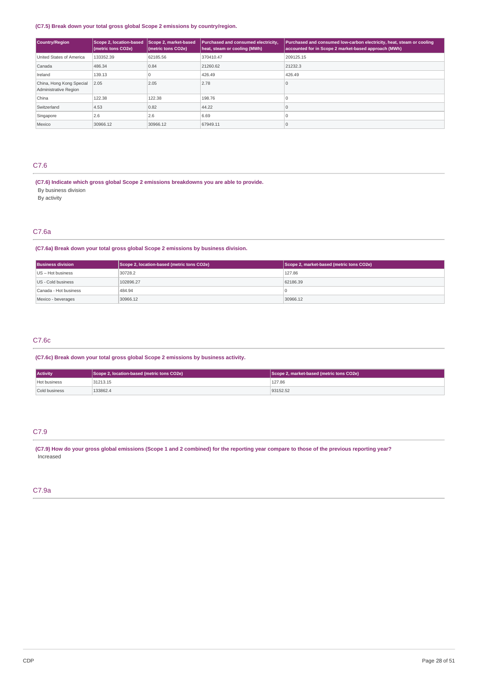# **(C7.5) Break down your total gross global Scope 2 emissions by country/region.**

| <b>Country/Region</b>                             | Scope 2, market-based<br>Scope 2, location-based<br>(metric tons CO2e) |          | Purchased and consumed electricity,<br>heat, steam or cooling (MWh) | Purchased and consumed low-carbon electricity, heat, steam or cooling<br>accounted for in Scope 2 market-based approach (MWh) |  |
|---------------------------------------------------|------------------------------------------------------------------------|----------|---------------------------------------------------------------------|-------------------------------------------------------------------------------------------------------------------------------|--|
| United States of America                          | 133352.39                                                              | 62185.56 | 370410.47                                                           | 209125.15                                                                                                                     |  |
| Canada                                            | 486.34                                                                 | 0.84     | 21260.62                                                            | 21232.3                                                                                                                       |  |
| Ireland                                           | 139.13                                                                 |          | 426.49                                                              | 426.49                                                                                                                        |  |
| China, Hong Kong Special<br>Administrative Region | 2.05                                                                   | 2.05     | 2.78                                                                |                                                                                                                               |  |
| China                                             | 122.38                                                                 | 122.38   | 198.76                                                              |                                                                                                                               |  |
| Switzerland                                       | 4.53                                                                   | 0.82     | 44.22                                                               |                                                                                                                               |  |
| Singapore                                         | 2.6                                                                    | 2.6      | 6.69                                                                |                                                                                                                               |  |
| Mexico                                            | 30966.12                                                               | 30966.12 | 67949.11                                                            |                                                                                                                               |  |

# C7.6

- **(C7.6) Indicate which gross global Scope 2 emissions breakdowns you are able to provide.**
- By business division

By activity

# C7.6a

# **(C7.6a) Break down your total gross global Scope 2 emissions by business division.**

| <b>Business division</b> | Scope 2, location-based (metric tons CO2e) | Scope 2, market-based (metric tons CO2e) |  |
|--------------------------|--------------------------------------------|------------------------------------------|--|
| $US - Hot business$      | 30728.2                                    | 127.86                                   |  |
| US - Cold business       | 102896.27                                  | 62186.39                                 |  |
| Canada - Hot business    | 484.94                                     |                                          |  |
| Mexico - beverages       | 30966.12                                   | 30966.12                                 |  |

# C7.6c

# **(C7.6c) Break down your total gross global Scope 2 emissions by business activity.**

| <b>Activity</b> | Scope 2, location-based (metric tons CO2e) | Scope 2, market-based (metric tons CO2e) |
|-----------------|--------------------------------------------|------------------------------------------|
| Hot business    | 31213.15                                   | 127.86                                   |
| Cold business   | 133862.4                                   | 93152.52                                 |

# C7.9

(C7.9) How do your gross global emissions (Scope 1 and 2 combined) for the reporting year compare to those of the previous reporting year? Increased

# C7.9a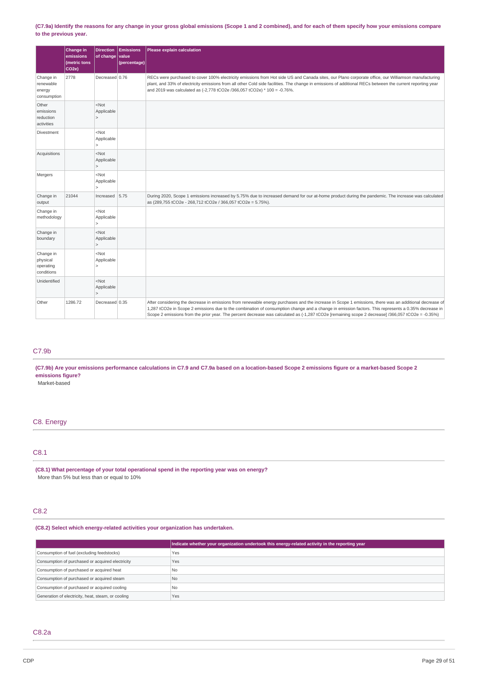## (C7.9a) Identify the reasons for any change in your gross global emissions (Scope 1 and 2 combined), and for each of them specify how your emissions compare **to the previous year.**

|                                                  | Change in<br>emissions<br>(metric tons<br>CO <sub>2e</sub> ) | <b>Direction</b><br>of change         | <b>Emissions</b><br><i>v</i> alue<br>(percentage) | Please explain calculation                                                                                                                                                                                                                                                                                                                                                                                                                                         |
|--------------------------------------------------|--------------------------------------------------------------|---------------------------------------|---------------------------------------------------|--------------------------------------------------------------------------------------------------------------------------------------------------------------------------------------------------------------------------------------------------------------------------------------------------------------------------------------------------------------------------------------------------------------------------------------------------------------------|
| Change in<br>renewable<br>energy<br>consumption  | 2778                                                         | Decreased 0.76                        |                                                   | RECs were purchased to cover 100% electricity emissions from Hot side US and Canada sites, our Plano corporate office, our Williamson manufacturing<br>plant, and 33% of electricity emissions from all other Cold side facilities. The change in emissions of additional RECs between the current reporting year<br>and 2019 was calculated as (-2,778 tCO2e /366,057 tCO2e) * 100 = -0.76%.                                                                      |
| Other<br>emissions<br>reduction<br>activities    |                                                              | $<$ Not<br>Applicable<br>$\vert$      |                                                   |                                                                                                                                                                                                                                                                                                                                                                                                                                                                    |
| <b>Divestment</b>                                |                                                              | $<$ Not<br>Applicable<br>$\geq$       |                                                   |                                                                                                                                                                                                                                                                                                                                                                                                                                                                    |
| Acquisitions                                     |                                                              | $<$ Not<br>Applicable<br>$\vert$      |                                                   |                                                                                                                                                                                                                                                                                                                                                                                                                                                                    |
| Mergers                                          |                                                              | $<$ Not<br>Applicable<br>$\mathsf{L}$ |                                                   |                                                                                                                                                                                                                                                                                                                                                                                                                                                                    |
| Change in<br>output                              | 21044                                                        | Increased                             | 5.75                                              | During 2020, Scope 1 emissions increased by 5.75% due to increased demand for our at-home product during the pandemic. The increase was calculated<br>as (289,755 tCO2e - 268,712 tCO2e / 366,057 tCO2e = 5.75%).                                                                                                                                                                                                                                                  |
| Change in<br>methodology                         |                                                              | $<$ Not<br>Applicable<br>$\mathsf{L}$ |                                                   |                                                                                                                                                                                                                                                                                                                                                                                                                                                                    |
| Change in<br>boundary                            |                                                              | $<$ Not<br>Applicable<br>$\mathsf{L}$ |                                                   |                                                                                                                                                                                                                                                                                                                                                                                                                                                                    |
| Change in<br>physical<br>operating<br>conditions |                                                              | $<$ Not<br>Applicable<br>$\geq$       |                                                   |                                                                                                                                                                                                                                                                                                                                                                                                                                                                    |
| Unidentified                                     |                                                              | $<$ Not<br>Applicable<br>$\vert$      |                                                   |                                                                                                                                                                                                                                                                                                                                                                                                                                                                    |
| Other                                            | 1286.72                                                      | Decreased 0.35                        |                                                   | After considering the decrease in emissions from renewable energy purchases and the increase in Scope 1 emissions, there was an additional decrease of<br>1,287 tCO2e in Scope 2 emissions due to the combination of consumption change and a change in emission factors. This represents a 0.35% decrease in<br>Scope 2 emissions from the prior year. The percent decrease was calculated as (-1,287 tCO2e [remaining scope 2 decrease] /366,057 tCO2e = -0.35%) |

# C7.9b

(C7.9b) Are your emissions performance calculations in C7.9 and C7.9a based on a location-based Scope 2 emissions figure or a market-based Scope 2 **emissions figure?**

Market-based

# C8. Energy

# C8.1

**(C8.1) What percentage of your total operational spend in the reporting year was on energy?** More than 5% but less than or equal to 10%

# C8.2

**(C8.2) Select which energy-related activities your organization has undertaken.**

|                                                    | Indicate whether your organization undertook this energy-related activity in the reporting year |
|----------------------------------------------------|-------------------------------------------------------------------------------------------------|
| Consumption of fuel (excluding feedstocks)         | Yes                                                                                             |
| Consumption of purchased or acquired electricity   | Yes                                                                                             |
| Consumption of purchased or acquired heat          | l No                                                                                            |
| Consumption of purchased or acquired steam         | N <sub>0</sub>                                                                                  |
| Consumption of purchased or acquired cooling       | l No                                                                                            |
| Generation of electricity, heat, steam, or cooling | Yes                                                                                             |

# C8.2a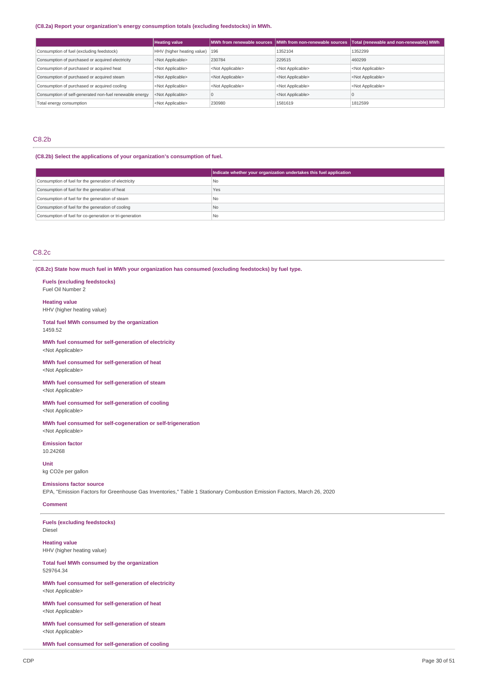# **(C8.2a) Report your organization's energy consumption totals (excluding feedstocks) in MWh.**

|                                                         | <b>Heating value</b>           |                           | MWh from renewable sources MWh from non-renewable sources | Total (renewable and non-renewable) MWh |
|---------------------------------------------------------|--------------------------------|---------------------------|-----------------------------------------------------------|-----------------------------------------|
| Consumption of fuel (excluding feedstock)               | HHV (higher heating value) 196 |                           | 1352104                                                   | 1352299                                 |
| Consumption of purchased or acquired electricity        | <not applicable=""></not>      | 230784                    | 229515                                                    | 460299                                  |
| Consumption of purchased or acquired heat               | <not applicable=""></not>      | <not applicable=""></not> | <not applicable=""></not>                                 | <not applicable=""></not>               |
| Consumption of purchased or acquired steam              | <not applicable=""></not>      | <not applicable=""></not> | <not applicable=""></not>                                 | <not applicable=""></not>               |
| Consumption of purchased or acquired cooling            | <not applicable=""></not>      | <not applicable=""></not> | <not applicable=""></not>                                 | <not applicable=""></not>               |
| Consumption of self-generated non-fuel renewable energy | <not applicable=""></not>      |                           | <not applicable=""></not>                                 |                                         |
| Total energy consumption                                | <not applicable=""></not>      | 230980                    | 1581619                                                   | 1812599                                 |

# C8.2b

# **(C8.2b) Select the applications of your organization's consumption of fuel.**

|                                                         | Indicate whether your organization undertakes this fuel application |
|---------------------------------------------------------|---------------------------------------------------------------------|
| Consumption of fuel for the generation of electricity   | l No                                                                |
| Consumption of fuel for the generation of heat          | Yes                                                                 |
| Consumption of fuel for the generation of steam         | l No                                                                |
| Consumption of fuel for the generation of cooling       | No                                                                  |
| Consumption of fuel for co-generation or tri-generation | ' No                                                                |

# C8.2c

**(C8.2c) State how much fuel in MWh your organization has consumed (excluding feedstocks) by fuel type.**

#### **Fuels (excluding feedstocks)** Fuel Oil Number 2

**Heating value**

# HHV (higher heating value)

**Total fuel MWh consumed by the organization** 1459.52

**MWh fuel consumed for self-generation of electricity** <Not Applicable>

**MWh fuel consumed for self-generation of heat** <Not Applicable>

#### **MWh fuel consumed for self-generation of steam** <Not Applicable>

**MWh fuel consumed for self-generation of cooling** <Not Applicable>

**MWh fuel consumed for self-cogeneration or self-trigeneration** <Not Applicable>

**Emission factor** 10.24268

**Unit** kg CO2e per gallon

#### **Emissions factor source**

EPA, "Emission Factors for Greenhouse Gas Inventories," Table 1 Stationary Combustion Emission Factors, March 26, 2020

# **Comment**

**Fuels (excluding feedstocks)** Diesel

**Heating value** HHV (higher heating value)

**Total fuel MWh consumed by the organization** 529764.34

**MWh fuel consumed for self-generation of electricity** <Not Applicable>

**MWh fuel consumed for self-generation of heat** <Not Applicable>

**MWh fuel consumed for self-generation of steam** <Not Applicable>

**MWh fuel consumed for self-generation of cooling**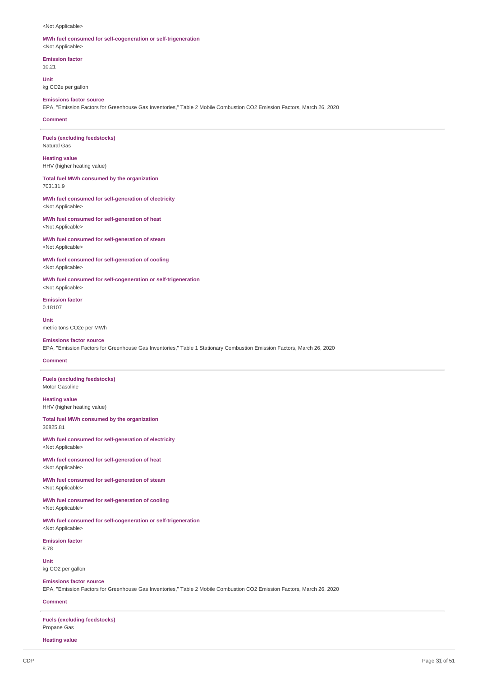<Not Applicable>

# **MWh fuel consumed for self-cogeneration or self-trigeneration**

<Not Applicable>

**Emission factor** 10.21

**Unit** kg CO2e per gallon

# **Emissions factor source**

EPA, "Emission Factors for Greenhouse Gas Inventories," Table 2 Mobile Combustion CO2 Emission Factors, March 26, 2020

# **Comment**

**Fuels (excluding feedstocks)** Natural Gas

**Heating value** HHV (higher heating value)

## **Total fuel MWh consumed by the organization** 703131.9

**MWh fuel consumed for self-generation of electricity** <Not Applicable>

**MWh fuel consumed for self-generation of heat** <Not Applicable>

**MWh fuel consumed for self-generation of steam** <Not Applicable>

**MWh fuel consumed for self-generation of cooling** <Not Applicable>

**MWh fuel consumed for self-cogeneration or self-trigeneration** <Not Applicable>

**Emission factor** 0.18107

**Unit** metric tons CO2e per MWh

# **Emissions factor source**

EPA, "Emission Factors for Greenhouse Gas Inventories," Table 1 Stationary Combustion Emission Factors, March 26, 2020

# **Comment**

**Fuels (excluding feedstocks)** Motor Gasoline

**Heating value** HHV (higher heating value)

**Total fuel MWh consumed by the organization** 36825.81

**MWh fuel consumed for self-generation of electricity** <Not Applicable>

**MWh fuel consumed for self-generation of heat** <Not Applicable>

**MWh fuel consumed for self-generation of steam** <Not Applicable>

**MWh fuel consumed for self-generation of cooling** <Not Applicable>

**MWh fuel consumed for self-cogeneration or self-trigeneration** <Not Applicable>

**Emission factor** 8.78

**Unit**

kg CO2 per gallon

# **Emissions factor source**

EPA, "Emission Factors for Greenhouse Gas Inventories," Table 2 Mobile Combustion CO2 Emission Factors, March 26, 2020

# **Comment**

**Fuels (excluding feedstocks)** Propane Gas

**Heating value**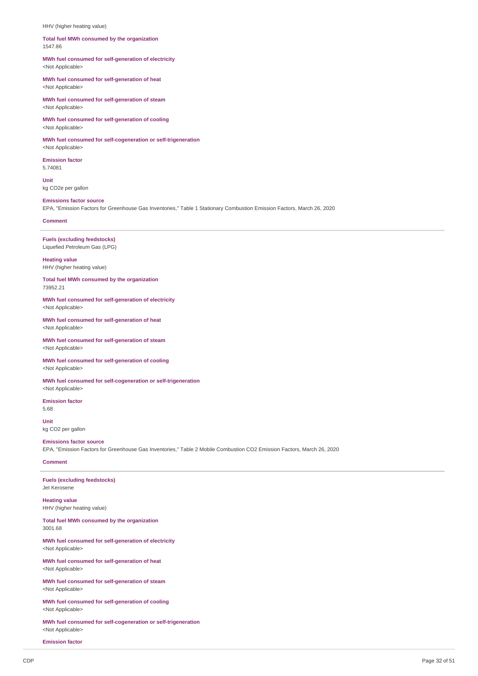#### HHV (higher heating value)

#### **Total fuel MWh consumed by the organization** 1547.86

## **MWh fuel consumed for self-generation of electricity** <Not Applicable>

**MWh fuel consumed for self-generation of heat** <Not Applicable>

**MWh fuel consumed for self-generation of steam** <Not Applicable>

**MWh fuel consumed for self-generation of cooling** <Not Applicable>

**MWh fuel consumed for self-cogeneration or self-trigeneration** <Not Applicable>

**Emission factor** 5.74081

**Unit** kg CO2e per gallon

# **Emissions factor source** EPA, "Emission Factors for Greenhouse Gas Inventories," Table 1 Stationary Combustion Emission Factors, March 26, 2020

#### **Comment**

# **Fuels (excluding feedstocks)**

Liquefied Petroleum Gas (LPG)

# **Heating value** HHV (higher heating value)

**Total fuel MWh consumed by the organization**

73952.21

#### **MWh fuel consumed for self-generation of electricity** <Not Applicable>

#### **MWh fuel consumed for self-generation of heat** <Not Applicable>

**MWh fuel consumed for self-generation of steam** <Not Applicable>

#### **MWh fuel consumed for self-generation of cooling** <Not Applicable>

# **MWh fuel consumed for self-cogeneration or self-trigeneration**

<Not Applicable> **Emission factor**

5.68 **Unit**

kg CO2 per gallon

### **Emissions factor source**

EPA, "Emission Factors for Greenhouse Gas Inventories," Table 2 Mobile Combustion CO2 Emission Factors, March 26, 2020

# **Comment**

**Fuels (excluding feedstocks)** Jet Kerosene

**Heating value** HHV (higher heating value)

#### **Total fuel MWh consumed by the organization** 3001.68

**MWh fuel consumed for self-generation of electricity** <Not Applicable>

**MWh fuel consumed for self-generation of heat** <Not Applicable>

**MWh fuel consumed for self-generation of steam** <Not Applicable>

**MWh fuel consumed for self-generation of cooling** <Not Applicable>

**MWh fuel consumed for self-cogeneration or self-trigeneration** <Not Applicable>

**Emission factor**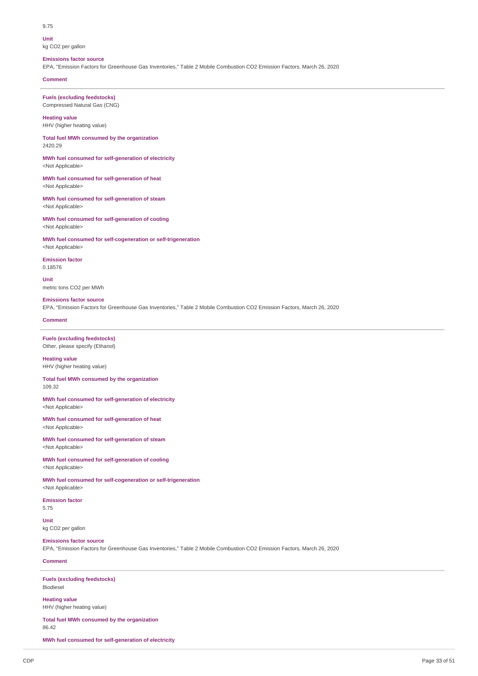#### 9.75

**Unit** kg CO2 per gallon

# **Emissions factor source**

EPA, "Emission Factors for Greenhouse Gas Inventories," Table 2 Mobile Combustion CO2 Emission Factors, March 26, 2020

# **Comment**

**Fuels (excluding feedstocks)** Compressed Natural Gas (CNG)

# **Heating value**

HHV (higher heating value)

#### **Total fuel MWh consumed by the organization** 2420.29

**MWh fuel consumed for self-generation of electricity** <Not Applicable>

## **MWh fuel consumed for self-generation of heat** <Not Applicable>

**MWh fuel consumed for self-generation of steam** <Not Applicable>

**MWh fuel consumed for self-generation of cooling** <Not Applicable>

#### **MWh fuel consumed for self-cogeneration or self-trigeneration** <Not Applicable>

**Emission factor** 0.18576

## **Unit** metric tons CO2 per MWh

## **Emissions factor source**

EPA, "Emission Factors for Greenhouse Gas Inventories," Table 2 Mobile Combustion CO2 Emission Factors, March 26, 2020

# **Comment**

# **Fuels (excluding feedstocks)** Other, please specify (Ethanol)

**Heating value** HHV (higher heating value)

#### **Total fuel MWh consumed by the organization** 109.32

**MWh fuel consumed for self-generation of electricity** <Not Applicable>

**MWh fuel consumed for self-generation of heat** <Not Applicable>

**MWh fuel consumed for self-generation of steam** <Not Applicable>

**MWh fuel consumed for self-generation of cooling** <Not Applicable>

**MWh fuel consumed for self-cogeneration or self-trigeneration** <Not Applicable>

# **Emission factor**

5.75

**Unit** kg CO2 per gallon

## **Emissions factor source**

EPA, "Emission Factors for Greenhouse Gas Inventories," Table 2 Mobile Combustion CO2 Emission Factors, March 26, 2020

# **Comment**

# **Fuels (excluding feedstocks)**

Biodiesel

# **Heating value**

HHV (higher heating value)

**Total fuel MWh consumed by the organization** 86.42

**MWh fuel consumed for self-generation of electricity**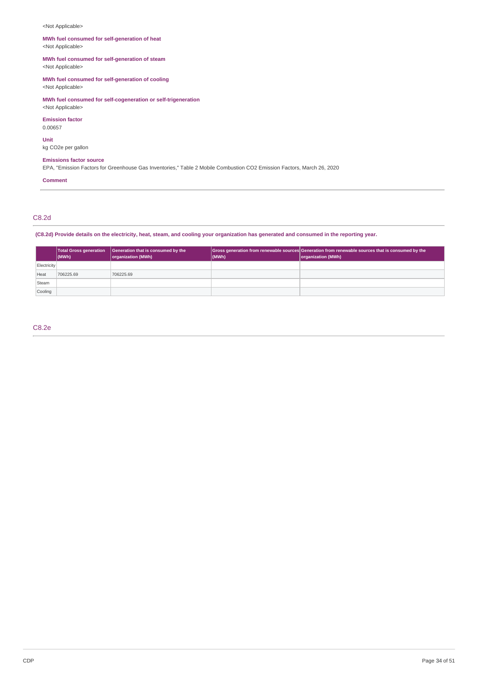# <Not Applicable>

# **MWh fuel consumed for self-generation of heat** <Not Applicable>

# **MWh fuel consumed for self-generation of steam**

<Not Applicable>

# **MWh fuel consumed for self-generation of cooling**

<Not Applicable>

# **MWh fuel consumed for self-cogeneration or self-trigeneration** <Not Applicable>

**Emission factor**

# 0.00657

**Unit**

kg CO2e per gallon

#### **Emissions factor source**

EPA, "Emission Factors for Greenhouse Gas Inventories," Table 2 Mobile Combustion CO2 Emission Factors, March 26, 2020

# **Comment**

# C8.2d

# (C8.2d) Provide details on the electricity, heat, steam, and cooling your organization has generated and consumed in the reporting year.

|             | (MWh)     | Total Gross generation   Generation that is consumed by the<br>organization (MWh) | (MWh) | Gross generation from renewable sources Generation from renewable sources that is consumed by the<br>organization (MWh) |
|-------------|-----------|-----------------------------------------------------------------------------------|-------|-------------------------------------------------------------------------------------------------------------------------|
| Electricity |           |                                                                                   |       |                                                                                                                         |
| Heat        | 706225.69 | 706225.69                                                                         |       |                                                                                                                         |
| Steam       |           |                                                                                   |       |                                                                                                                         |
| Cooling     |           |                                                                                   |       |                                                                                                                         |

# C8.2e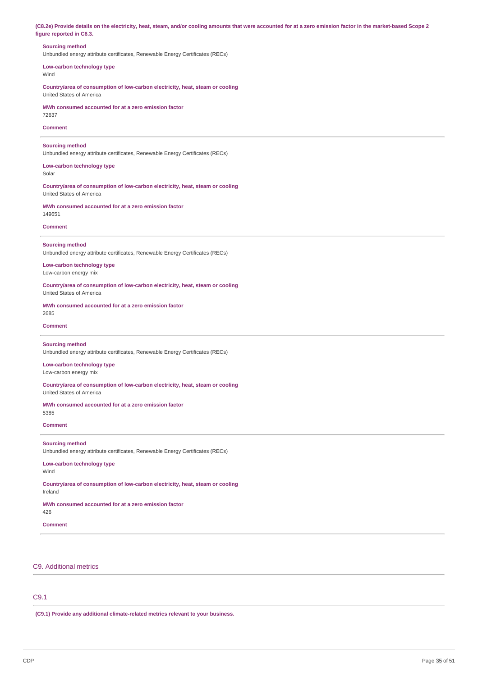(C8.2e) Provide details on the electricity, heat, steam, and/or cooling amounts that were accounted for at a zero emission factor in the market-based Scope 2 **figure reported in C6.3.**

# **Sourcing method**

Unbundled energy attribute certificates, Renewable Energy Certificates (RECs)

**Low-carbon technology type** Wind

**Country/area of consumption of low-carbon electricity, heat, steam or cooling** United States of America

**MWh consumed accounted for at a zero emission factor** 72637

### **Comment**

**Sourcing method** Unbundled energy attribute certificates, Renewable Energy Certificates (RECs)

**Low-carbon technology type** Solar

**Country/area of consumption of low-carbon electricity, heat, steam or cooling** United States of America

**MWh consumed accounted for at a zero emission factor** 149651

## **Comment**

**Sourcing method**

Unbundled energy attribute certificates, Renewable Energy Certificates (RECs)

**Low-carbon technology type** Low-carbon energy mix

**Country/area of consumption of low-carbon electricity, heat, steam or cooling** United States of America

**MWh consumed accounted for at a zero emission factor** 2685

### **Comment**

#### **Sourcing method**

Unbundled energy attribute certificates, Renewable Energy Certificates (RECs)

#### **Low-carbon technology type** Low-carbon energy mix

**Country/area of consumption of low-carbon electricity, heat, steam or cooling** United States of America

**MWh consumed accounted for at a zero emission factor** 5385

## **Comment**

# **Sourcing method**

Unbundled energy attribute certificates, Renewable Energy Certificates (RECs)

**Low-carbon technology type** Wind

**Country/area of consumption of low-carbon electricity, heat, steam or cooling** Ireland

**MWh consumed accounted for at a zero emission factor**

426

**Comment**

# C9. Additional metrics

# C9.1

**(C9.1) Provide any additional climate-related metrics relevant to your business.**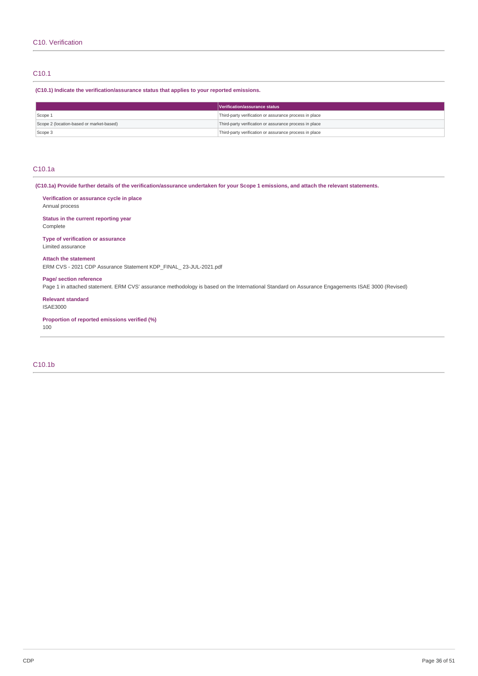# C10.1

**(C10.1) Indicate the verification/assurance status that applies to your reported emissions.**

|                                          | Verification/assurance status                          |
|------------------------------------------|--------------------------------------------------------|
| Scope 1                                  | Third-party verification or assurance process in place |
| Scope 2 (location-based or market-based) | Third-party verification or assurance process in place |
| Scope 3                                  | Third-party verification or assurance process in place |

# C10.1a

(C10.1a) Provide further details of the verification/assurance undertaken for your Scope 1 emissions, and attach the relevant statements.

**Verification or assurance cycle in place** Annual process

**Status in the current reporting year** Complete

**Type of verification or assurance** Limited assurance

# **Attach the statement**

ERM CVS - 2021 CDP Assurance Statement KDP\_FINAL\_ 23-JUL-2021.pdf

# **Page/ section reference**

Page 1 in attached statement. ERM CVS' assurance methodology is based on the International Standard on Assurance Engagements ISAE 3000 (Revised)

**Relevant standard** ISAE3000

**Proportion of reported emissions verified (%)** 100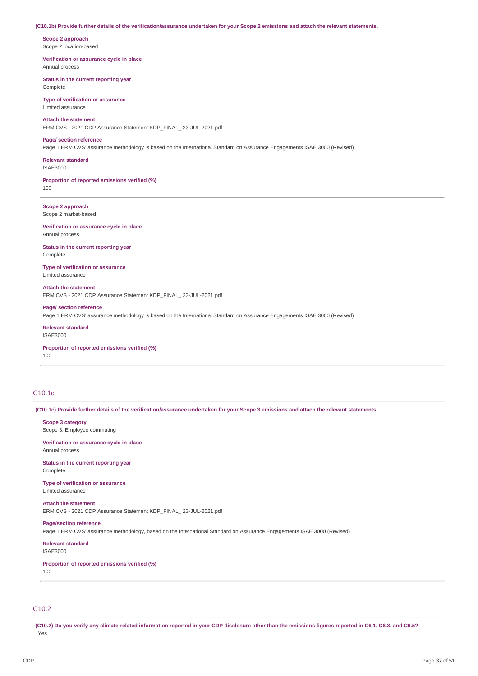#### (C10.1b) Provide further details of the verification/assurance undertaken for your Scope 2 emissions and attach the relevant statements.

**Scope 2 approach** Scope 2 location-based

**Verification or assurance cycle in place** Annual process

**Status in the current reporting year** Complete

**Type of verification or assurance** Limited assurance

#### **Attach the statement**

ERM CVS - 2021 CDP Assurance Statement KDP\_FINAL\_ 23-JUL-2021.pdf

#### **Page/ section reference**

Page 1 ERM CVS' assurance methodology is based on the International Standard on Assurance Engagements ISAE 3000 (Revised)

**Relevant standard** ISAE3000

**Proportion of reported emissions verified (%)**

100

**Scope 2 approach** Scope 2 market-based

**Verification or assurance cycle in place** Annual process

**Status in the current reporting year** Complete

**Type of verification or assurance** Limited assurance

**Attach the statement** ERM CVS - 2021 CDP Assurance Statement KDP\_FINAL\_ 23-JUL-2021.pdf

**Page/ section reference** Page 1 ERM CVS' assurance methodology is based on the International Standard on Assurance Engagements ISAE 3000 (Revised)

**Relevant standard** ISAE3000

**Proportion of reported emissions verified (%)** 100

# C10.1c

(C10.1c) Provide further details of the verification/assurance undertaken for your Scope 3 emissions and attach the relevant statements.

**Scope 3 category**

Scope 3: Employee commuting

**Verification or assurance cycle in place** Annual process

**Status in the current reporting year** Complete

**Type of verification or assurance** Limited assurance

**Attach the statement** ERM CVS - 2021 CDP Assurance Statement KDP\_FINAL\_ 23-JUL-2021.pdf

Page 1 ERM CVS' assurance methodology, based on the International Standard on Assurance Engagements ISAE 3000 (Revised)

**Relevant standard** ISAE3000

**Page/section reference**

**Proportion of reported emissions verified (%)**

100

# C10.2

(C10.2) Do you verify any climate-related information reported in your CDP disclosure other than the emissions figures reported in C6.1, C6.3, and C6.5? Yes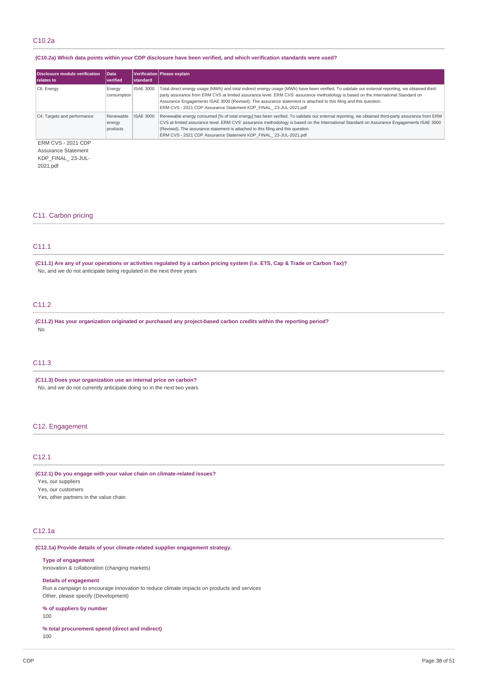# C10.2a

# (C10.2a) Which data points within your CDP disclosure have been verified, and which verification standards were used?

| Disclosure module verification<br>relates to | <b>Data</b><br><i>verified</i>  | <b>standard</b>  | Verification Please explain                                                                                                                                                                                                                                                                                                                                                                                                                                                   |
|----------------------------------------------|---------------------------------|------------------|-------------------------------------------------------------------------------------------------------------------------------------------------------------------------------------------------------------------------------------------------------------------------------------------------------------------------------------------------------------------------------------------------------------------------------------------------------------------------------|
| C8. Energy                                   | Energy<br>consumption           | <b>ISAE 3000</b> | Total direct energy usage (MWh) and total indirect energy usage (MWh) have been verified. To validate our external reporting, we obtained third-<br>party assurance from ERM CVS at limited assurance level. ERM CVS' assurance methodology is based on the International Standard on<br>Assurance Engagements ISAE 3000 (Revised). The assurance statement is attached to this filing and this question.<br>ERM CVS - 2021 CDP Assurance Statement KDP FINAL 23-JUL-2021.pdf |
| C4. Targets and performance                  | Renewable<br>energy<br>products | <b>ISAE 3000</b> | Renewable energy consumed [% of total energy] has been verified. To validate our external reporting, we obtained third-party assurance from ERM<br>CVS at limited assurance level. ERM CVS' assurance methodology is based on the International Standard on Assurance Engagements ISAE 3000<br>(Revised). The assurance statement is attached to this filing and this question.<br>ERM CVS - 2021 CDP Assurance Statement KDP FINAL 23-JUL-2021.pdf                           |

ERM CVS - 2021 CDP Assurance Statement KDP\_FINAL\_ 23-JUL-

2021.pdf

# C11. Carbon pricing

# C11.1

(C11.1) Are any of your operations or activities regulated by a carbon pricing system (i.e. ETS, Cap & Trade or Carbon Tax)? No, and we do not anticipate being regulated in the next three years

# C11.2

**(C11.2) Has your organization originated or purchased any project-based carbon credits within the reporting period?** No

# C11.3

**(C11.3) Does your organization use an internal price on carbon?** No, and we do not currently anticipate doing so in the next two years

# C12. Engagement

# C12.1

**(C12.1) Do you engage with your value chain on climate-related issues?**

Yes, our suppliers

Yes, our customers

Yes, other partners in the value chain

# C12.1a

## **(C12.1a) Provide details of your climate-related supplier engagement strategy.**

#### **Type of engagement**

Innovation & collaboration (changing markets)

## **Details of engagement**

Run a campaign to encourage innovation to reduce climate impacts on products and services Other, please specify (Development)

# **% of suppliers by number**

100

**% total procurement spend (direct and indirect)** 100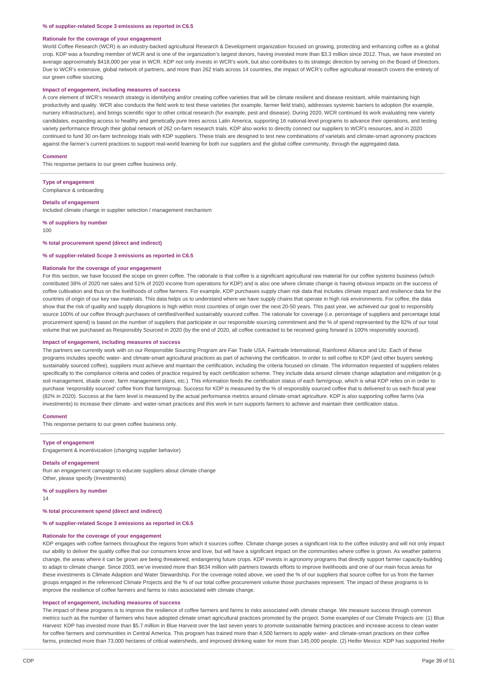#### **% of supplier-related Scope 3 emissions as reported in C6.5**

#### **Rationale for the coverage of your engagement**

World Coffee Research (WCR) is an industry-backed agricultural Research & Development organization focused on growing, protecting and enhancing coffee as a global crop. KDP was a founding member of WCR and is one of the organization's largest donors, having invested more than \$3.3 million since 2012. Thus, we have invested on average approximately \$418,000 per year in WCR. KDP not only invests in WCR's work, but also contributes to its strategic direction by serving on the Board of Directors. Due to WCR's extensive, global network of partners, and more than 262 trials across 14 countries, the impact of WCR's coffee agricultural research covers the entirety of our green coffee sourcing.

#### **Impact of engagement, including measures of success**

A core element of WCR's research strategy is identifying and/or creating coffee varieties that will be climate resilient and disease resistant, while maintaining high productivity and quality. WCR also conducts the field work to test these varieties (for example, farmer field trials), addresses systemic barriers to adoption (for example, nursery infrastructure), and brings scientific rigor to other critical research (for example, pest and disease). During 2020, WCR continued its work evaluating new variety candidates, expanding access to healthy and genetically pure trees across Latin America, supporting 16 national-level programs to advance their operations, and testing variety performance through their global network of 262 on-farm research trials. KDP also works to directly connect our suppliers to WCR's resources, and in 2020 continued to fund 30 on-farm technology trials with KDP suppliers. These trials are designed to test new combinations of varietals and climate-smart agronomy practices against the farmer's current practices to support real-world learning for both our suppliers and the global coffee community, through the aggregated data.

#### **Comment**

This response pertains to our green coffee business only.

**Type of engagement** Compliance & onboarding

#### **Details of engagement**

Included climate change in supplier selection / management mechanism

**% of suppliers by number**

100

#### **% total procurement spend (direct and indirect)**

#### **% of supplier-related Scope 3 emissions as reported in C6.5**

#### **Rationale for the coverage of your engagement**

For this section, we have focused the scope on green coffee. The rationale is that coffee is a significant agricultural raw material for our coffee systems business (which contributed 38% of 2020 net sales and 51% of 2020 income from operations for KDP) and is also one where climate change is having obvious impacts on the success of coffee cultivation and thus on the livelihoods of coffee farmers. For example, KDP purchases supply chain risk data that includes climate impact and resilience data for the countries of origin of our key raw materials. This data helps us to understand where we have supply chains that operate in high risk environments. For coffee, the data show that the risk of quality and supply disruptions is high within most countries of origin over the next 20-50 years. This past year, we achieved our goal to responsibly source 100% of our coffee through purchases of certified/verified sustainably sourced coffee. The rationale for coverage (i.e. percentage of suppliers and percentage total procurement spend) is based on the number of suppliers that participate in our responsible sourcing commitment and the % of spend represented by the 82% of our total volume that we purchased as Responsibly Sourced in 2020 (by the end of 2020, all coffee contracted to be received going forward is 100% responsibly sourced).

#### **Impact of engagement, including measures of success**

The partners we currently work with on our Responsible Sourcing Program are Fair Trade USA, Fairtrade International, Rainforest Alliance and Utz. Each of these programs includes specific water- and climate-smart agricultural practices as part of achieving the certification. In order to sell coffee to KDP (and other buyers seeking sustainably sourced coffee), suppliers must achieve and maintain the certification, including the criteria focused on climate. The information requested of suppliers relates specifically to the compliance criteria and codes of practice required by each certification scheme. They include data around climate change adaptation and mitigation (e.g. soil management, shade cover, farm management plans, etc.). This information feeds the certification status of each farm/group, which is what KDP relies on in order to purchase 'responsibly sourced' coffee from that farm/group. Success for KDP is measured by the % of responsibly sourced coffee that is delivered to us each fiscal year (82% in 2020). Success at the farm level is measured by the actual performance metrics around climate-smart agriculture. KDP is also supporting coffee farms (via investments) to increase their climate- and water-smart practices and this work in turn supports farmers to achieve and maintain their certification status.

#### **Comment**

This response pertains to our green coffee business only.

#### **Type of engagement**

Engagement & incentivization (changing supplier behavior)

#### **Details of engagement**

Run an engagement campaign to educate suppliers about climate change Other, please specify (Investments)

**% of suppliers by number**

14

**% total procurement spend (direct and indirect)**

# **% of supplier-related Scope 3 emissions as reported in C6.5**

### **Rationale for the coverage of your engagement**

KDP engages with coffee farmers throughout the regions from which it sources coffee. Climate change poses a significant risk to the coffee industry and will not only impact our ability to deliver the quality coffee that our consumers know and love, but will have a significant impact on the communities where coffee is grown. As weather patterns change, the areas where it can be grown are being threatened, endangering future crops. KDP invests in agronomy programs that directly support farmer capacity-building to adapt to climate change. Since 2003, we've invested more than \$634 million with partners towards efforts to improve livelihoods and one of our main focus areas for these investments is Climate Adaption and Water Stewardship. For the coverage noted above, we used the % of our suppliers that source coffee for us from the farmer groups engaged in the referenced Climate Projects and the % of our total coffee procurement volume those purchases represent. The impact of these programs is to improve the resilience of coffee farmers and farms to risks associated with climate change.

## **Impact of engagement, including measures of success**

The impact of these programs is to improve the resilience of coffee farmers and farms to risks associated with climate change. We measure success through common metrics such as the number of farmers who have adopted climate smart agricultural practices promoted by the project. Some examples of our Climate Projects are: (1) Blue Harvest: KDP has invested more than \$5.7 million in Blue Harvest over the last seven years to promote sustainable farming practices and increase access to clean water for coffee farmers and communities in Central America. This program has trained more than 4,500 farmers to apply water- and climate-smart practices on their coffee farms, protected more than 73,000 hectares of critical watersheds, and improved drinking water for more than 145,000 people. (2) Heifer Mexico: KDP has supported Heifer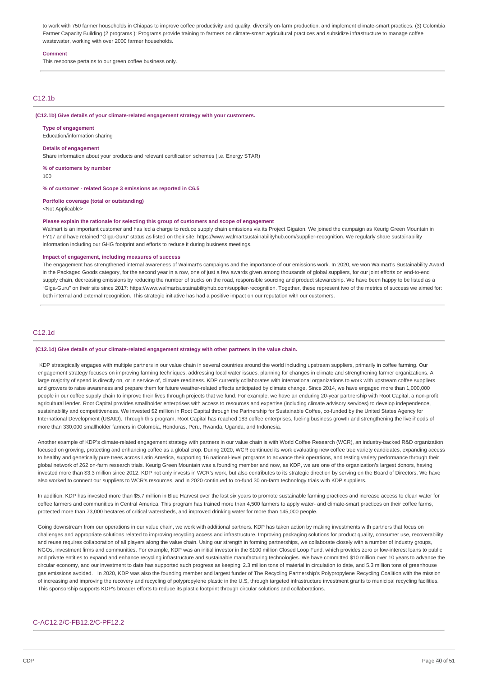to work with 750 farmer households in Chiapas to improve coffee productivity and quality, diversify on-farm production, and implement climate-smart practices. (3) Colombia Farmer Capacity Building (2 programs ): Programs provide training to farmers on climate-smart agricultural practices and subsidize infrastructure to manage coffee wastewater, working with over 2000 farmer households.

#### **Comment**

This response pertains to our green coffee business only.

# C12.1b

**(C12.1b) Give details of your climate-related engagement strategy with your customers.**

## **Type of engagement**

Education/information sharing

#### **Details of engagement**

Share information about your products and relevant certification schemes (i.e. Energy STAR)

**% of customers by number**

100

**% of customer - related Scope 3 emissions as reported in C6.5**

# **Portfolio coverage (total or outstanding)**

<Not Applicable>

#### **Please explain the rationale for selecting this group of customers and scope of engagement**

Walmart is an important customer and has led a charge to reduce supply chain emissions via its Project Gigaton. We joined the campaign as Keurig Green Mountain in FY17 and have retained "Giga-Guru" status as listed on their site: https://www.walmartsustainabilityhub.com/supplier-recognition. We regularly share sustainability information including our GHG footprint and efforts to reduce it during business meetings.

#### **Impact of engagement, including measures of success**

The engagement has strengthened internal awareness of Walmart's campaigns and the importance of our emissions work. In 2020, we won Walmart's Sustainability Award in the Packaged Goods category, for the second year in a row, one of just a few awards given among thousands of global suppliers, for our joint efforts on end-to-end supply chain, decreasing emissions by reducing the number of trucks on the road, responsible sourcing and product stewardship. We have been happy to be listed as a "Giga-Guru" on their site since 2017: https://www.walmartsustainabilityhub.com/supplier-recognition. Together, these represent two of the metrics of success we aimed for: both internal and external recognition. This strategic initiative has had a positive impact on our reputation with our customers.

# C12.1d

#### **(C12.1d) Give details of your climate-related engagement strategy with other partners in the value chain.**

KDP strategically engages with multiple partners in our value chain in several countries around the world including upstream suppliers, primarily in coffee farming. Our engagement strategy focuses on improving farming techniques, addressing local water issues, planning for changes in climate and strengthening farmer organizations. A large majority of spend is directly on, or in service of, climate readiness. KDP currently collaborates with international organizations to work with upstream coffee suppliers and growers to raise awareness and prepare them for future weather-related effects anticipated by climate change. Since 2014, we have engaged more than 1,000,000 people in our coffee supply chain to improve their lives through projects that we fund. For example, we have an enduring 20-year partnership with Root Capital, a non-profit agricultural lender. Root Capital provides smallholder enterprises with access to resources and expertise (including climate advisory services) to develop independence, sustainability and competitiveness. We invested \$2 million in Root Capital through the Partnership for Sustainable Coffee, co-funded by the United States Agency for International Development (USAID). Through this program, Root Capital has reached 183 coffee enterprises, fueling business growth and strengthening the livelihoods of more than 330,000 smallholder farmers in Colombia, Honduras, Peru, Rwanda, Uganda, and Indonesia.

Another example of KDP's climate-related engagement strategy with partners in our value chain is with World Coffee Research (WCR), an industry-backed R&D organization focused on growing, protecting and enhancing coffee as a global crop. During 2020, WCR continued its work evaluating new coffee tree variety candidates, expanding access to healthy and genetically pure trees across Latin America, supporting 16 national-level programs to advance their operations, and testing variety performance through their global network of 262 on-farm research trials. Keurig Green Mountain was a founding member and now, as KDP, we are one of the organization's largest donors, having invested more than \$3.3 million since 2012. KDP not only invests in WCR's work, but also contributes to its strategic direction by serving on the Board of Directors. We have also worked to connect our suppliers to WCR's resources, and in 2020 continued to co-fund 30 on-farm technology trials with KDP suppliers.

In addition, KDP has invested more than \$5.7 million in Blue Harvest over the last six years to promote sustainable farming practices and increase access to clean water for coffee farmers and communities in Central America. This program has trained more than 4,500 farmers to apply water- and climate-smart practices on their coffee farms, protected more than 73,000 hectares of critical watersheds, and improved drinking water for more than 145,000 people.

Going downstream from our operations in our value chain, we work with additional partners. KDP has taken action by making investments with partners that focus on challenges and appropriate solutions related to improving recycling access and infrastructure. Improving packaging solutions for product quality, consumer use, recoverability and reuse requires collaboration of all players along the value chain. Using our strength in forming partnerships, we collaborate closely with a number of industry groups, NGOs, investment firms and communities. For example, KDP was an initial investor in the \$100 million Closed Loop Fund, which provides zero or low-interest loans to public and private entities to expand and enhance recycling infrastructure and sustainable manufacturing technologies. We have committed \$10 million over 10 years to advance the circular economy, and our investment to date has supported such progress as keeping 2.3 million tons of material in circulation to date, and 5.3 million tons of greenhouse gas emissions avoided. In 2020, KDP was also the founding member and largest funder of The Recycling Partnership's Polypropylene Recycling Coalition with the mission of increasing and improving the recovery and recycling of polypropylene plastic in the U.S, through targeted infrastructure investment grants to municipal recycling facilities. This sponsorship supports KDP's broader efforts to reduce its plastic footprint through circular solutions and collaborations.

# C-AC12.2/C-FB12.2/C-PF12.2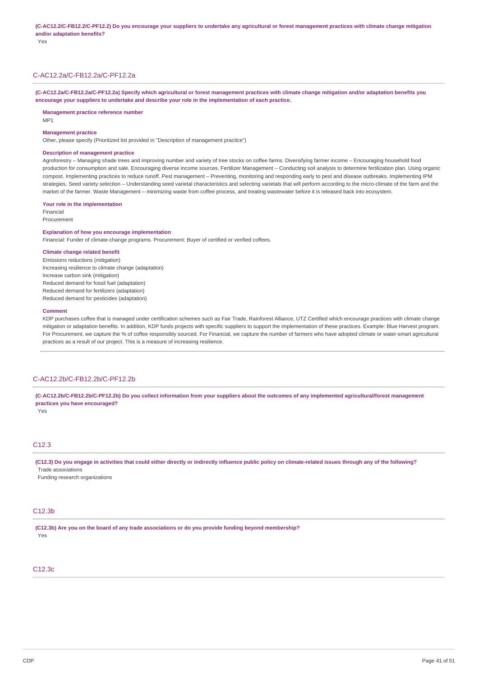Yes

# C-AC12.2a/C-FB12.2a/C-PF12.2a

(C-AC12.2a/C-FB12.2a/C-PF12.2a) Specify which agricultural or forest management practices with climate change mitigation and/or adaptation benefits you **encourage your suppliers to undertake and describe your role in the implementation of each practice.**

#### **Management practice reference number**

MP1

#### **Management practice**

Other, please specify (Prioritized list provided in "Description of management practice")

## **Description of management practice**

Agroforestry – Managing shade trees and improving number and variety of tree stocks on coffee farms. Diversifying farmer income – Encouraging household food production for consumption and sale. Encouraging diverse income sources. Fertilizer Management – Conducting soil analysis to determine fertilization plan. Using organic compost. Implementing practices to reduce runoff. Pest management – Preventing, monitoring and responding early to pest and disease outbreaks. Implementing IPM strategies. Seed variety selection – Understanding seed varietal characteristics and selecting varietals that will perform according to the micro-climate of the farm and the market of the farmer. Waste Management – minimizing waste from coffee process, and treating wastewater before it is released back into ecosystem.

#### **Your role in the implementation**

Financial Procurement

# **Explanation of how you encourage implementation**

Financial: Funder of climate-change programs. Procurement: Buyer of certified or verified coffees.

# **Climate change related benefit**

Emissions reductions (mitigation) Increasing resilience to climate change (adaptation) Increase carbon sink (mitigation) Reduced demand for fossil fuel (adaptation) Reduced demand for fertilizers (adaptation) Reduced demand for pesticides (adaptation)

#### **Comment**

KDP purchases coffee that is managed under certification schemes such as Fair Trade, Rainforest Alliance, UTZ Certified which encourage practices with climate change mitigation or adaptation benefits. In addition, KDP funds projects with specific suppliers to support the implementation of these practices. Example: Blue Harvest program. For Procurement, we capture the % of coffee responsibly sourced. For Financial, we capture the number of farmers who have adopted climate or water-smart agricultural practices as a result of our project. This is a measure of increasing resilience.

# C-AC12.2b/C-FB12.2b/C-PF12.2b

(C-AC12.2b/C-FB12.2b/C-PF12.2b) Do you collect information from your suppliers about the outcomes of any implemented agricultural/forest management **practices you have encouraged?**

Yes

# C12.3

(C12.3) Do you engage in activities that could either directly or indirectly influence public policy on climate-related issues through any of the following? Trade associations

Funding research organizations

# C12.3b

**(C12.3b) Are you on the board of any trade associations or do you provide funding beyond membership?** Yes

# C12.3c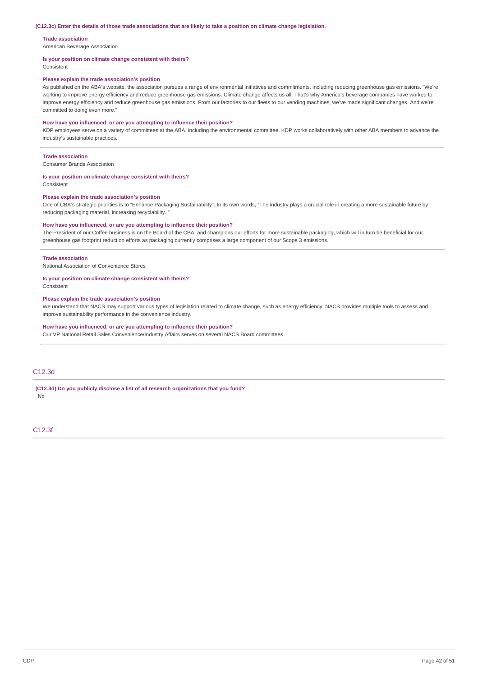#### (C12.3c) Enter the details of those trade associations that are likely to take a position on climate change legislation.

#### **Trade association**

American Beverage Association

#### **Is your position on climate change consistent with theirs?**

Consistent

# **Please explain the trade association's position**

As published on the ABA's website, the association pursues a range of environmental initiatives and commitments, including reducing greenhouse gas emissions. "We're working to improve energy efficiency and reduce greenhouse gas emissions. Climate change affects us all. That's why America's beverage companies have worked to improve energy efficiency and reduce greenhouse gas emissions. From our factories to our fleets to our vending machines, we've made significant changes. And we're committed to doing even more."

#### **How have you influenced, or are you attempting to influence their position?**

KDP employees serve on a variety of committees at the ABA, including the environmental committee. KDP works collaboratively with other ABA members to advance the industry's sustainable practices.

#### **Trade association**

Consumer Brands Association

## **Is your position on climate change consistent with theirs?**

Consistent

## **Please explain the trade association's position**

One of CBA's strategic priorities is to "Enhance Packaging Sustainability". In its own words, "The industry plays a crucial role in creating a more sustainable future by reducing packaging material, increasing recyclability.

#### **How have you influenced, or are you attempting to influence their position?**

The President of our Coffee business is on the Board of the CBA, and champions our efforts for more sustainable packaging, which will in turn be beneficial for our greenhouse gas footprint reduction efforts as packaging currently comprises a large component of our Scope 3 emissions.

#### **Trade association**

National Association of Convenience Stores

## **Is your position on climate change consistent with theirs?**

Consistent

#### **Please explain the trade association's position**

We understand that NACS may support various types of legislation related to climate change, such as energy efficiency. NACS provides multiple tools to assess and improve sustainability performance in the convenience industry.

### **How have you influenced, or are you attempting to influence their position?**

Our VP National Retail Sales Convenience/Industry Affairs serves on several NACS Board committees.

# C12.3d

#### **(C12.3d) Do you publicly disclose a list of all research organizations that you fund?** No

C12.3f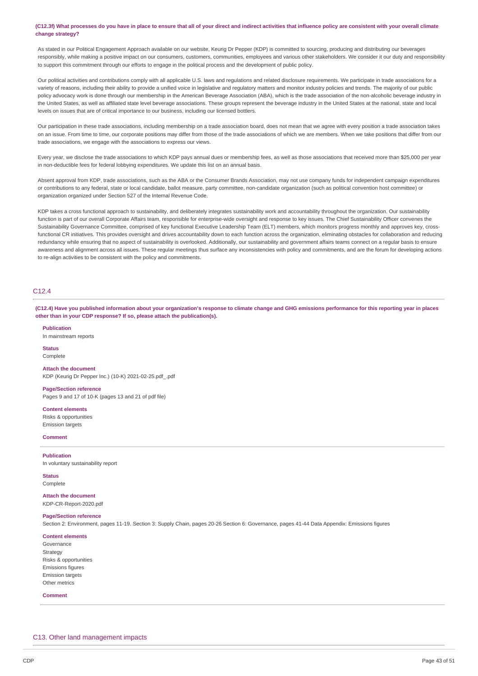## (C12.3f) What processes do you have in place to ensure that all of your direct and indirect activities that influence policy are consistent with your overall climate **change strategy?**

As stated in our Political Engagement Approach available on our website, Keurig Dr Pepper (KDP) is committed to sourcing, producing and distributing our beverages responsibly, while making a positive impact on our consumers, customers, communities, employees and various other stakeholders. We consider it our duty and responsibility to support this commitment through our efforts to engage in the political process and the development of public policy.

Our political activities and contributions comply with all applicable U.S. laws and regulations and related disclosure requirements. We participate in trade associations for a variety of reasons, including their ability to provide a unified voice in legislative and regulatory matters and monitor industry policies and trends. The majority of our public policy advocacy work is done through our membership in the American Beverage Association (ABA), which is the trade association of the non-alcoholic beverage industry in the United States, as well as affiliated state level beverage associations. These groups represent the beverage industry in the United States at the national, state and local levels on issues that are of critical importance to our business, including our licensed bottlers.

Our participation in these trade associations, including membership on a trade association board, does not mean that we agree with every position a trade association takes on an issue. From time to time, our corporate positions may differ from those of the trade associations of which we are members. When we take positions that differ from our trade associations, we engage with the associations to express our views.

Every year, we disclose the trade associations to which KDP pays annual dues or membership fees, as well as those associations that received more than \$25,000 per year in non-deductible fees for federal lobbying expenditures. We update this list on an annual basis.

Absent approval from KDP, trade associations, such as the ABA or the Consumer Brands Association, may not use company funds for independent campaign expenditures or contributions to any federal, state or local candidate, ballot measure, party committee, non-candidate organization (such as political convention host committee) or organization organized under Section 527 of the Internal Revenue Code.

KDP takes a cross functional approach to sustainability, and deliberately integrates sustainability work and accountability throughout the organization. Our sustainability function is part of our overall Corporate Affairs team, responsible for enterprise-wide oversight and response to key issues. The Chief Sustainability Officer convenes the Sustainability Governance Committee, comprised of key functional Executive Leadership Team (ELT) members, which monitors progress monthly and approves key, crossfunctional CR initiatives. This provides oversight and drives accountability down to each function across the organization, eliminating obstacles for collaboration and reducing redundancy while ensuring that no aspect of sustainability is overlooked. Additionally, our sustainability and government affairs teams connect on a regular basis to ensure awareness and alignment across all issues. These regular meetings thus surface any inconsistencies with policy and commitments, and are the forum for developing actions to re-align activities to be consistent with the policy and commitments.

# C12.4

(C12.4) Have you published information about your organization's response to climate change and GHG emissions performance for this reporting year in places **other than in your CDP response? If so, please attach the publication(s).**

**Publication** In mainstream reports

**Status** Complete

**Attach the document** KDP (Keurig Dr Pepper Inc.) (10-K) 2021-02-25.pdf\_.pdf

**Page/Section reference** Pages 9 and 17 of 10-K (pages 13 and 21 of pdf file)

**Content elements**

Risks & opportunities Emission targets

**Comment**

**Publication** In voluntary sustainability report

**Status** Complete

**Attach the document** KDP-CR-Report-2020.pdf

# **Page/Section reference**

Section 2: Environment, pages 11-19. Section 3: Supply Chain, pages 20-26 Section 6: Governance, pages 41-44 Data Appendix: Emissions figures

#### **Content elements**

Governance Strategy Risks & opportunities Emissions figures Emission targets Other metrics

#### **Comment**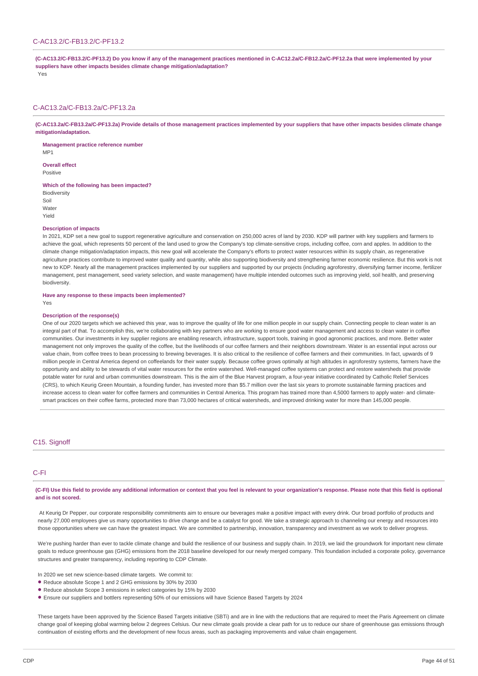# C-AC13.2/C-FB13.2/C-PF13.2

(C-AC13.2/C-FB13.2/C-PF13.2) Do you know if any of the management practices mentioned in C-AC12.2a/C-FB12.2a/C-PF12.2a that were implemented by your **suppliers have other impacts besides climate change mitigation/adaptation?**

Yes

## C-AC13.2a/C-FB13.2a/C-PF13.2a

(C-AC13.2a/C-FB13.2a/C-PF13.2a) Provide details of those management practices implemented by your suppliers that have other impacts besides climate change **mitigation/adaptation.**

**Management practice reference number** MP1

**Overall effect**

Positive

**Which of the following has been impacted?**

**Biodiversity** Soil Water Yield

#### **Description of impacts**

In 2021, KDP set a new goal to support regenerative agriculture and conservation on 250,000 acres of land by 2030. KDP will partner with key suppliers and farmers to achieve the goal, which represents 50 percent of the land used to grow the Company's top climate-sensitive crops, including coffee, corn and apples. In addition to the climate change mitigation/adaptation impacts, this new goal will accelerate the Company's efforts to protect water resources within its supply chain, as regenerative agriculture practices contribute to improved water quality and quantity, while also supporting biodiversity and strengthening farmer economic resilience. But this work is not new to KDP. Nearly all the management practices implemented by our suppliers and supported by our projects (including agroforestry, diversifying farmer income, fertilizer management, pest management, seed variety selection, and waste management) have multiple intended outcomes such as improving yield, soil health, and preserving biodiversity.

#### **Have any response to these impacts been implemented?**

Yes

#### **Description of the response(s)**

One of our 2020 targets which we achieved this year, was to improve the quality of life for one million people in our supply chain. Connecting people to clean water is an integral part of that. To accomplish this, we're collaborating with key partners who are working to ensure good water management and access to clean water in coffee communities. Our investments in key supplier regions are enabling research, infrastructure, support tools, training in good agronomic practices, and more. Better water management not only improves the quality of the coffee, but the livelihoods of our coffee farmers and their neighbors downstream. Water is an essential input across our value chain, from coffee trees to bean processing to brewing beverages. It is also critical to the resilience of coffee farmers and their communities. In fact, upwards of 9 million people in Central America depend on coffeelands for their water supply. Because coffee grows optimally at high altitudes in agroforestry systems, farmers have the opportunity and ability to be stewards of vital water resources for the entire watershed. Well-managed coffee systems can protect and restore watersheds that provide potable water for rural and urban communities downstream. This is the aim of the Blue Harvest program, a four-year initiative coordinated by Catholic Relief Services (CRS), to which Keurig Green Mountain, a founding funder, has invested more than \$5.7 million over the last six years to promote sustainable farming practices and increase access to clean water for coffee farmers and communities in Central America. This program has trained more than 4,5000 farmers to apply water- and climatesmart practices on their coffee farms, protected more than 73,000 hectares of critical watersheds, and improved drinking water for more than 145,000 people.

# C<sub>15</sub>. Signoff

# C-FI

(C-FI) Use this field to provide any additional information or context that you feel is relevant to your organization's response. Please note that this field is optional **and is not scored.**

At Keurig Dr Pepper, our corporate responsibility commitments aim to ensure our beverages make a positive impact with every drink. Our broad portfolio of products and nearly 27,000 employees give us many opportunities to drive change and be a catalyst for good. We take a strategic approach to channeling our energy and resources into those opportunities where we can have the greatest impact. We are committed to partnership, innovation, transparency and investment as we work to deliver progress.

We're pushing harder than ever to tackle climate change and build the resilience of our business and supply chain. In 2019, we laid the groundwork for important new climate goals to reduce greenhouse gas (GHG) emissions from the 2018 baseline developed for our newly merged company. This foundation included a corporate policy, governance structures and greater transparency, including reporting to CDP Climate.

In 2020 we set new science-based climate targets. We commit to:

- Reduce absolute Scope 1 and 2 GHG emissions by 30% by 2030
- Reduce absolute Scope 3 emissions in select categories by 15% by 2030
- Ensure our suppliers and bottlers representing 50% of our emissions will have Science Based Targets by 2024 •

These targets have been approved by the Science Based Targets initiative (SBTi) and are in line with the reductions that are required to meet the Paris Agreement on climate change goal of keeping global warming below 2 degrees Celsius. Our new climate goals provide a clear path for us to reduce our share of greenhouse gas emissions through continuation of existing efforts and the development of new focus areas, such as packaging improvements and value chain engagement.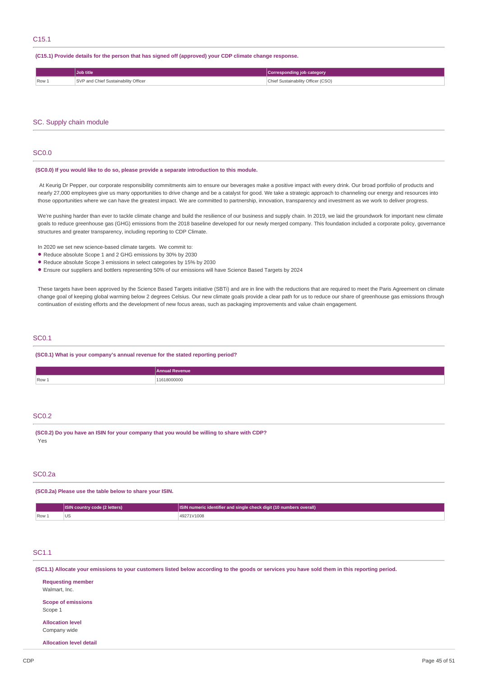# **(C15.1) Provide details for the person that has signed off (approved) your CDP climate change response.**

|       | <b>Job title</b>                     | Corresponding job category         |
|-------|--------------------------------------|------------------------------------|
| Row 1 | SVP and Chief Sustainability Officer | Chief Sustainability Officer (CSO) |

# SC. Supply chain module

# SC0.0

#### **(SC0.0) If you would like to do so, please provide a separate introduction to this module.**

At Keurig Dr Pepper, our corporate responsibility commitments aim to ensure our beverages make a positive impact with every drink. Our broad portfolio of products and nearly 27,000 employees give us many opportunities to drive change and be a catalyst for good. We take a strategic approach to channeling our energy and resources into those opportunities where we can have the greatest impact. We are committed to partnership, innovation, transparency and investment as we work to deliver progress.

We're pushing harder than ever to tackle climate change and build the resilience of our business and supply chain. In 2019, we laid the groundwork for important new climate goals to reduce greenhouse gas (GHG) emissions from the 2018 baseline developed for our newly merged company. This foundation included a corporate policy, governance structures and greater transparency, including reporting to CDP Climate.

In 2020 we set new science-based climate targets. We commit to:

- Reduce absolute Scope 1 and 2 GHG emissions by 30% by 2030
- Reduce absolute Scope 3 emissions in select categories by 15% by 2030
- Ensure our suppliers and bottlers representing 50% of our emissions will have Science Based Targets by 2024 •

These targets have been approved by the Science Based Targets initiative (SBTi) and are in line with the reductions that are required to meet the Paris Agreement on climate change goal of keeping global warming below 2 degrees Celsius. Our new climate goals provide a clear path for us to reduce our share of greenhouse gas emissions through continuation of existing efforts and the development of new focus areas, such as packaging improvements and value chain engagement.

# SC0.1

**(SC0.1) What is your company's annual revenue for the stated reporting period?**

|       | <b>Annual Revenue</b> |
|-------|-----------------------|
| Row 1 | 1618000000<br>.       |

# SC<sub>0.2</sub>

**(SC0.2) Do you have an ISIN for your company that you would be willing to share with CDP?** Yes

# SCO.2a

**(SC0.2a) Please use the table below to share your ISIN.**

|                       | <b>ISIN country code (2 letters)</b> | <b>ISIN</b> numeric identifier and single check digit (10 numbers overall) |
|-----------------------|--------------------------------------|----------------------------------------------------------------------------|
| $\sqrt{$ Row $\angle$ | ಀಀ                                   | 49271V1008                                                                 |

# SC1.1

(SC1.1) Allocate your emissions to your customers listed below according to the goods or services you have sold them in this reporting period.

|                                           | . . | - | $\sim$ | . .<br>$\sim$ . |
|-------------------------------------------|-----|---|--------|-----------------|
| <b>Requesting member</b><br>Walmart, Inc. |     |   |        |                 |
| <b>Scope of emissions</b><br>Scope 1      |     |   |        |                 |
| <b>Allocation level</b><br>Company wide   |     |   |        |                 |
| <b>Allocation level detail</b>            |     |   |        |                 |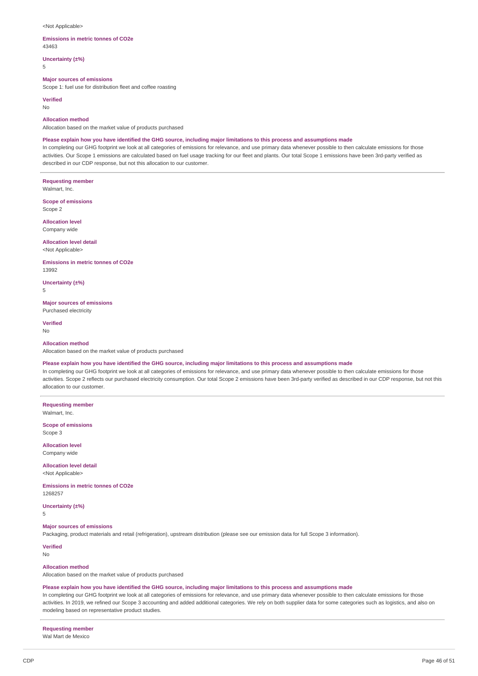#### <Not Applicable>

#### **Emissions in metric tonnes of CO2e** 43463

**Uncertainty (±%)** 5

#### **Major sources of emissions**

Scope 1: fuel use for distribution fleet and coffee roasting

**Verified**

No

# **Allocation method**

Allocation based on the market value of products purchased

#### Please explain how you have identified the GHG source, including major limitations to this process and assumptions made

In completing our GHG footprint we look at all categories of emissions for relevance, and use primary data whenever possible to then calculate emissions for those activities. Our Scope 1 emissions are calculated based on fuel usage tracking for our fleet and plants. Our total Scope 1 emissions have been 3rd-party verified as described in our CDP response, but not this allocation to our customer.

**Requesting member** Walmart, Inc.

**Scope of emissions** Scope 2

**Allocation level** Company wide

**Allocation level detail** <Not Applicable>

**Emissions in metric tonnes of CO2e** 13992

**Uncertainty (±%)** 5

**Major sources of emissions** Purchased electricity

**Verified** No

#### **Allocation method**

Allocation based on the market value of products purchased

# Please explain how you have identified the GHG source, including major limitations to this process and assumptions made

In completing our GHG footprint we look at all categories of emissions for relevance, and use primary data whenever possible to then calculate emissions for those activities. Scope 2 reflects our purchased electricity consumption. Our total Scope 2 emissions have been 3rd-party verified as described in our CDP response, but not this allocation to our customer.

**Requesting member** Walmart, Inc.

**Scope of emissions** Scope 3

**Allocation level** Company wide

**Allocation level detail** <Not Applicable>

**Emissions in metric tonnes of CO2e** 1268257

**Uncertainty (±%)** 5

**Major sources of emissions**

Packaging, product materials and retail (refrigeration), upstream distribution (please see our emission data for full Scope 3 information).

**Verified**

No

# **Allocation method**

Allocation based on the market value of products purchased

#### Please explain how you have identified the GHG source, including major limitations to this process and assumptions made

In completing our GHG footprint we look at all categories of emissions for relevance, and use primary data whenever possible to then calculate emissions for those activities. In 2019, we refined our Scope 3 accounting and added additional categories. We rely on both supplier data for some categories such as logistics, and also on modeling based on representative product studies.

**Requesting member**

Wal Mart de Mexico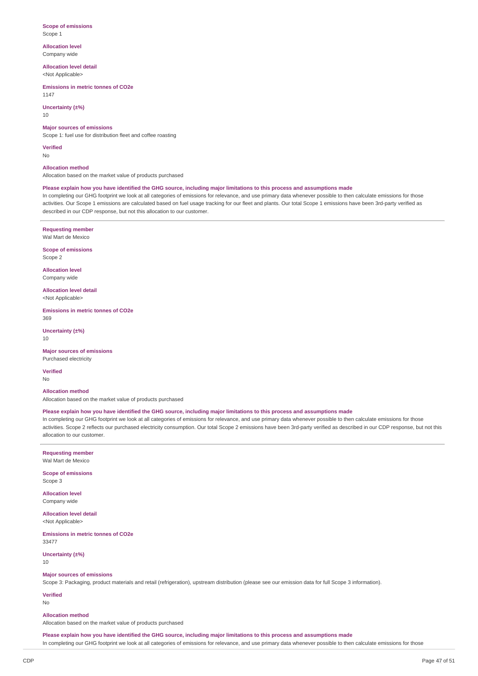#### **Scope of emissions** Scope 1

**Allocation level** Company wide

**Allocation level detail**

<Not Applicable>

**Emissions in metric tonnes of CO2e** 1147

# **Uncertainty (±%)**

10

## **Major sources of emissions**

Scope 1: fuel use for distribution fleet and coffee roasting

**Verified**

No

## **Allocation method**

Allocation based on the market value of products purchased

# Please explain how you have identified the GHG source, including major limitations to this process and assumptions made

In completing our GHG footprint we look at all categories of emissions for relevance, and use primary data whenever possible to then calculate emissions for those activities. Our Scope 1 emissions are calculated based on fuel usage tracking for our fleet and plants. Our total Scope 1 emissions have been 3rd-party verified as described in our CDP response, but not this allocation to our customer.

**Requesting member** Wal Mart de Mexico

**Scope of emissions** Scope 2

**Allocation level** Company wide

**Allocation level detail**

<Not Applicable>

**Emissions in metric tonnes of CO2e** 369

**Uncertainty (±%)** 10

**Major sources of emissions** Purchased electricity

**Verified**

No

# **Allocation method**

Allocation based on the market value of products purchased

#### Please explain how you have identified the GHG source, including major limitations to this process and assumptions made

In completing our GHG footprint we look at all categories of emissions for relevance, and use primary data whenever possible to then calculate emissions for those activities. Scope 2 reflects our purchased electricity consumption. Our total Scope 2 emissions have been 3rd-party verified as described in our CDP response, but not this allocation to our customer.

## **Requesting member** Wal Mart de Mexico

**Scope of emissions**

Scope 3

**Allocation level** Company wide

**Allocation level detail** <Not Applicable>

**Emissions in metric tonnes of CO2e** 33477

**Uncertainty (±%)** 10

#### **Major sources of emissions**

Scope 3: Packaging, product materials and retail (refrigeration), upstream distribution (please see our emission data for full Scope 3 information).

**Verified**

No

# **Allocation method**

Allocation based on the market value of products purchased

Please explain how you have identified the GHG source, including major limitations to this process and assumptions made In completing our GHG footprint we look at all categories of emissions for relevance, and use primary data whenever possible to then calculate emissions for those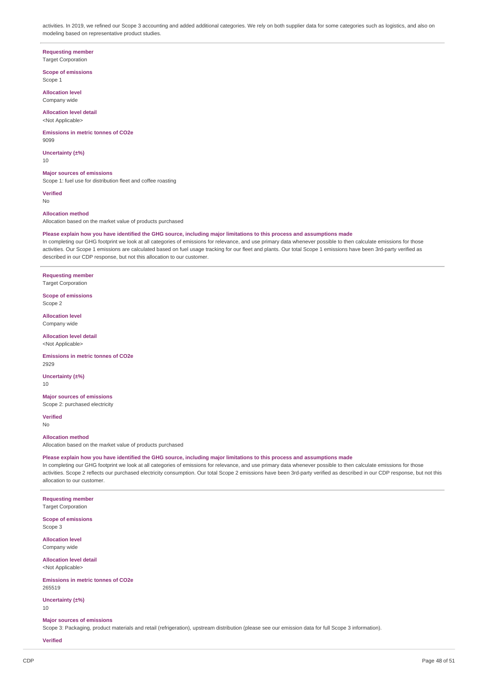activities. In 2019, we refined our Scope 3 accounting and added additional categories. We rely on both supplier data for some categories such as logistics, and also on modeling based on representative product studies.

**Requesting member**

**Target Corporation** 

**Scope of emissions** Scope 1

**Allocation level** Company wide

**Allocation level detail** <Not Applicable>

**Emissions in metric tonnes of CO2e** 9099

**Uncertainty (±%)** 10

**Major sources of emissions** Scope 1: fuel use for distribution fleet and coffee roasting

**Verified** No

**Allocation method**

Allocation based on the market value of products purchased

# Please explain how you have identified the GHG source, including major limitations to this process and assumptions made

In completing our GHG footprint we look at all categories of emissions for relevance, and use primary data whenever possible to then calculate emissions for those activities. Our Scope 1 emissions are calculated based on fuel usage tracking for our fleet and plants. Our total Scope 1 emissions have been 3rd-party verified as described in our CDP response, but not this allocation to our customer.

**Requesting member** Target Corporation

**Scope of emissions** Scope 2

**Allocation level** Company wide

**Allocation level detail** <Not Applicable>

**Emissions in metric tonnes of CO2e** 2929

**Uncertainty (±%)** 10

**Major sources of emissions** Scope 2: purchased electricity

**Verified** No

**Allocation method**

Allocation based on the market value of products purchased

Please explain how you have identified the GHG source, including major limitations to this process and assumptions made

In completing our GHG footprint we look at all categories of emissions for relevance, and use primary data whenever possible to then calculate emissions for those activities. Scope 2 reflects our purchased electricity consumption. Our total Scope 2 emissions have been 3rd-party verified as described in our CDP response, but not this allocation to our customer.

**Requesting member**

Target Corporation

**Scope of emissions** Scope 3

**Allocation level** Company wide

**Allocation level detail**

<Not Applicable>

**Emissions in metric tonnes of CO2e** 265519

**Uncertainty (±%)** 10

#### **Major sources of emissions**

Scope 3: Packaging, product materials and retail (refrigeration), upstream distribution (please see our emission data for full Scope 3 information).

## **Verified**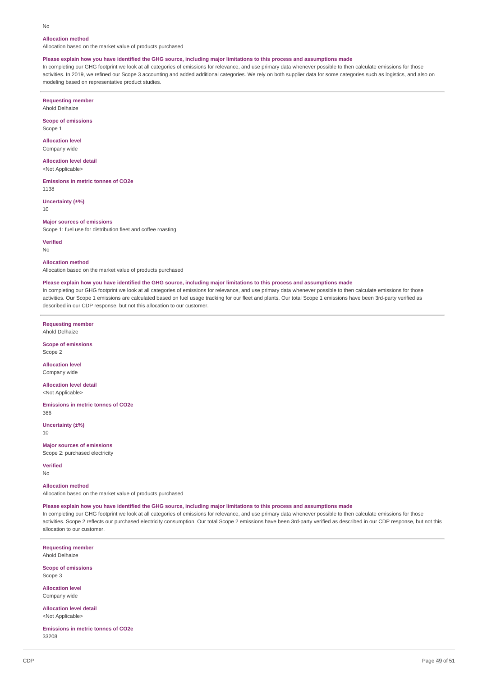#### No

## **Allocation method**

Allocation based on the market value of products purchased

#### Please explain how you have identified the GHG source, including major limitations to this process and assumptions made

In completing our GHG footprint we look at all categories of emissions for relevance, and use primary data whenever possible to then calculate emissions for those activities. In 2019, we refined our Scope 3 accounting and added additional categories. We rely on both supplier data for some categories such as logistics, and also on modeling based on representative product studies.

**Requesting member** Ahold Delhaize

**Scope of emissions** Scope 1

**Allocation level** Company wide

**Allocation level detail** <Not Applicable>

**Emissions in metric tonnes of CO2e** 1138

**Uncertainty (±%)** 10

#### **Major sources of emissions**

Scope 1: fuel use for distribution fleet and coffee roasting

**Verified**

No

**Allocation method**

Allocation based on the market value of products purchased

#### Please explain how you have identified the GHG source, including major limitations to this process and assumptions made

In completing our GHG footprint we look at all categories of emissions for relevance, and use primary data whenever possible to then calculate emissions for those activities. Our Scope 1 emissions are calculated based on fuel usage tracking for our fleet and plants. Our total Scope 1 emissions have been 3rd-party verified as described in our CDP response, but not this allocation to our customer.

**Requesting member**

Ahold Delhaize

**Scope of emissions** Scope 2

**Allocation level** Company wide

**Allocation level detail** <Not Applicable>

**Emissions in metric tonnes of CO2e** 366

**Uncertainty (±%)** 10

**Major sources of emissions**

Scope 2: purchased electricity

**Verified** No

**Allocation method**

Allocation based on the market value of products purchased

Please explain how you have identified the GHG source, including major limitations to this process and assumptions made

In completing our GHG footprint we look at all categories of emissions for relevance, and use primary data whenever possible to then calculate emissions for those activities. Scope 2 reflects our purchased electricity consumption. Our total Scope 2 emissions have been 3rd-party verified as described in our CDP response, but not this allocation to our customer.

**Requesting member** Ahold Delhaize

**Scope of emissions** Scope 3

**Allocation level** Company wide

**Allocation level detail** <Not Applicable>

**Emissions in metric tonnes of CO2e** 33208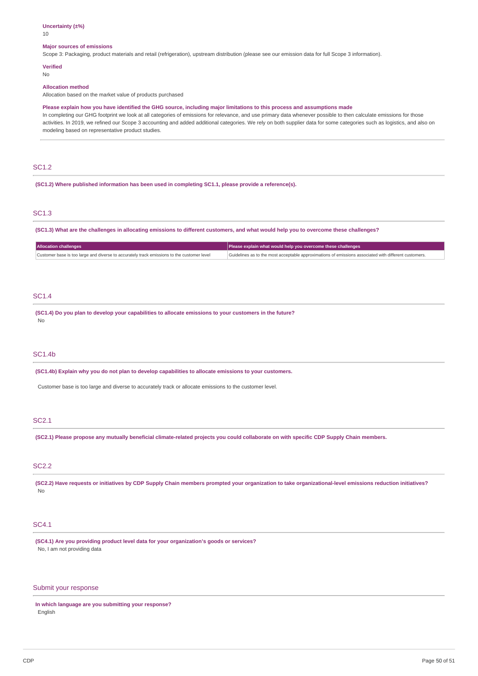# **Uncertainty (±%)**

10

## **Major sources of emissions**

Scope 3: Packaging, product materials and retail (refrigeration), upstream distribution (please see our emission data for full Scope 3 information).

# **Verified**

No

#### **Allocation method**

Allocation based on the market value of products purchased

Please explain how you have identified the GHG source, including major limitations to this process and assumptions made

In completing our GHG footprint we look at all categories of emissions for relevance, and use primary data whenever possible to then calculate emissions for those activities. In 2019, we refined our Scope 3 accounting and added additional categories. We rely on both supplier data for some categories such as logistics, and also on modeling based on representative product studies.

# SC1.2

**(SC1.2) Where published information has been used in completing SC1.1, please provide a reference(s).**

# SC1.3

(SC1.3) What are the challenges in allocating emissions to different customers, and what would help you to overcome these challenges?

| <b>Allocation challenges</b>                                                               | Please explain what would help you overcome these challenges                                          |
|--------------------------------------------------------------------------------------------|-------------------------------------------------------------------------------------------------------|
| Customer base is too large and diverse to accurately track emissions to the customer level | Guidelines as to the most acceptable approximations of emissions associated with different customers. |

# SC1.4

**(SC1.4) Do you plan to develop your capabilities to allocate emissions to your customers in the future?** No

# SC1.4b

**(SC1.4b) Explain why you do not plan to develop capabilities to allocate emissions to your customers.**

Customer base is too large and diverse to accurately track or allocate emissions to the customer level.

# SC2.1

(SC2.1) Please propose any mutually beneficial climate-related projects you could collaborate on with specific CDP Supply Chain members.

# SC2.2

(SC2.2) Have requests or initiatives by CDP Supply Chain members prompted your organization to take organizational-level emissions reduction initiatives? No

# SC4.1

**(SC4.1) Are you providing product level data for your organization's goods or services?** No, I am not providing data

# Submit your response

**In which language are you submitting your response?** English